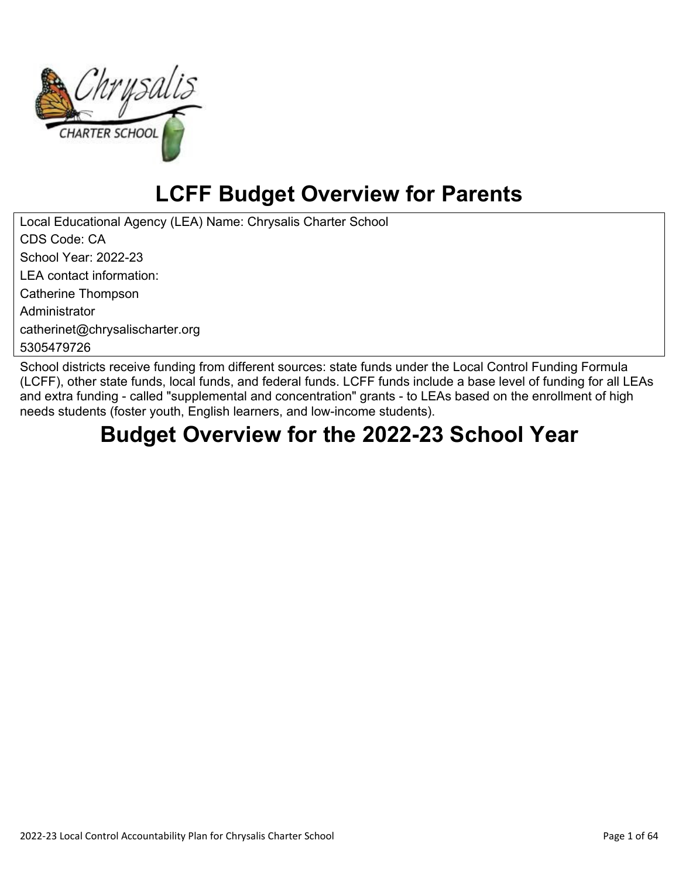

# **LCFF Budget Overview for Parents**

Local Educational Agency (LEA) Name: Chrysalis Charter School CDS Code: CA School Year: 2022-23 LEA contact information: Catherine Thompson Administrator catherinet@chrysalischarter.org 5305479726

School districts receive funding from different sources: state funds under the Local Control Funding Formula (LCFF), other state funds, local funds, and federal funds. LCFF funds include a base level of funding for all LEAs and extra funding - called "supplemental and concentration" grants - to LEAs based on the enrollment of high needs students (foster youth, English learners, and low-income students).

# **Budget Overview for the 2022-23 School Year**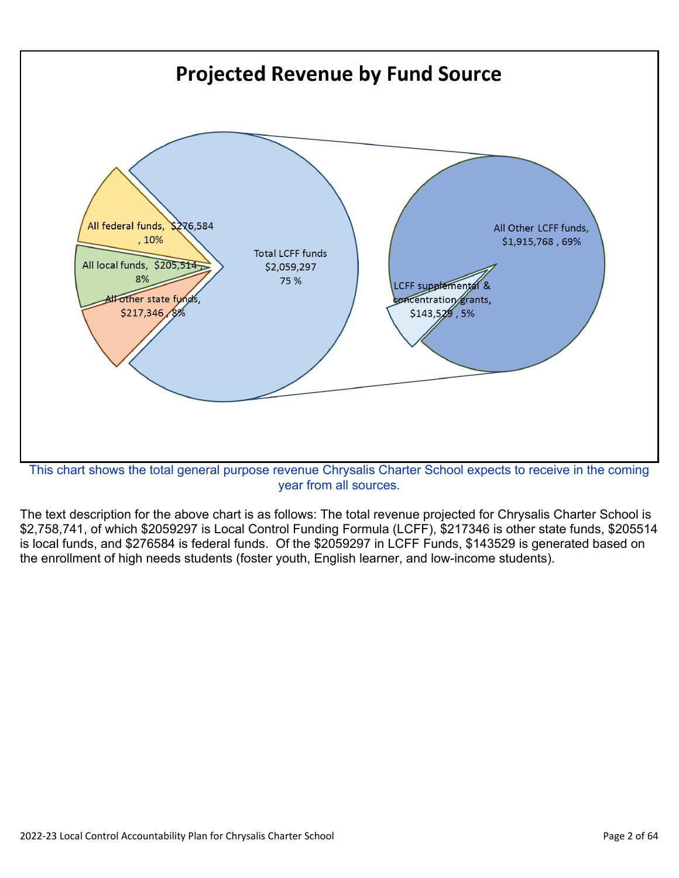

year from all sources.

The text description for the above chart is as follows: The total revenue projected for Chrysalis Charter School is \$2,758,741, of which \$2059297 is Local Control Funding Formula (LCFF), \$217346 is other state funds, \$205514 is local funds, and \$276584 is federal funds. Of the \$2059297 in LCFF Funds, \$143529 is generated based on the enrollment of high needs students (foster youth, English learner, and low-income students).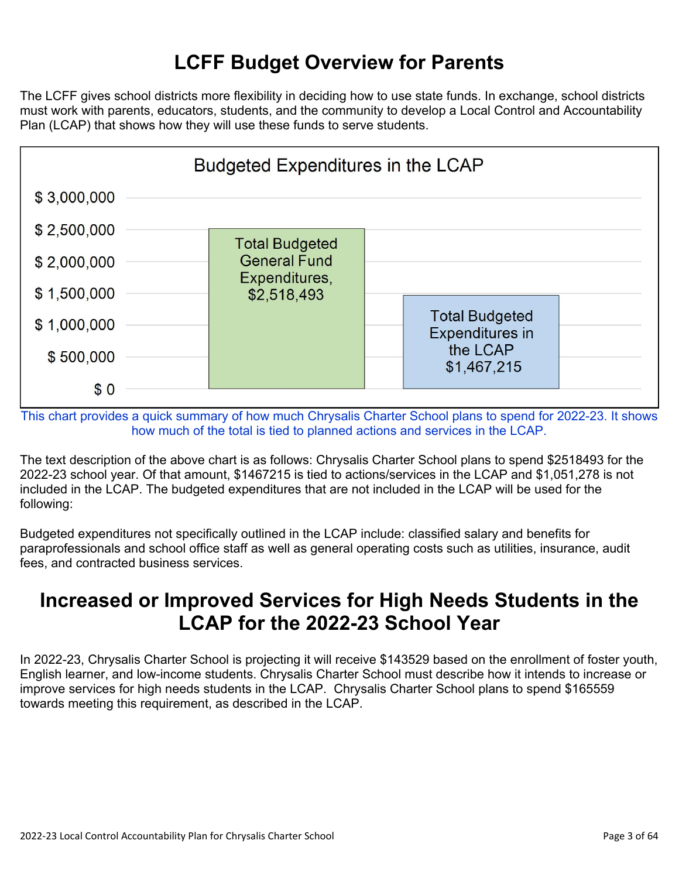## **LCFF Budget Overview for Parents**

The LCFF gives school districts more flexibility in deciding how to use state funds. In exchange, school districts must work with parents, educators, students, and the community to develop a Local Control and Accountability Plan (LCAP) that shows how they will use these funds to serve students.



This chart provides a quick summary of how much Chrysalis Charter School plans to spend for 2022-23. It shows how much of the total is tied to planned actions and services in the LCAP.

The text description of the above chart is as follows: Chrysalis Charter School plans to spend \$2518493 for the 2022-23 school year. Of that amount, \$1467215 is tied to actions/services in the LCAP and \$1,051,278 is not included in the LCAP. The budgeted expenditures that are not included in the LCAP will be used for the following:

Budgeted expenditures not specifically outlined in the LCAP include: classified salary and benefits for paraprofessionals and school office staff as well as general operating costs such as utilities, insurance, audit fees, and contracted business services.

## **Increased or Improved Services for High Needs Students in the LCAP for the 2022-23 School Year**

In 2022-23, Chrysalis Charter School is projecting it will receive \$143529 based on the enrollment of foster youth, English learner, and low-income students. Chrysalis Charter School must describe how it intends to increase or improve services for high needs students in the LCAP. Chrysalis Charter School plans to spend \$165559 towards meeting this requirement, as described in the LCAP.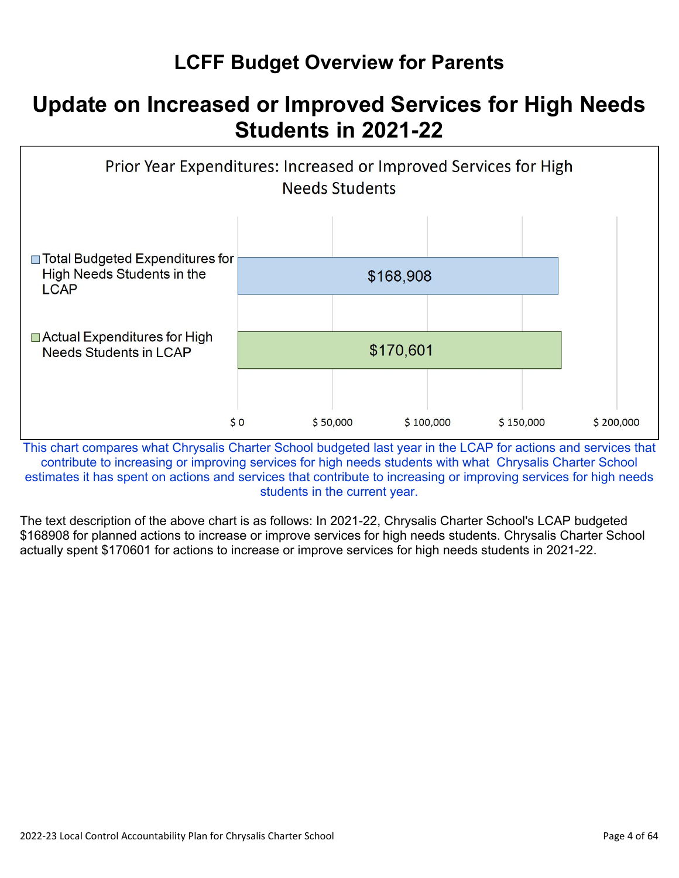## **LCFF Budget Overview for Parents**

## **Update on Increased or Improved Services for High Needs Students in 2021-22**



This chart compares what Chrysalis Charter School budgeted last year in the LCAP for actions and services that contribute to increasing or improving services for high needs students with what Chrysalis Charter School estimates it has spent on actions and services that contribute to increasing or improving services for high needs students in the current year.

The text description of the above chart is as follows: In 2021-22, Chrysalis Charter School's LCAP budgeted \$168908 for planned actions to increase or improve services for high needs students. Chrysalis Charter School actually spent \$170601 for actions to increase or improve services for high needs students in 2021-22.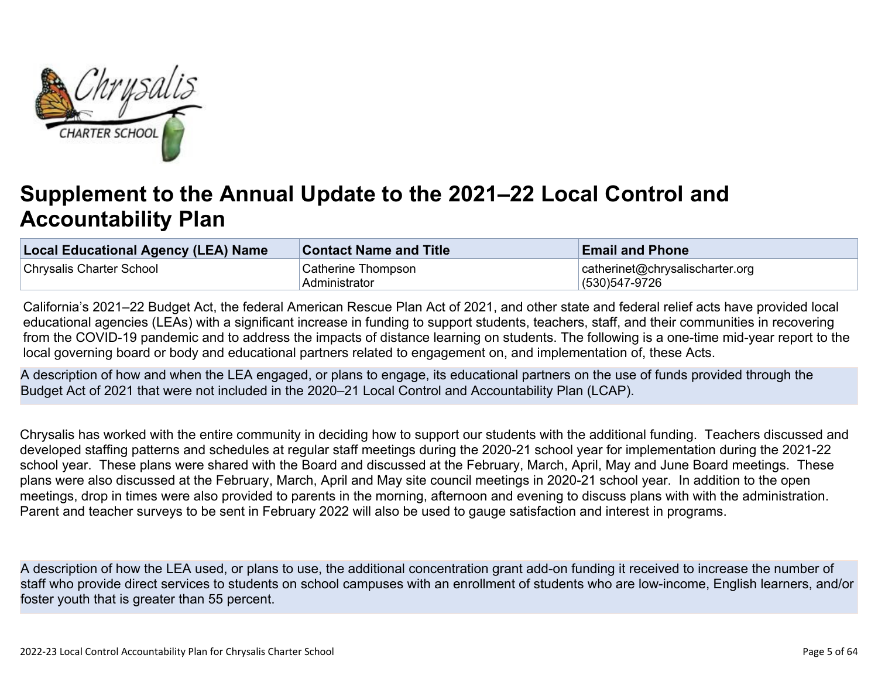

# **Supplement to the Annual Update to the 2021–22 Local Control and Accountability Plan**

| <b>Local Educational Agency (LEA) Name</b> | <b>Contact Name and Title</b> | <b>Email and Phone</b>          |
|--------------------------------------------|-------------------------------|---------------------------------|
| Chrysalis Charter School                   | Catherine Thompson            | catherinet@chrysalischarter.org |
|                                            | Administrator                 | (530)547-9726                   |

California's 2021–22 Budget Act, the federal American Rescue Plan Act of 2021, and other state and federal relief acts have provided local educational agencies (LEAs) with a significant increase in funding to support students, teachers, staff, and their communities in recovering from the COVID-19 pandemic and to address the impacts of distance learning on students. The following is a one-time mid-year report to the local governing board or body and educational partners related to engagement on, and implementation of, these Acts.

A description of how and when the LEA engaged, or plans to engage, its educational partners on the use of funds provided through the Budget Act of 2021 that were not included in the 2020–21 Local Control and Accountability Plan (LCAP).

Chrysalis has worked with the entire community in deciding how to support our students with the additional funding. Teachers discussed and developed staffing patterns and schedules at regular staff meetings during the 2020-21 school year for implementation during the 2021-22 school year. These plans were shared with the Board and discussed at the February, March, April, May and June Board meetings. These plans were also discussed at the February, March, April and May site council meetings in 2020-21 school year. In addition to the open meetings, drop in times were also provided to parents in the morning, afternoon and evening to discuss plans with with the administration. Parent and teacher surveys to be sent in February 2022 will also be used to gauge satisfaction and interest in programs.

A description of how the LEA used, or plans to use, the additional concentration grant add-on funding it received to increase the number of staff who provide direct services to students on school campuses with an enrollment of students who are low-income, English learners, and/or foster youth that is greater than 55 percent.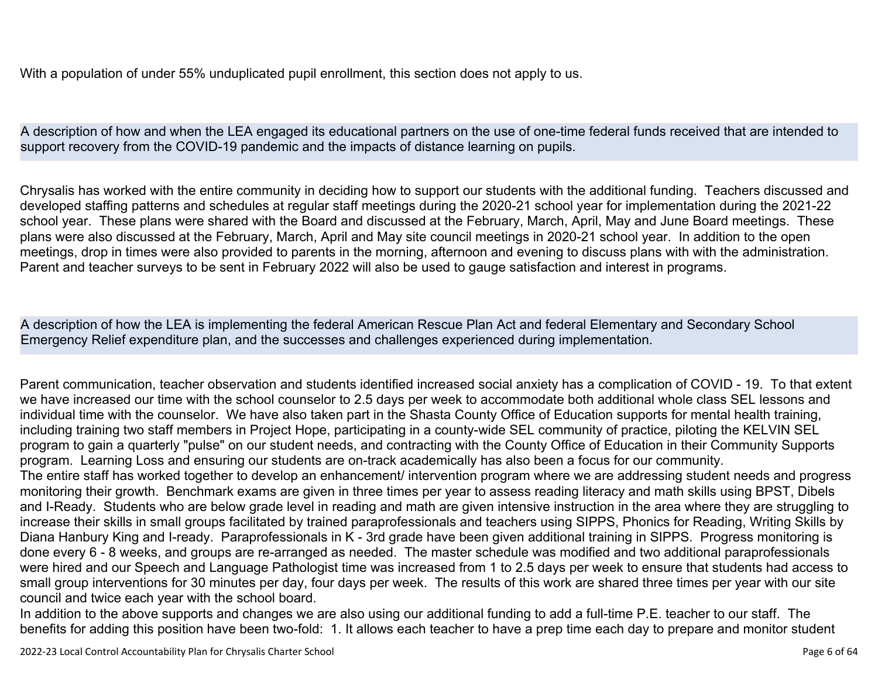With a population of under 55% unduplicated pupil enrollment, this section does not apply to us.

A description of how and when the LEA engaged its educational partners on the use of one-time federal funds received that are intended to support recovery from the COVID-19 pandemic and the impacts of distance learning on pupils.

Chrysalis has worked with the entire community in deciding how to support our students with the additional funding. Teachers discussed and developed staffing patterns and schedules at regular staff meetings during the 2020-21 school year for implementation during the 2021-22 school year. These plans were shared with the Board and discussed at the February, March, April, May and June Board meetings. These plans were also discussed at the February, March, April and May site council meetings in 2020-21 school year. In addition to the open meetings, drop in times were also provided to parents in the morning, afternoon and evening to discuss plans with with the administration. Parent and teacher surveys to be sent in February 2022 will also be used to gauge satisfaction and interest in programs.

A description of how the LEA is implementing the federal American Rescue Plan Act and federal Elementary and Secondary School Emergency Relief expenditure plan, and the successes and challenges experienced during implementation.

Parent communication, teacher observation and students identified increased social anxiety has a complication of COVID - 19. To that extent we have increased our time with the school counselor to 2.5 days per week to accommodate both additional whole class SEL lessons and individual time with the counselor. We have also taken part in the Shasta County Office of Education supports for mental health training, including training two staff members in Project Hope, participating in a county-wide SEL community of practice, piloting the KELVIN SEL program to gain a quarterly "pulse" on our student needs, and contracting with the County Office of Education in their Community Supports program. Learning Loss and ensuring our students are on-track academically has also been a focus for our community.

The entire staff has worked together to develop an enhancement/ intervention program where we are addressing student needs and progress monitoring their growth. Benchmark exams are given in three times per year to assess reading literacy and math skills using BPST, Dibels and I-Ready. Students who are below grade level in reading and math are given intensive instruction in the area where they are struggling to increase their skills in small groups facilitated by trained paraprofessionals and teachers using SIPPS, Phonics for Reading, Writing Skills by Diana Hanbury King and I-ready. Paraprofessionals in K - 3rd grade have been given additional training in SIPPS. Progress monitoring is done every 6 - 8 weeks, and groups are re-arranged as needed. The master schedule was modified and two additional paraprofessionals were hired and our Speech and Language Pathologist time was increased from 1 to 2.5 days per week to ensure that students had access to small group interventions for 30 minutes per day, four days per week. The results of this work are shared three times per year with our site council and twice each year with the school board.

In addition to the above supports and changes we are also using our additional funding to add a full-time P.E. teacher to our staff. The benefits for adding this position have been two-fold: 1. It allows each teacher to have a prep time each day to prepare and monitor student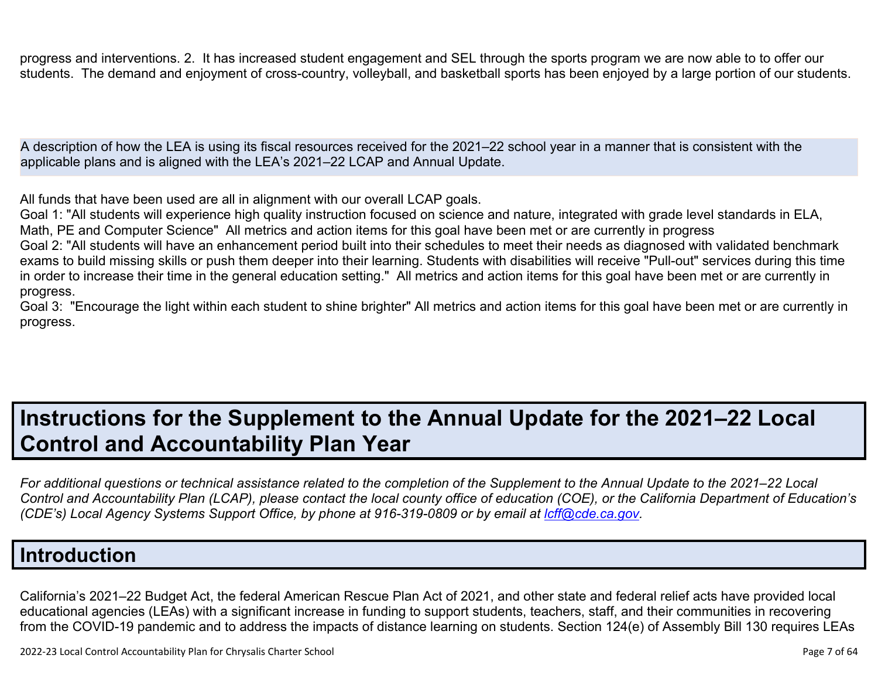progress and interventions. 2. It has increased student engagement and SEL through the sports program we are now able to to offer our students. The demand and enjoyment of cross-country, volleyball, and basketball sports has been enjoyed by a large portion of our students.

A description of how the LEA is using its fiscal resources received for the 2021–22 school year in a manner that is consistent with the applicable plans and is aligned with the LEA's 2021–22 LCAP and Annual Update.

All funds that have been used are all in alignment with our overall LCAP goals.

Goal 1: "All students will experience high quality instruction focused on science and nature, integrated with grade level standards in ELA, Math, PE and Computer Science" All metrics and action items for this goal have been met or are currently in progress

Goal 2: "All students will have an enhancement period built into their schedules to meet their needs as diagnosed with validated benchmark exams to build missing skills or push them deeper into their learning. Students with disabilities will receive "Pull-out" services during this time in order to increase their time in the general education setting." All metrics and action items for this goal have been met or are currently in progress.

Goal 3: "Encourage the light within each student to shine brighter" All metrics and action items for this goal have been met or are currently in progress.

# **Instructions for the Supplement to the Annual Update for the 2021–22 Local Control and Accountability Plan Year**

*For additional questions or technical assistance related to the completion of the Supplement to the Annual Update to the 2021–22 Local Control and Accountability Plan (LCAP), please contact the local county office of education (COE), or the California Department of Education's (CDE's)* Local Agency Systems Support Office, by phone at 916-319-0809 or by email at *[lcff@cde.ca.gov](mailto:lcff@cde.ca.gov)*.

## **Introduction**

California's 2021–22 Budget Act, the federal American Rescue Plan Act of 2021, and other state and federal relief acts have provided local educational agencies (LEAs) with a significant increase in funding to support students, teachers, staff, and their communities in recovering from the COVID-19 pandemic and to address the impacts of distance learning on students. Section 124(e) of Assembly Bill 130 requires LEAs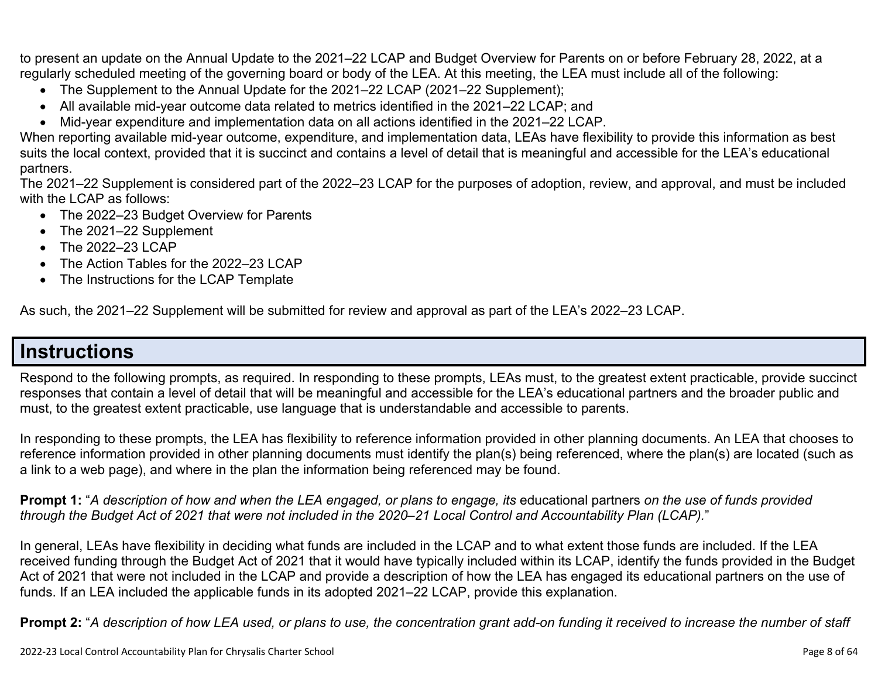to present an update on the Annual Update to the 2021–22 LCAP and Budget Overview for Parents on or before February 28, 2022, at a regularly scheduled meeting of the governing board or body of the LEA. At this meeting, the LEA must include all of the following:

- The Supplement to the Annual Update for the 2021–22 LCAP (2021–22 Supplement);
- All available mid-year outcome data related to metrics identified in the 2021–22 LCAP; and
- Mid-year expenditure and implementation data on all actions identified in the 2021–22 LCAP.

When reporting available mid-year outcome, expenditure, and implementation data, LEAs have flexibility to provide this information as best suits the local context, provided that it is succinct and contains a level of detail that is meaningful and accessible for the LEA's educational partners.

The 2021–22 Supplement is considered part of the 2022–23 LCAP for the purposes of adoption, review, and approval, and must be included with the LCAP as follows:

- The 2022–23 Budget Overview for Parents
- The 2021–22 Supplement
- The 2022-23 LCAP
- The Action Tables for the 2022–23 LCAP
- The Instructions for the LCAP Template

As such, the 2021–22 Supplement will be submitted for review and approval as part of the LEA's 2022–23 LCAP.

### **Instructions**

Respond to the following prompts, as required. In responding to these prompts, LEAs must, to the greatest extent practicable, provide succinct responses that contain a level of detail that will be meaningful and accessible for the LEA's educational partners and the broader public and must, to the greatest extent practicable, use language that is understandable and accessible to parents.

In responding to these prompts, the LEA has flexibility to reference information provided in other planning documents. An LEA that chooses to reference information provided in other planning documents must identify the plan(s) being referenced, where the plan(s) are located (such as a link to a web page), and where in the plan the information being referenced may be found.

**Prompt 1:** "*A description of how and when the LEA engaged, or plans to engage, its* educational partners *on the use of funds provided through the Budget Act of 2021 that were not included in the 2020–21 Local Control and Accountability Plan (LCAP).*"

In general, LEAs have flexibility in deciding what funds are included in the LCAP and to what extent those funds are included. If the LEA received funding through the Budget Act of 2021 that it would have typically included within its LCAP, identify the funds provided in the Budget Act of 2021 that were not included in the LCAP and provide a description of how the LEA has engaged its educational partners on the use of funds. If an LEA included the applicable funds in its adopted 2021–22 LCAP, provide this explanation.

**Prompt 2:** "*A description of how LEA used, or plans to use, the concentration grant add-on funding it received to increase the number of staff*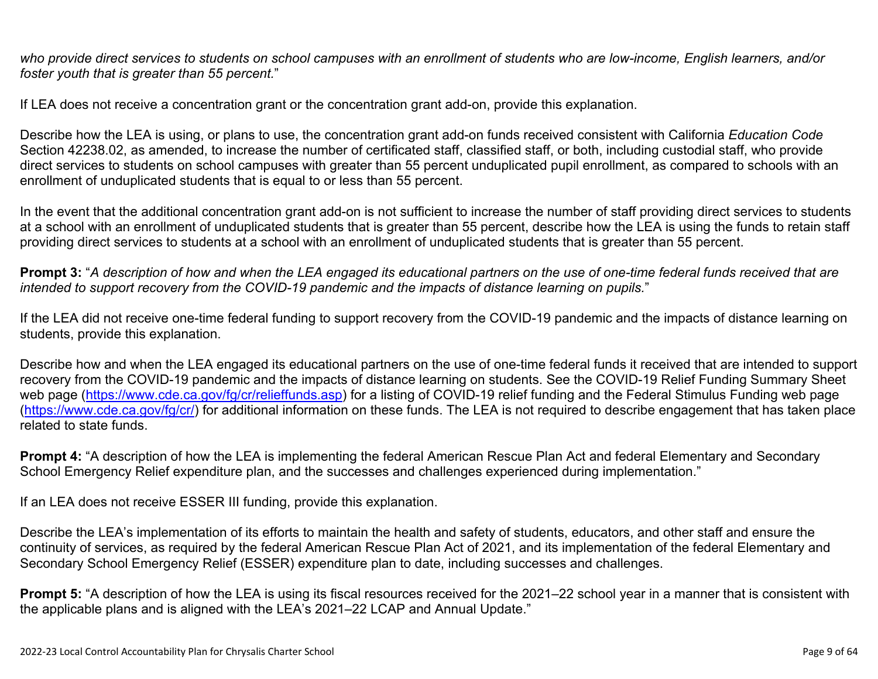*who provide direct services to students on school campuses with an enrollment of students who are low-income, English learners, and/or foster youth that is greater than 55 percent.*"

If LEA does not receive a concentration grant or the concentration grant add-on, provide this explanation.

Describe how the LEA is using, or plans to use, the concentration grant add-on funds received consistent with California *Education Code* Section 42238.02, as amended, to increase the number of certificated staff, classified staff, or both, including custodial staff, who provide direct services to students on school campuses with greater than 55 percent unduplicated pupil enrollment, as compared to schools with an enrollment of unduplicated students that is equal to or less than 55 percent.

In the event that the additional concentration grant add-on is not sufficient to increase the number of staff providing direct services to students at a school with an enrollment of unduplicated students that is greater than 55 percent, describe how the LEA is using the funds to retain staff providing direct services to students at a school with an enrollment of unduplicated students that is greater than 55 percent.

**Prompt 3:** "*A description of how and when the LEA engaged its educational partners on the use of one-time federal funds received that are intended to support recovery from the COVID-19 pandemic and the impacts of distance learning on pupils.*"

If the LEA did not receive one-time federal funding to support recovery from the COVID-19 pandemic and the impacts of distance learning on students, provide this explanation.

Describe how and when the LEA engaged its educational partners on the use of one-time federal funds it received that are intended to support recovery from the COVID-19 pandemic and the impacts of distance learning on students. See the COVID-19 Relief Funding Summary Sheet web page [\(https://www.cde.ca.gov/fg/cr/relieffunds.asp\)](https://www.cde.ca.gov/fg/cr/relieffunds.asp) for a listing of COVID-19 relief funding and the Federal Stimulus Funding web page (<https://www.cde.ca.gov/fg/cr/>) for additional information on these funds. The LEA is not required to describe engagement that has taken place related to state funds.

**Prompt 4:** "A description of how the LEA is implementing the federal American Rescue Plan Act and federal Elementary and Secondary School Emergency Relief expenditure plan, and the successes and challenges experienced during implementation."

If an LEA does not receive ESSER III funding, provide this explanation.

Describe the LEA's implementation of its efforts to maintain the health and safety of students, educators, and other staff and ensure the continuity of services, as required by the federal American Rescue Plan Act of 2021, and its implementation of the federal Elementary and Secondary School Emergency Relief (ESSER) expenditure plan to date, including successes and challenges.

**Prompt 5:** "A description of how the LEA is using its fiscal resources received for the 2021–22 school year in a manner that is consistent with the applicable plans and is aligned with the LEA's 2021–22 LCAP and Annual Update."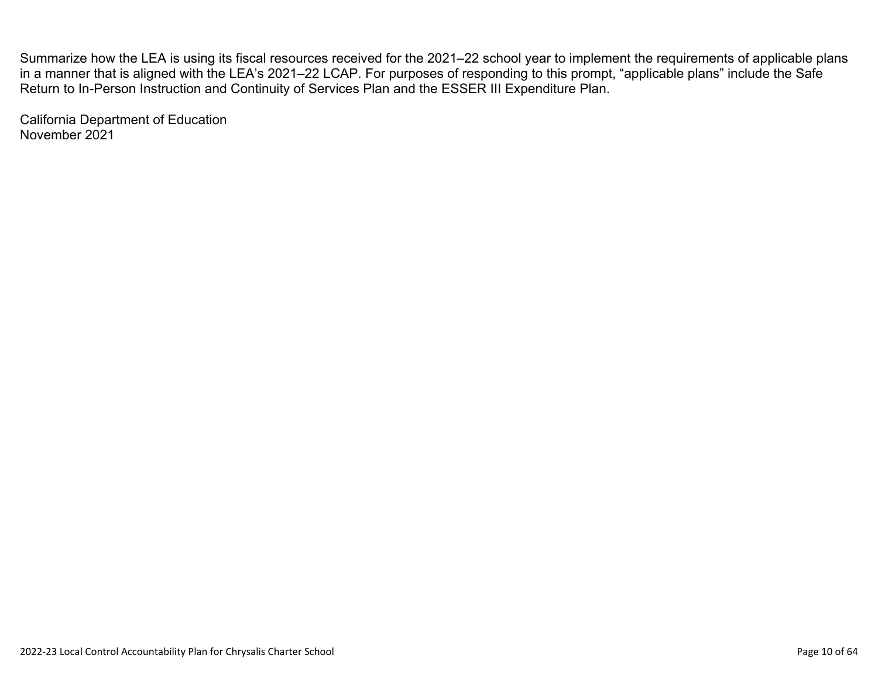Summarize how the LEA is using its fiscal resources received for the 2021–22 school year to implement the requirements of applicable plans in a manner that is aligned with the LEA's 2021–22 LCAP. For purposes of responding to this prompt, "applicable plans" include the Safe Return to In-Person Instruction and Continuity of Services Plan and the ESSER III Expenditure Plan.

California Department of Education November 2021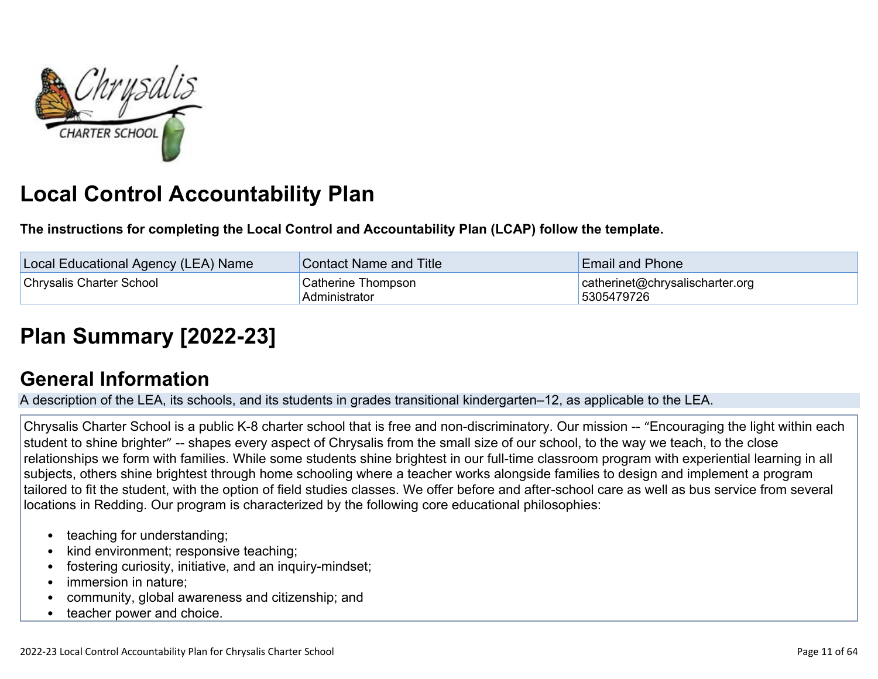

# **Local Control Accountability Plan**

**The instructions for completing the Local Control and Accountability Plan (LCAP) follow the template.**

| Local Educational Agency (LEA) Name | Contact Name and Title              | <b>Email and Phone</b>                        |
|-------------------------------------|-------------------------------------|-----------------------------------------------|
| <b>Chrysalis Charter School</b>     | Catherine Thompson<br>Administrator | catherinet@chrysalischarter.org<br>5305479726 |

# **[Plan Summary \[2022-23\]](http://www.doc-tracking.com/screenshots/22LCAP/Instructions/22LCAPInstructions.htm#PlanSummary)**

## **[General Information](http://www.doc-tracking.com/screenshots/22LCAP/Instructions/22LCAPInstructions.htm#generalinformation)**

A description of the LEA, its schools, and its students in grades transitional kindergarten–12, as applicable to the LEA.

Chrysalis Charter School is a public K-8 charter school that is free and non-discriminatory. Our mission -- "Encouraging the light within each student to shine brighter" -- shapes every aspect of Chrysalis from the small size of our school, to the way we teach, to the close relationships we form with families. While some students shine brightest in our full-time classroom program with experiential learning in all subjects, others shine brightest through home schooling where a teacher works alongside families to design and implement a program tailored to fit the student, with the option of field studies classes. We offer before and after-school care as well as bus service from several locations in Redding. Our program is characterized by the following core educational philosophies:

- teaching for understanding;
- kind environment; responsive teaching;
- fostering curiosity, initiative, and an inquiry-mindset;
- immersion in nature;
- community, global awareness and citizenship; and
- teacher power and choice.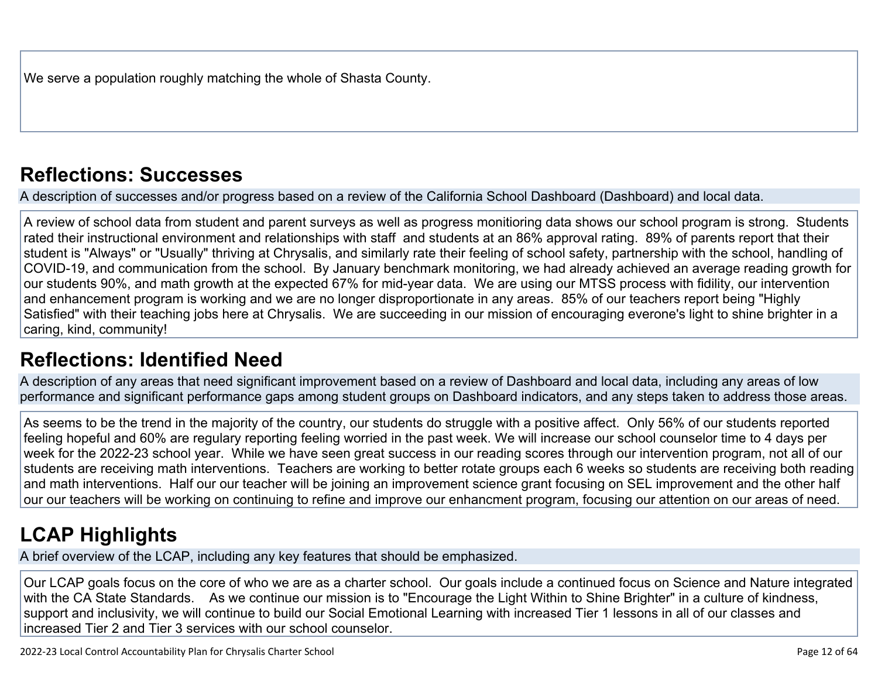We serve a population roughly matching the whole of Shasta County.

## **[Reflections: Successes](http://www.doc-tracking.com/screenshots/22LCAP/Instructions/22LCAPInstructions.htm#ReflectionsSuccesses)**

A description of successes and/or progress based on a review of the California School Dashboard (Dashboard) and local data.

A review of school data from student and parent surveys as well as progress monitioring data shows our school program is strong. Students rated their instructional environment and relationships with staff and students at an 86% approval rating. 89% of parents report that their student is "Always" or "Usually" thriving at Chrysalis, and similarly rate their feeling of school safety, partnership with the school, handling of COVID-19, and communication from the school. By January benchmark monitoring, we had already achieved an average reading growth for our students 90%, and math growth at the expected 67% for mid-year data. We are using our MTSS process with fidility, our intervention and enhancement program is working and we are no longer disproportionate in any areas. 85% of our teachers report being "Highly Satisfied" with their teaching jobs here at Chrysalis. We are succeeding in our mission of encouraging everone's light to shine brighter in a caring, kind, community!

## **[Reflections: Identified Need](http://www.doc-tracking.com/screenshots/22LCAP/Instructions/22LCAPInstructions.htm#ReflectionsIdentifiedNeed)**

A description of any areas that need significant improvement based on a review of Dashboard and local data, including any areas of low performance and significant performance gaps among student groups on Dashboard indicators, and any steps taken to address those areas.

As seems to be the trend in the majority of the country, our students do struggle with a positive affect. Only 56% of our students reported feeling hopeful and 60% are regulary reporting feeling worried in the past week. We will increase our school counselor time to 4 days per week for the 2022-23 school year. While we have seen great success in our reading scores through our intervention program, not all of our students are receiving math interventions. Teachers are working to better rotate groups each 6 weeks so students are receiving both reading and math interventions. Half our our teacher will be joining an improvement science grant focusing on SEL improvement and the other half our our teachers will be working on continuing to refine and improve our enhancment program, focusing our attention on our areas of need.

# **[LCAP Highlights](http://www.doc-tracking.com/screenshots/22LCAP/Instructions/22LCAPInstructions.htm#LCAPHighlights)**

A brief overview of the LCAP, including any key features that should be emphasized.

Our LCAP goals focus on the core of who we are as a charter school. Our goals include a continued focus on Science and Nature integrated with the CA State Standards. As we continue our mission is to "Encourage the Light Within to Shine Brighter" in a culture of kindness, support and inclusivity, we will continue to build our Social Emotional Learning with increased Tier 1 lessons in all of our classes and increased Tier 2 and Tier 3 services with our school counselor.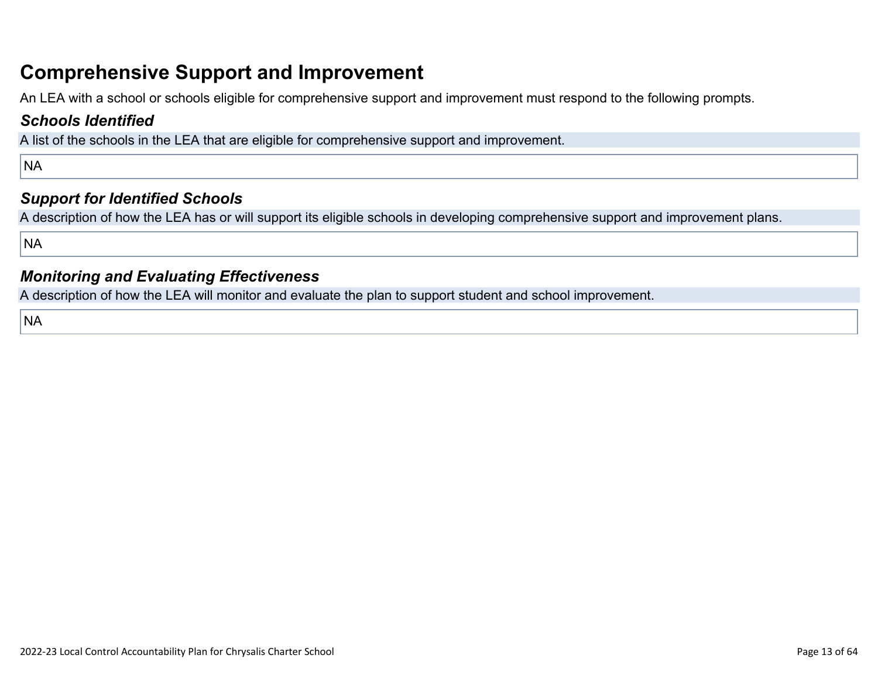## **Comprehensive Support and Improvement**

An LEA with a school or schools eligible for comprehensive support and improvement must respond to the following prompts.

### *[Schools Identified](http://www.doc-tracking.com/screenshots/22LCAP/Instructions/22LCAPInstructions.htm#SchoolsIdentified)*

A list of the schools in the LEA that are eligible for comprehensive support and improvement.

NA

### *[Support for Identified Schools](http://www.doc-tracking.com/screenshots/22LCAP/Instructions/22LCAPInstructions.htm#SupportforIdentifiedSchools)*

A description of how the LEA has or will support its eligible schools in developing comprehensive support and improvement plans.

NA

### *[Monitoring and Evaluating Effectiveness](http://www.doc-tracking.com/screenshots/22LCAP/Instructions/22LCAPInstructions.htm#MonitoringandEvaluatingEffectiveness)*

A description of how the LEA will monitor and evaluate the plan to support student and school improvement.

**NA**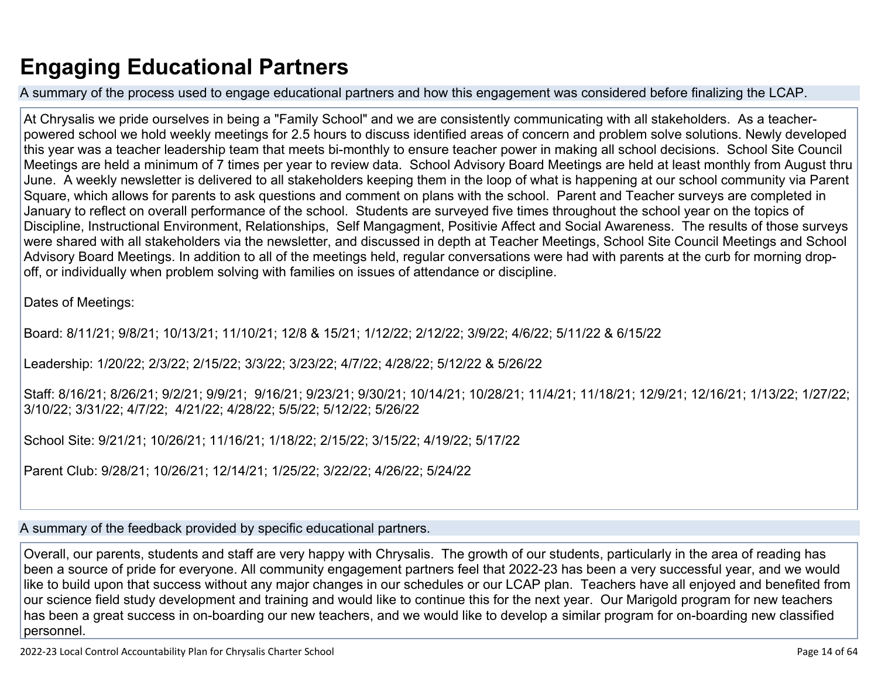# **Engaging Educational Partners**

A summary of the process used to engage educational partners and how this engagement was considered before finalizing the LCAP.

At Chrysalis we pride ourselves in being a "Family School" and we are consistently communicating with all stakeholders. As a teacherpowered school we hold weekly meetings for 2.5 hours to discuss identified areas of concern and problem solve solutions. Newly developed this year was a teacher leadership team that meets bi-monthly to ensure teacher power in making all school decisions. School Site Council Meetings are held a minimum of 7 times per year to review data. School Advisory Board Meetings are held at least monthly from August thru June. A weekly newsletter is delivered to all stakeholders keeping them in the loop of what is happening at our school community via Parent Square, which allows for parents to ask questions and comment on plans with the school. Parent and Teacher surveys are completed in January to reflect on overall performance of the school. Students are surveyed five times throughout the school year on the topics of Discipline, Instructional Environment, Relationships, Self Mangagment, Positivie Affect and Social Awareness. The results of those surveys were shared with all stakeholders via the newsletter, and discussed in depth at Teacher Meetings, School Site Council Meetings and School Advisory Board Meetings. In addition to all of the meetings held, regular conversations were had with parents at the curb for morning dropoff, or individually when problem solving with families on issues of attendance or discipline.

Dates of Meetings:

Board: 8/11/21; 9/8/21; 10/13/21; 11/10/21; 12/8 & 15/21; 1/12/22; 2/12/22; 3/9/22; 4/6/22; 5/11/22 & 6/15/22

Leadership: 1/20/22; 2/3/22; 2/15/22; 3/3/22; 3/23/22; 4/7/22; 4/28/22; 5/12/22 & 5/26/22

Staff: 8/16/21; 8/26/21; 9/2/21; 9/9/21; 9/16/21; 9/23/21; 9/30/21; 10/14/21; 10/28/21; 11/4/21; 11/18/21; 12/9/21; 12/16/21; 1/13/22; 1/27/22; 3/10/22; 3/31/22; 4/7/22; 4/21/22; 4/28/22; 5/5/22; 5/12/22; 5/26/22

School Site: 9/21/21; 10/26/21; 11/16/21; 1/18/22; 2/15/22; 3/15/22; 4/19/22; 5/17/22

Parent Club: 9/28/21; 10/26/21; 12/14/21; 1/25/22; 3/22/22; 4/26/22; 5/24/22

A summary of the feedback provided by specific educational partners.

Overall, our parents, students and staff are very happy with Chrysalis. The growth of our students, particularly in the area of reading has been a source of pride for everyone. All community engagement partners feel that 2022-23 has been a very successful year, and we would like to build upon that success without any major changes in our schedules or our LCAP plan. Teachers have all enjoyed and benefited from our science field study development and training and would like to continue this for the next year. Our Marigold program for new teachers has been a great success in on-boarding our new teachers, and we would like to develop a similar program for on-boarding new classified personnel.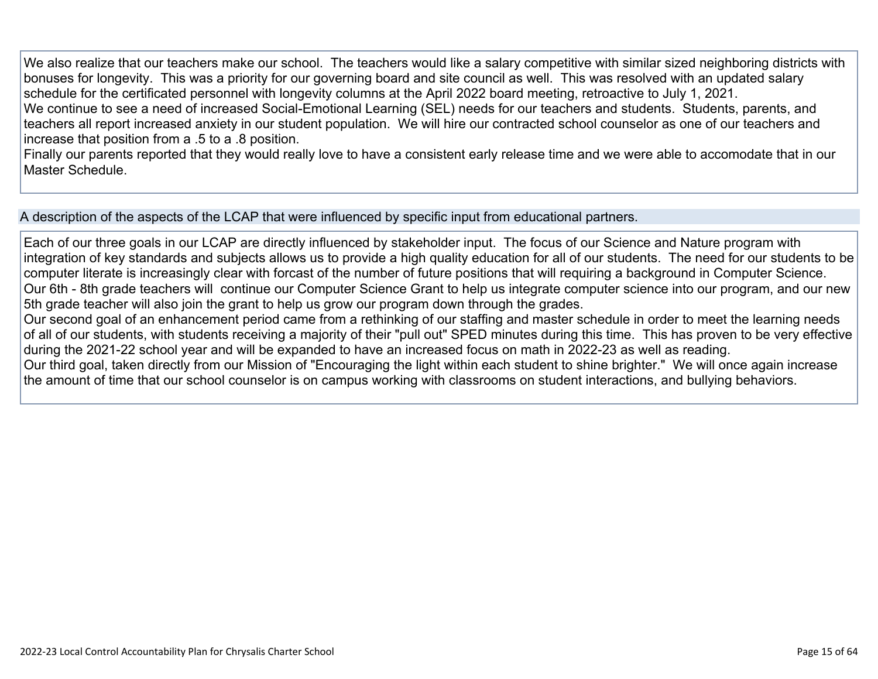We also realize that our teachers make our school. The teachers would like a salary competitive with similar sized neighboring districts with bonuses for longevity. This was a priority for our governing board and site council as well. This was resolved with an updated salary schedule for the certificated personnel with longevity columns at the April 2022 board meeting, retroactive to July 1, 2021. We continue to see a need of increased Social-Emotional Learning (SEL) needs for our teachers and students. Students, parents, and teachers all report increased anxiety in our student population. We will hire our contracted school counselor as one of our teachers and increase that position from a .5 to a .8 position.

Finally our parents reported that they would really love to have a consistent early release time and we were able to accomodate that in our Master Schedule.

A description of the aspects of the LCAP that were influenced by specific input from educational partners.

Each of our three goals in our LCAP are directly influenced by stakeholder input. The focus of our Science and Nature program with integration of key standards and subjects allows us to provide a high quality education for all of our students. The need for our students to be computer literate is increasingly clear with forcast of the number of future positions that will requiring a background in Computer Science. Our 6th - 8th grade teachers will continue our Computer Science Grant to help us integrate computer science into our program, and our new 5th grade teacher will also join the grant to help us grow our program down through the grades.

Our second goal of an enhancement period came from a rethinking of our staffing and master schedule in order to meet the learning needs of all of our students, with students receiving a majority of their "pull out" SPED minutes during this time. This has proven to be very effective during the 2021-22 school year and will be expanded to have an increased focus on math in 2022-23 as well as reading.

Our third goal, taken directly from our Mission of "Encouraging the light within each student to shine brighter." We will once again increase the amount of time that our school counselor is on campus working with classrooms on student interactions, and bullying behaviors.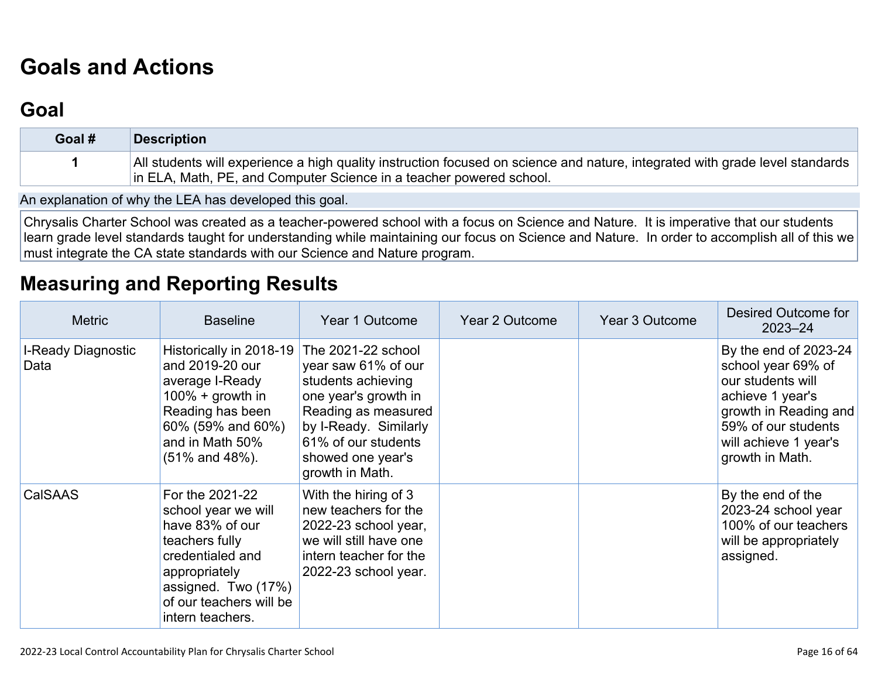# **[Goals and Actions](http://www.doc-tracking.com/screenshots/22LCAP/Instructions/22LCAPInstructions.htm#GoalsandActions)**

## **[Goal](http://www.doc-tracking.com/screenshots/22LCAP/Instructions/22LCAPInstructions.htm#goalDescription)**

| Goal # | Description                                                                                                                                                                                         |
|--------|-----------------------------------------------------------------------------------------------------------------------------------------------------------------------------------------------------|
|        | All students will experience a high quality instruction focused on science and nature, integrated with grade level standards<br>in ELA, Math, PE, and Computer Science in a teacher powered school. |

An explanation of why the LEA has developed this goal.

Chrysalis Charter School was created as a teacher-powered school with a focus on Science and Nature. It is imperative that our students learn grade level standards taught for understanding while maintaining our focus on Science and Nature. In order to accomplish all of this we must integrate the CA state standards with our Science and Nature program.

## **[Measuring and Reporting Results](http://www.doc-tracking.com/screenshots/22LCAP/Instructions/22LCAPInstructions.htm#MeasuringandReportingResults)**

| <b>Metric</b>              | <b>Baseline</b>                                                                                                                                                                        | Year 1 Outcome                                                                                                                                                                                         | Year 2 Outcome | Year 3 Outcome | Desired Outcome for<br>$2023 - 24$                                                                                                                                               |
|----------------------------|----------------------------------------------------------------------------------------------------------------------------------------------------------------------------------------|--------------------------------------------------------------------------------------------------------------------------------------------------------------------------------------------------------|----------------|----------------|----------------------------------------------------------------------------------------------------------------------------------------------------------------------------------|
| I-Ready Diagnostic<br>Data | Historically in 2018-19<br>and 2019-20 our<br>average I-Ready<br>$100\% +$ growth in<br>Reading has been<br>60% (59% and 60%)<br>and in Math 50%<br>$(51\%$ and $48\%)$ .              | The 2021-22 school<br>year saw 61% of our<br>students achieving<br>one year's growth in<br>Reading as measured<br>by I-Ready. Similarly<br>61% of our students<br>showed one year's<br>growth in Math. |                |                | By the end of 2023-24<br>school year 69% of<br>our students will<br>achieve 1 year's<br>growth in Reading and<br>59% of our students<br>will achieve 1 year's<br>growth in Math. |
| CalSAAS                    | For the 2021-22<br>school year we will<br>have 83% of our<br>teachers fully<br>credentialed and<br>appropriately<br>assigned. Two (17%)<br>of our teachers will be<br>intern teachers. | With the hiring of 3<br>new teachers for the<br>2022-23 school year,<br>we will still have one<br>intern teacher for the<br>2022-23 school year.                                                       |                |                | By the end of the<br>2023-24 school year<br>100% of our teachers<br>will be appropriately<br>assigned.                                                                           |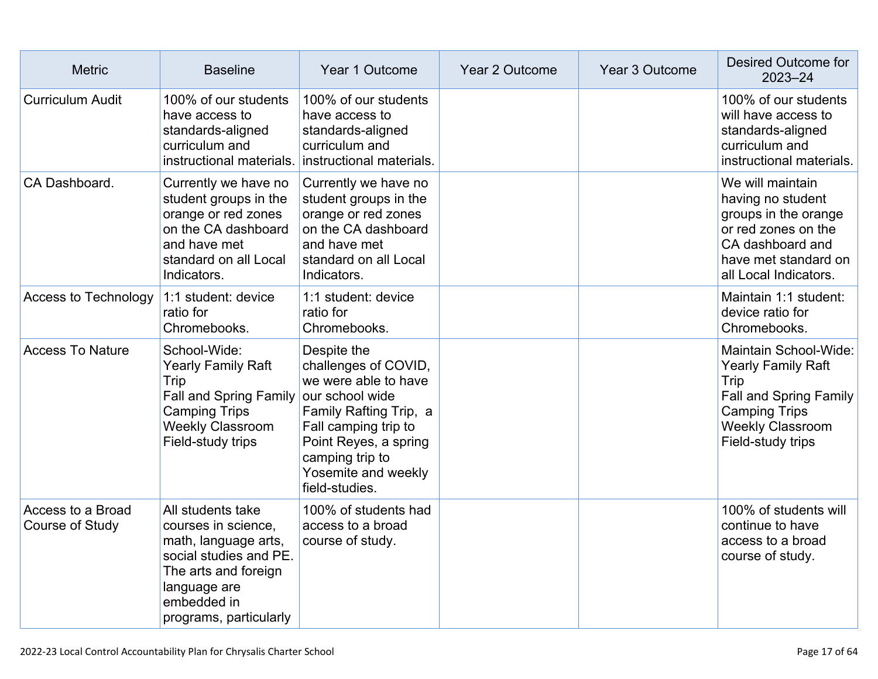| <b>Metric</b>                        | <b>Baseline</b>                                                                                                                                                             | Year 1 Outcome                                                                                                                                                                                     | Year 2 Outcome | Year 3 Outcome | Desired Outcome for<br>$2023 - 24$                                                                                                                           |
|--------------------------------------|-----------------------------------------------------------------------------------------------------------------------------------------------------------------------------|----------------------------------------------------------------------------------------------------------------------------------------------------------------------------------------------------|----------------|----------------|--------------------------------------------------------------------------------------------------------------------------------------------------------------|
| <b>Curriculum Audit</b>              | 100% of our students<br>have access to<br>standards-aligned<br>curriculum and<br>instructional materials.                                                                   | 100% of our students<br>have access to<br>standards-aligned<br>curriculum and<br>instructional materials.                                                                                          |                |                | 100% of our students<br>will have access to<br>standards-aligned<br>curriculum and<br>instructional materials.                                               |
| CA Dashboard.                        | Currently we have no<br>student groups in the<br>orange or red zones<br>on the CA dashboard<br>and have met<br>standard on all Local<br>Indicators.                         | Currently we have no<br>student groups in the<br>orange or red zones<br>on the CA dashboard<br>and have met<br>standard on all Local<br>Indicators.                                                |                |                | We will maintain<br>having no student<br>groups in the orange<br>or red zones on the<br>CA dashboard and<br>have met standard on<br>all Local Indicators.    |
| Access to Technology                 | 1:1 student: device<br>ratio for<br>Chromebooks.                                                                                                                            | 1:1 student: device<br>ratio for<br>Chromebooks.                                                                                                                                                   |                |                | Maintain 1:1 student:<br>device ratio for<br>Chromebooks.                                                                                                    |
| <b>Access To Nature</b>              | School-Wide:<br><b>Yearly Family Raft</b><br>Trip<br>Fall and Spring Family our school wide<br><b>Camping Trips</b><br><b>Weekly Classroom</b><br>Field-study trips         | Despite the<br>challenges of COVID,<br>we were able to have<br>Family Rafting Trip, a<br>Fall camping trip to<br>Point Reyes, a spring<br>camping trip to<br>Yosemite and weekly<br>field-studies. |                |                | Maintain School-Wide:<br><b>Yearly Family Raft</b><br>Trip<br>Fall and Spring Family<br><b>Camping Trips</b><br><b>Weekly Classroom</b><br>Field-study trips |
| Access to a Broad<br>Course of Study | All students take<br>courses in science,<br>math, language arts,<br>social studies and PE.<br>The arts and foreign<br>language are<br>embedded in<br>programs, particularly | 100% of students had<br>access to a broad<br>course of study.                                                                                                                                      |                |                | 100% of students will<br>continue to have<br>access to a broad<br>course of study.                                                                           |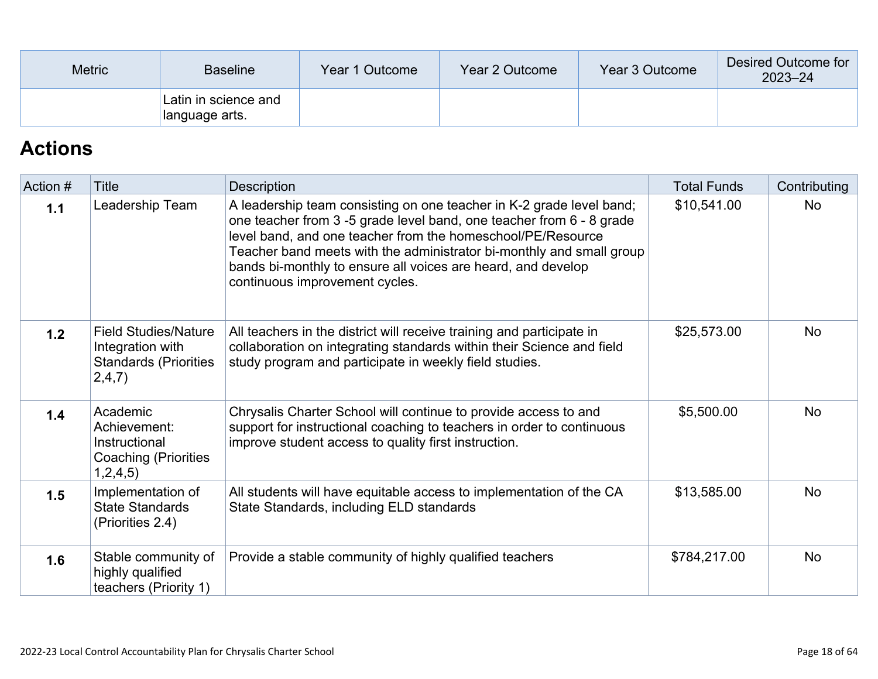| <b>Metric</b><br><b>Baseline</b> |                                        | Year 1 Outcome | Year 2 Outcome | Year 3 Outcome | Desired Outcome for<br>$2023 - 24$ |
|----------------------------------|----------------------------------------|----------------|----------------|----------------|------------------------------------|
|                                  | Latin in science and<br>language arts. |                |                |                |                                    |

## **[Actions](http://www.doc-tracking.com/screenshots/22LCAP/Instructions/22LCAPInstructions.htm#actions)**

| Action # | Title                                                                                     | Description                                                                                                                                                                                                                                                                                                                                                                          | <b>Total Funds</b> | Contributing |
|----------|-------------------------------------------------------------------------------------------|--------------------------------------------------------------------------------------------------------------------------------------------------------------------------------------------------------------------------------------------------------------------------------------------------------------------------------------------------------------------------------------|--------------------|--------------|
| 1.1      | Leadership Team                                                                           | A leadership team consisting on one teacher in K-2 grade level band;<br>one teacher from 3-5 grade level band, one teacher from 6 - 8 grade<br>level band, and one teacher from the homeschool/PE/Resource<br>Teacher band meets with the administrator bi-monthly and small group<br>bands bi-monthly to ensure all voices are heard, and develop<br>continuous improvement cycles. | \$10,541.00        | <b>No</b>    |
| 1.2      | <b>Field Studies/Nature</b><br>Integration with<br><b>Standards (Priorities</b><br>2,4,7) | All teachers in the district will receive training and participate in<br>collaboration on integrating standards within their Science and field<br>study program and participate in weekly field studies.                                                                                                                                                                             | \$25,573.00        | <b>No</b>    |
| 1.4      | Academic<br>Achievement:<br>Instructional<br><b>Coaching (Priorities</b><br>1,2,4,5)      | Chrysalis Charter School will continue to provide access to and<br>support for instructional coaching to teachers in order to continuous<br>improve student access to quality first instruction.                                                                                                                                                                                     | \$5,500.00         | <b>No</b>    |
| 1.5      | Implementation of<br><b>State Standards</b><br>(Priorities 2.4)                           | All students will have equitable access to implementation of the CA<br>State Standards, including ELD standards                                                                                                                                                                                                                                                                      | \$13,585.00        | <b>No</b>    |
| 1.6      | Stable community of<br>highly qualified<br>teachers (Priority 1)                          | Provide a stable community of highly qualified teachers                                                                                                                                                                                                                                                                                                                              | \$784,217.00       | <b>No</b>    |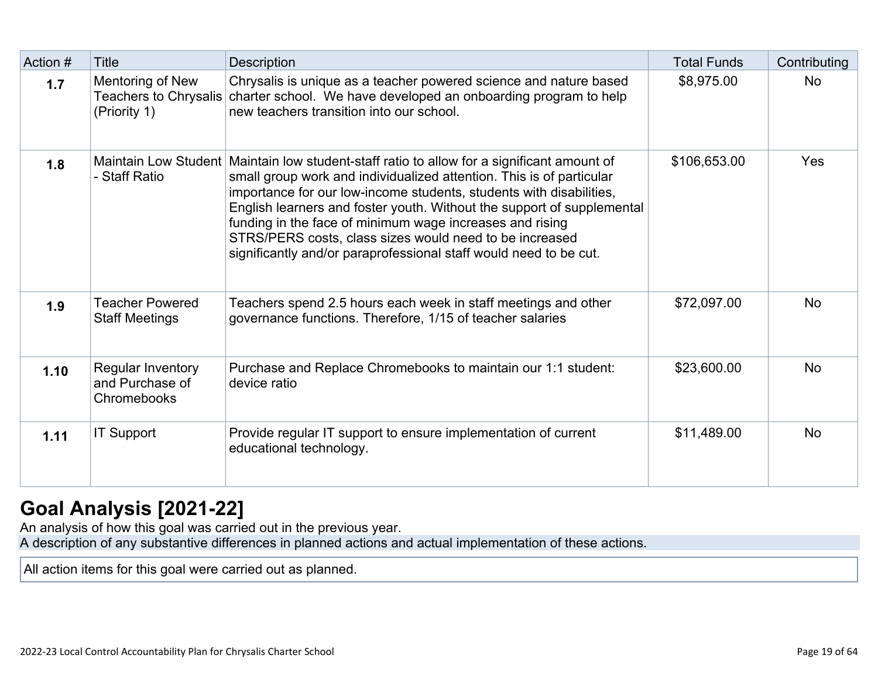| Action # | <b>Title</b>                                                     | <b>Description</b>                                                                                                                                                                                                                                                                                                                                                                                                                                                                         | <b>Total Funds</b> | Contributing |
|----------|------------------------------------------------------------------|--------------------------------------------------------------------------------------------------------------------------------------------------------------------------------------------------------------------------------------------------------------------------------------------------------------------------------------------------------------------------------------------------------------------------------------------------------------------------------------------|--------------------|--------------|
| 1.7      | Mentoring of New<br><b>Teachers to Chrysalis</b><br>(Priority 1) | Chrysalis is unique as a teacher powered science and nature based<br>charter school. We have developed an onboarding program to help<br>new teachers transition into our school.                                                                                                                                                                                                                                                                                                           | \$8,975.00         | <b>No</b>    |
| 1.8      | Maintain Low Student<br>- Staff Ratio                            | Maintain low student-staff ratio to allow for a significant amount of<br>small group work and individualized attention. This is of particular<br>importance for our low-income students, students with disabilities,<br>English learners and foster youth. Without the support of supplemental<br>funding in the face of minimum wage increases and rising<br>STRS/PERS costs, class sizes would need to be increased<br>significantly and/or paraprofessional staff would need to be cut. | \$106,653.00       | <b>Yes</b>   |
| 1.9      | <b>Teacher Powered</b><br><b>Staff Meetings</b>                  | Teachers spend 2.5 hours each week in staff meetings and other<br>governance functions. Therefore, 1/15 of teacher salaries                                                                                                                                                                                                                                                                                                                                                                | \$72,097.00        | <b>No</b>    |
| 1.10     | Regular Inventory<br>and Purchase of<br>Chromebooks              | Purchase and Replace Chromebooks to maintain our 1:1 student:<br>device ratio                                                                                                                                                                                                                                                                                                                                                                                                              | \$23,600.00        | <b>No</b>    |
| 1.11     | <b>IT Support</b>                                                | Provide regular IT support to ensure implementation of current<br>educational technology.                                                                                                                                                                                                                                                                                                                                                                                                  | \$11,489.00        | <b>No</b>    |

## **[Goal Analysis \[2021-22\]](http://www.doc-tracking.com/screenshots/22LCAP/Instructions/22LCAPInstructions.htm#GoalAnalysis)**

An analysis of how this goal was carried out in the previous year.

A description of any substantive differences in planned actions and actual implementation of these actions.

All action items for this goal were carried out as planned.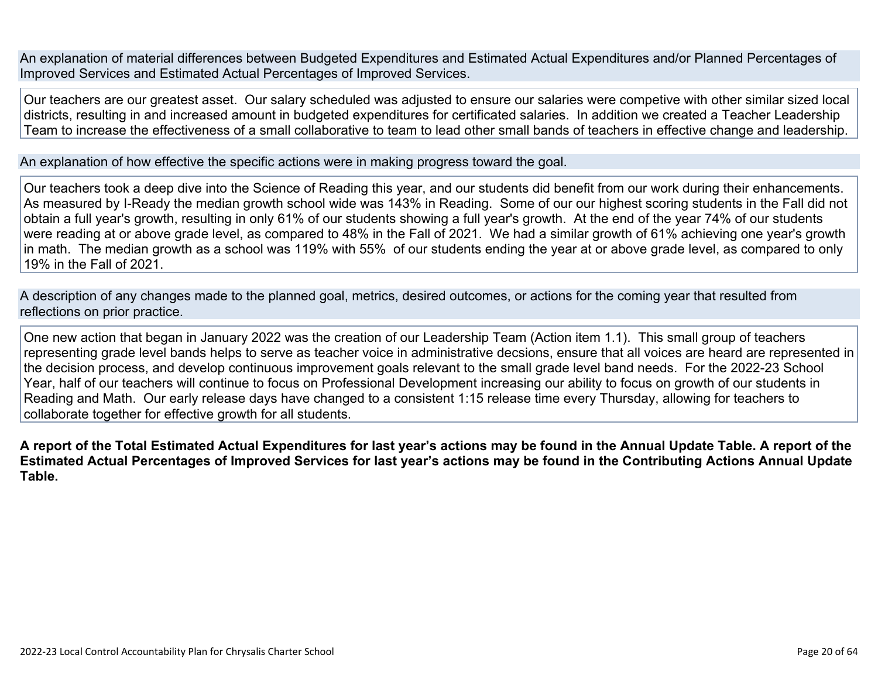An explanation of material differences between Budgeted Expenditures and Estimated Actual Expenditures and/or Planned Percentages of Improved Services and Estimated Actual Percentages of Improved Services.

Our teachers are our greatest asset. Our salary scheduled was adjusted to ensure our salaries were competive with other similar sized local districts, resulting in and increased amount in budgeted expenditures for certificated salaries. In addition we created a Teacher Leadership Team to increase the effectiveness of a small collaborative to team to lead other small bands of teachers in effective change and leadership.

An explanation of how effective the specific actions were in making progress toward the goal.

Our teachers took a deep dive into the Science of Reading this year, and our students did benefit from our work during their enhancements. As measured by I-Ready the median growth school wide was 143% in Reading. Some of our our highest scoring students in the Fall did not obtain a full year's growth, resulting in only 61% of our students showing a full year's growth. At the end of the year 74% of our students were reading at or above grade level, as compared to 48% in the Fall of 2021. We had a similar growth of 61% achieving one year's growth in math. The median growth as a school was 119% with 55% of our students ending the year at or above grade level, as compared to only 19% in the Fall of 2021.

A description of any changes made to the planned goal, metrics, desired outcomes, or actions for the coming year that resulted from reflections on prior practice.

One new action that began in January 2022 was the creation of our Leadership Team (Action item 1.1). This small group of teachers representing grade level bands helps to serve as teacher voice in administrative decsions, ensure that all voices are heard are represented in the decision process, and develop continuous improvement goals relevant to the small grade level band needs. For the 2022-23 School Year, half of our teachers will continue to focus on Professional Development increasing our ability to focus on growth of our students in Reading and Math. Our early release days have changed to a consistent 1:15 release time every Thursday, allowing for teachers to collaborate together for effective growth for all students.

**A report of the Total Estimated Actual Expenditures for last year's actions may be found in the Annual Update Table. A report of the Estimated Actual Percentages of Improved Services for last year's actions may be found in the Contributing Actions Annual Update Table.**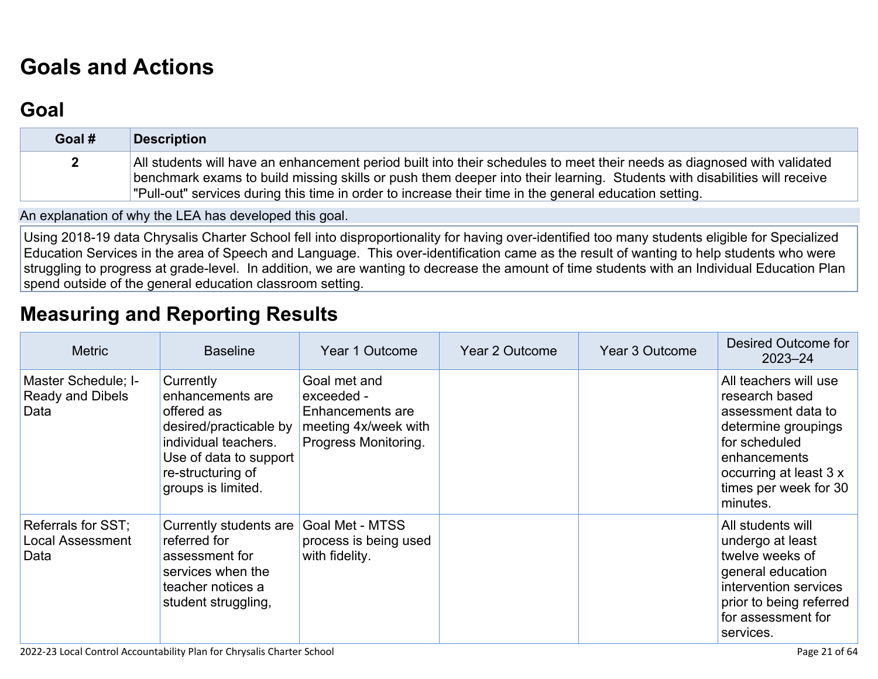# **[Goals and Actions](http://www.doc-tracking.com/screenshots/22LCAP/Instructions/22LCAPInstructions.htm#GoalsandActions)**

## **[Goal](http://www.doc-tracking.com/screenshots/22LCAP/Instructions/22LCAPInstructions.htm#goalDescription)**

| Goal #       | <b>Description</b>                                                                                                                                                                                                                                                                                                                                            |
|--------------|---------------------------------------------------------------------------------------------------------------------------------------------------------------------------------------------------------------------------------------------------------------------------------------------------------------------------------------------------------------|
| $\mathbf{2}$ | All students will have an enhancement period built into their schedules to meet their needs as diagnosed with validated<br>benchmark exams to build missing skills or push them deeper into their learning. Students with disabilities will receive<br>"Pull-out" services during this time in order to increase their time in the general education setting. |

An explanation of why the LEA has developed this goal.

Using 2018-19 data Chrysalis Charter School fell into disproportionality for having over-identified too many students eligible for Specialized Education Services in the area of Speech and Language. This over-identification came as the result of wanting to help students who were struggling to progress at grade-level. In addition, we are wanting to decrease the amount of time students with an Individual Education Plan spend outside of the general education classroom setting.

## **[Measuring and Reporting Results](http://www.doc-tracking.com/screenshots/22LCAP/Instructions/22LCAPInstructions.htm#MeasuringandReportingResults)**

| <b>Metric</b>                                          | <b>Baseline</b>                                                                                                                                                    | Year 1 Outcome                                                                                 | <b>Year 2 Outcome</b> | Year 3 Outcome | Desired Outcome for<br>$2023 - 24$                                                                                                                                                   |
|--------------------------------------------------------|--------------------------------------------------------------------------------------------------------------------------------------------------------------------|------------------------------------------------------------------------------------------------|-----------------------|----------------|--------------------------------------------------------------------------------------------------------------------------------------------------------------------------------------|
| Master Schedule; I-<br><b>Ready and Dibels</b><br>Data | Currently<br>enhancements are<br>offered as<br>desired/practicable by<br>individual teachers.<br>Use of data to support<br>re-structuring of<br>groups is limited. | Goal met and<br>exceeded -<br>Enhancements are<br>meeting 4x/week with<br>Progress Monitoring. |                       |                | All teachers will use<br>research based<br>assessment data to<br>determine groupings<br>for scheduled<br>enhancements<br>occurring at least 3 x<br>times per week for 30<br>minutes. |
| Referrals for SST;<br><b>Local Assessment</b><br>Data  | Currently students are<br>referred for<br>assessment for<br>services when the<br>teacher notices a<br>student struggling,                                          | Goal Met - MTSS<br>process is being used<br>with fidelity.                                     |                       |                | All students will<br>undergo at least<br>twelve weeks of<br>general education<br>intervention services<br>prior to being referred<br>for assessment for<br>services.                 |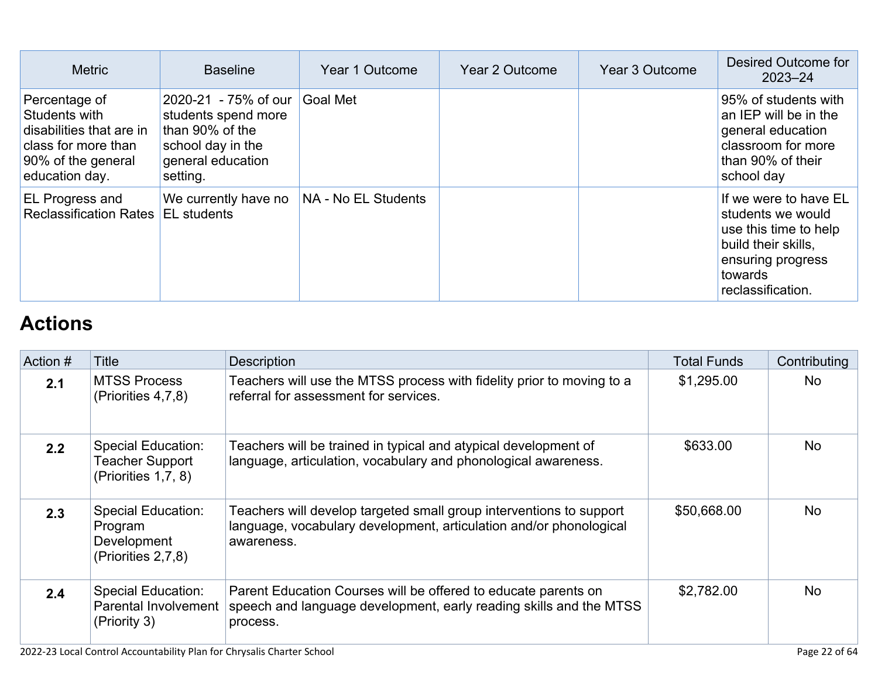| <b>Metric</b>                                                                                                             | <b>Baseline</b>                                                                                                      | Year 1 Outcome      | Year 2 Outcome | Year 3 Outcome | Desired Outcome for<br>$2023 - 24$                                                                                                              |
|---------------------------------------------------------------------------------------------------------------------------|----------------------------------------------------------------------------------------------------------------------|---------------------|----------------|----------------|-------------------------------------------------------------------------------------------------------------------------------------------------|
| Percentage of<br>Students with<br>disabilities that are in<br>class for more than<br>90% of the general<br>education day. | 2020-21 - 75% of our<br>students spend more<br>than 90% of the<br>school day in the<br>general education<br>setting. | <b>Goal Met</b>     |                |                | 95% of students with<br>an IEP will be in the<br>general education<br>classroom for more<br>than 90% of their<br>school day                     |
| <b>EL Progress and</b><br><b>Reclassification Rates</b>                                                                   | We currently have no<br><b>EL</b> students                                                                           | NA - No EL Students |                |                | If we were to have EL<br>students we would<br>use this time to help<br>build their skills,<br>ensuring progress<br>towards<br>reclassification. |

# **[Actions](http://www.doc-tracking.com/screenshots/22LCAP/Instructions/22LCAPInstructions.htm#actions)**

| Action # | Title                                                                     | <b>Description</b>                                                                                                                                      | <b>Total Funds</b> | Contributing |
|----------|---------------------------------------------------------------------------|---------------------------------------------------------------------------------------------------------------------------------------------------------|--------------------|--------------|
| 2.1      | <b>MTSS Process</b><br>(Priorities 4,7,8)                                 | Teachers will use the MTSS process with fidelity prior to moving to a<br>referral for assessment for services.                                          | \$1,295.00         | <b>No</b>    |
| 2.2      | Special Education:<br><b>Teacher Support</b><br>(Priorities 1,7, 8)       | Teachers will be trained in typical and atypical development of<br>language, articulation, vocabulary and phonological awareness.                       | \$633.00           | <b>No</b>    |
| 2.3      | <b>Special Education:</b><br>Program<br>Development<br>(Priorities 2,7,8) | Teachers will develop targeted small group interventions to support<br>language, vocabulary development, articulation and/or phonological<br>awareness. | \$50,668.00        | <b>No</b>    |
| 2.4      | Special Education:<br><b>Parental Involvement</b><br>(Priority 3)         | Parent Education Courses will be offered to educate parents on<br>speech and language development, early reading skills and the MTSS<br>process.        | \$2,782.00         | <b>No</b>    |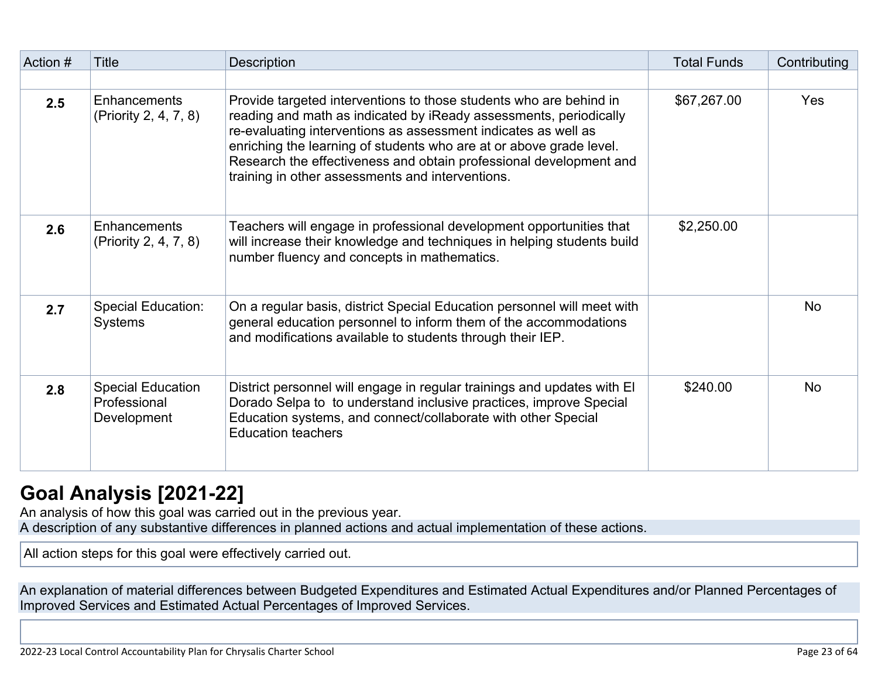| Action # | <b>Title</b>                                            | Description                                                                                                                                                                                                                                                                                                                                                                                                | <b>Total Funds</b> | Contributing |
|----------|---------------------------------------------------------|------------------------------------------------------------------------------------------------------------------------------------------------------------------------------------------------------------------------------------------------------------------------------------------------------------------------------------------------------------------------------------------------------------|--------------------|--------------|
|          |                                                         |                                                                                                                                                                                                                                                                                                                                                                                                            |                    |              |
| 2.5      | Enhancements<br>(Priority 2, 4, 7, 8)                   | Provide targeted interventions to those students who are behind in<br>reading and math as indicated by iReady assessments, periodically<br>re-evaluating interventions as assessment indicates as well as<br>enriching the learning of students who are at or above grade level.<br>Research the effectiveness and obtain professional development and<br>training in other assessments and interventions. | \$67,267.00        | <b>Yes</b>   |
| 2.6      | Enhancements<br>(Priority 2, 4, 7, 8)                   | Teachers will engage in professional development opportunities that<br>will increase their knowledge and techniques in helping students build<br>number fluency and concepts in mathematics.                                                                                                                                                                                                               | \$2,250.00         |              |
| 2.7      | <b>Special Education:</b><br>Systems                    | On a regular basis, district Special Education personnel will meet with<br>general education personnel to inform them of the accommodations<br>and modifications available to students through their IEP.                                                                                                                                                                                                  |                    | <b>No</b>    |
| 2.8      | <b>Special Education</b><br>Professional<br>Development | District personnel will engage in regular trainings and updates with El<br>Dorado Selpa to to understand inclusive practices, improve Special<br>Education systems, and connect/collaborate with other Special<br><b>Education teachers</b>                                                                                                                                                                | \$240.00           | <b>No</b>    |

## **[Goal Analysis \[2021-22\]](http://www.doc-tracking.com/screenshots/22LCAP/Instructions/22LCAPInstructions.htm#GoalAnalysis)**

An analysis of how this goal was carried out in the previous year. A description of any substantive differences in planned actions and actual implementation of these actions.

All action steps for this goal were effectively carried out.

An explanation of material differences between Budgeted Expenditures and Estimated Actual Expenditures and/or Planned Percentages of Improved Services and Estimated Actual Percentages of Improved Services.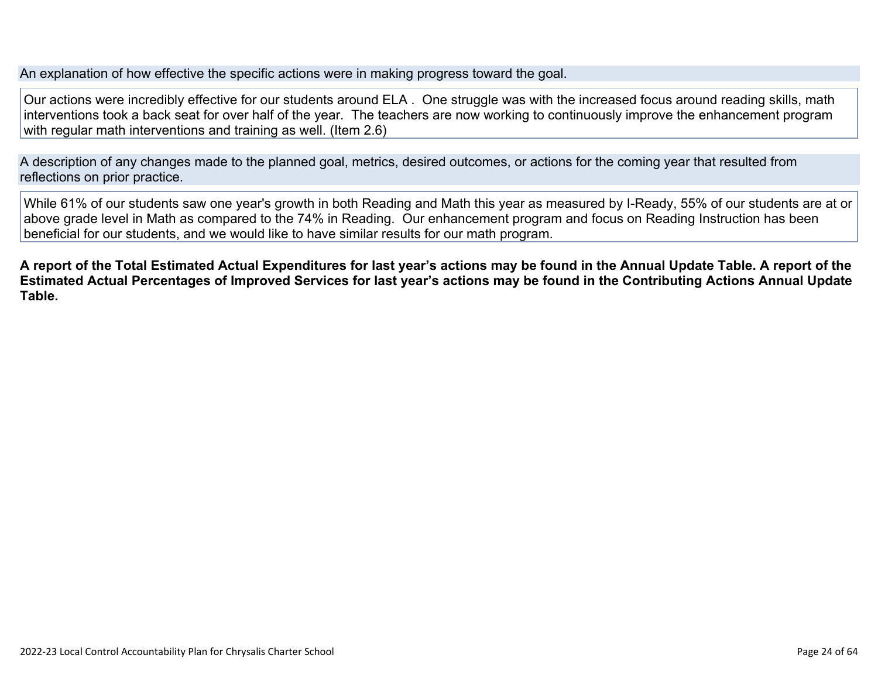An explanation of how effective the specific actions were in making progress toward the goal.

Our actions were incredibly effective for our students around ELA . One struggle was with the increased focus around reading skills, math interventions took a back seat for over half of the year. The teachers are now working to continuously improve the enhancement program with regular math interventions and training as well. (Item 2.6)

A description of any changes made to the planned goal, metrics, desired outcomes, or actions for the coming year that resulted from reflections on prior practice.

While 61% of our students saw one year's growth in both Reading and Math this year as measured by I-Ready, 55% of our students are at or above grade level in Math as compared to the 74% in Reading. Our enhancement program and focus on Reading Instruction has been beneficial for our students, and we would like to have similar results for our math program.

**A report of the Total Estimated Actual Expenditures for last year's actions may be found in the Annual Update Table. A report of the Estimated Actual Percentages of Improved Services for last year's actions may be found in the Contributing Actions Annual Update Table.**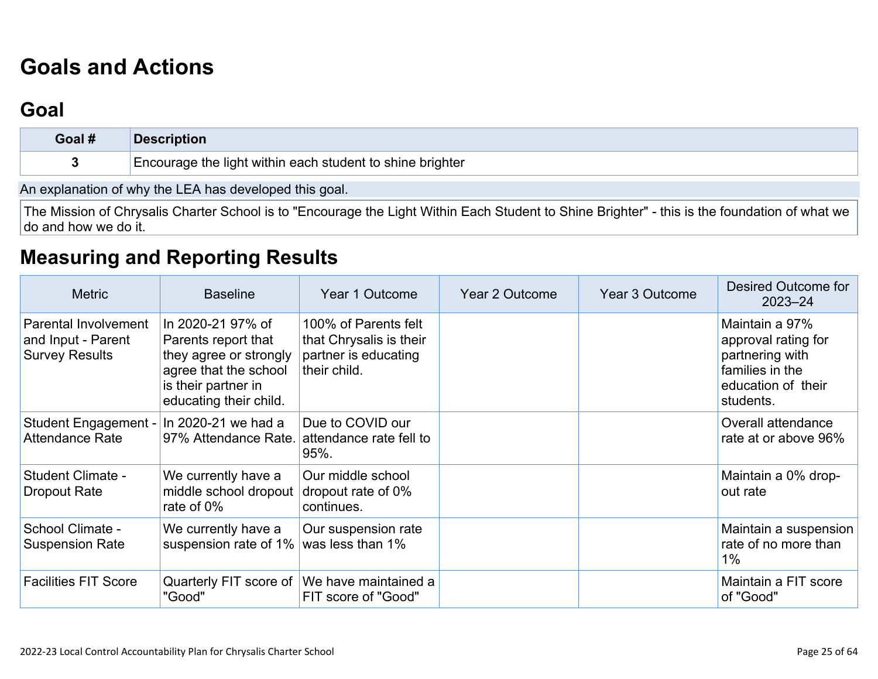# **[Goals and Actions](http://www.doc-tracking.com/screenshots/22LCAP/Instructions/22LCAPInstructions.htm#GoalsandActions)**

## **[Goal](http://www.doc-tracking.com/screenshots/22LCAP/Instructions/22LCAPInstructions.htm#goalDescription)**

| Goal #                                                | <b>Description</b>                                        |  |  |  |  |  |
|-------------------------------------------------------|-----------------------------------------------------------|--|--|--|--|--|
|                                                       | Encourage the light within each student to shine brighter |  |  |  |  |  |
| An ovelapation of why the LEA has developed this goal |                                                           |  |  |  |  |  |

An explanation of why the LEA has developed this goal.

The Mission of Chrysalis Charter School is to "Encourage the Light Within Each Student to Shine Brighter" - this is the foundation of what we do and how we do it.

## **[Measuring and Reporting Results](http://www.doc-tracking.com/screenshots/22LCAP/Instructions/22LCAPInstructions.htm#MeasuringandReportingResults)**

| <b>Metric</b>                                                       | <b>Baseline</b>                                                                                                                              | Year 1 Outcome                                                                          | Year 2 Outcome | Year 3 Outcome | Desired Outcome for<br>$2023 - 24$                                                                             |
|---------------------------------------------------------------------|----------------------------------------------------------------------------------------------------------------------------------------------|-----------------------------------------------------------------------------------------|----------------|----------------|----------------------------------------------------------------------------------------------------------------|
| Parental Involvement<br>and Input - Parent<br><b>Survey Results</b> | In 2020-21 97% of<br>Parents report that<br>they agree or strongly<br>agree that the school<br>is their partner in<br>educating their child. | 100% of Parents felt<br>that Chrysalis is their<br>partner is educating<br>their child. |                |                | Maintain a 97%<br>approval rating for<br>partnering with<br>families in the<br>education of their<br>students. |
| Student Engagement -<br><b>Attendance Rate</b>                      | In 2020-21 we had a<br>97% Attendance Rate.                                                                                                  | Due to COVID our<br>attendance rate fell to<br>95%.                                     |                |                | Overall attendance<br>rate at or above 96%                                                                     |
| Student Climate -<br>Dropout Rate                                   | We currently have a<br>middle school dropout<br>rate of 0%                                                                                   | Our middle school<br>dropout rate of 0%<br>continues.                                   |                |                | Maintain a 0% drop-<br>out rate                                                                                |
| School Climate -<br><b>Suspension Rate</b>                          | We currently have a<br>suspension rate of 1%                                                                                                 | Our suspension rate<br>was less than 1%                                                 |                |                | Maintain a suspension<br>rate of no more than<br>$1\%$                                                         |
| <b>Facilities FIT Score</b>                                         | "Good"                                                                                                                                       | Quarterly FIT score of We have maintained a<br>FIT score of "Good"                      |                |                | Maintain a FIT score<br>of "Good"                                                                              |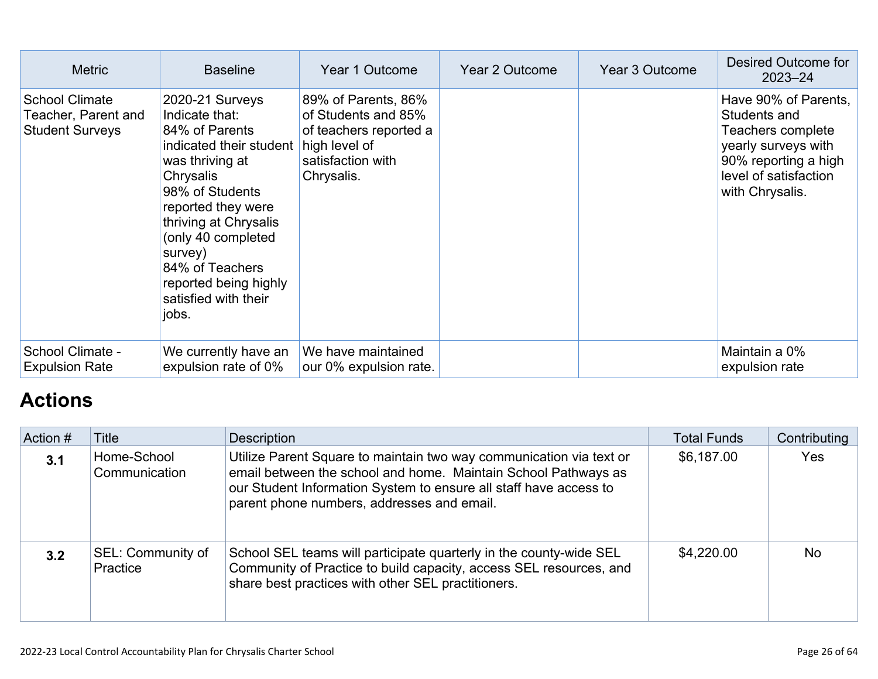| <b>Metric</b>                                                          | <b>Baseline</b>                                                                                                                                                                                                                                                                                | Year 1 Outcome                                                                                                           | <b>Year 2 Outcome</b> | Year 3 Outcome | Desired Outcome for<br>$2023 - 24$                                                                                                                   |
|------------------------------------------------------------------------|------------------------------------------------------------------------------------------------------------------------------------------------------------------------------------------------------------------------------------------------------------------------------------------------|--------------------------------------------------------------------------------------------------------------------------|-----------------------|----------------|------------------------------------------------------------------------------------------------------------------------------------------------------|
| <b>School Climate</b><br>Teacher, Parent and<br><b>Student Surveys</b> | 2020-21 Surveys<br>Indicate that:<br>84% of Parents<br>indicated their student<br>was thriving at<br>Chrysalis<br>98% of Students<br>reported they were<br>thriving at Chrysalis<br>(only 40 completed<br>survey)<br>84% of Teachers<br>reported being highly<br>satisfied with their<br>jobs. | 89% of Parents, 86%<br>of Students and 85%<br>of teachers reported a<br>high level of<br>satisfaction with<br>Chrysalis. |                       |                | Have 90% of Parents.<br>Students and<br>Teachers complete<br>yearly surveys with<br>90% reporting a high<br>level of satisfaction<br>with Chrysalis. |
| School Climate -<br><b>Expulsion Rate</b>                              | We currently have an<br>expulsion rate of 0%                                                                                                                                                                                                                                                   | We have maintained<br>our 0% expulsion rate.                                                                             |                       |                | Maintain a 0%<br>expulsion rate                                                                                                                      |

## **[Actions](http://www.doc-tracking.com/screenshots/22LCAP/Instructions/22LCAPInstructions.htm#actions)**

| Action # | Title                         | Description                                                                                                                                                                                                                                              | <b>Total Funds</b> | Contributing |
|----------|-------------------------------|----------------------------------------------------------------------------------------------------------------------------------------------------------------------------------------------------------------------------------------------------------|--------------------|--------------|
| 3.1      | Home-School<br>Communication  | Utilize Parent Square to maintain two way communication via text or<br>email between the school and home. Maintain School Pathways as<br>our Student Information System to ensure all staff have access to<br>parent phone numbers, addresses and email. | \$6,187.00         | Yes          |
| 3.2      | SEL: Community of<br>Practice | School SEL teams will participate quarterly in the county-wide SEL<br>Community of Practice to build capacity, access SEL resources, and<br>share best practices with other SEL practitioners.                                                           | \$4,220.00         | <b>No</b>    |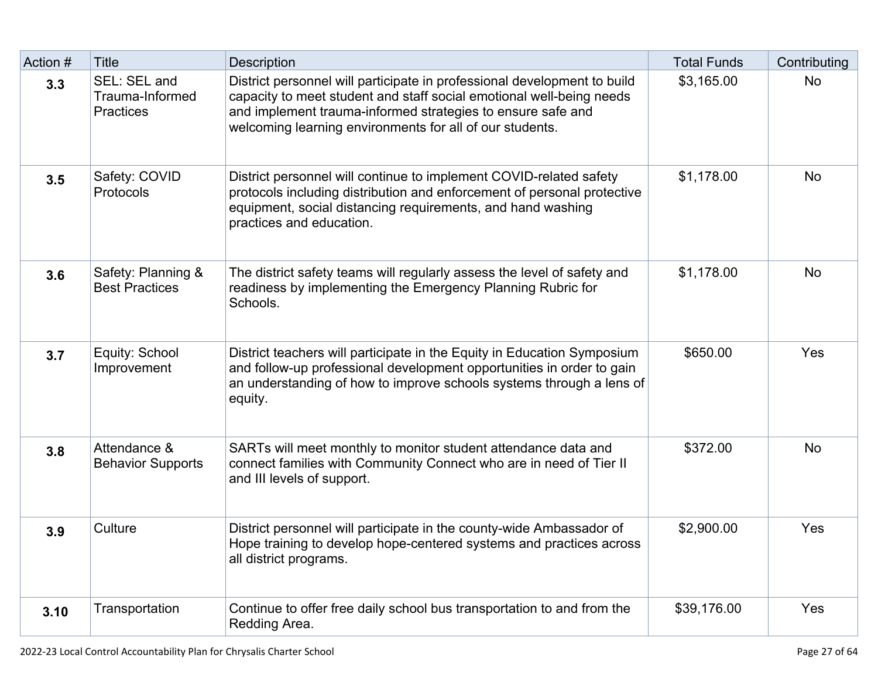| Action # | <b>Title</b>                                        | <b>Description</b>                                                                                                                                                                                                                                                          | <b>Total Funds</b> | Contributing |
|----------|-----------------------------------------------------|-----------------------------------------------------------------------------------------------------------------------------------------------------------------------------------------------------------------------------------------------------------------------------|--------------------|--------------|
| 3.3      | SEL: SEL and<br>Trauma-Informed<br><b>Practices</b> | District personnel will participate in professional development to build<br>capacity to meet student and staff social emotional well-being needs<br>and implement trauma-informed strategies to ensure safe and<br>welcoming learning environments for all of our students. | \$3,165.00         | <b>No</b>    |
| 3.5      | Safety: COVID<br>Protocols                          | District personnel will continue to implement COVID-related safety<br>protocols including distribution and enforcement of personal protective<br>equipment, social distancing requirements, and hand washing<br>practices and education.                                    | \$1,178.00         | <b>No</b>    |
| 3.6      | Safety: Planning &<br><b>Best Practices</b>         | The district safety teams will regularly assess the level of safety and<br>readiness by implementing the Emergency Planning Rubric for<br>Schools.                                                                                                                          | \$1,178.00         | <b>No</b>    |
| 3.7      | Equity: School<br>Improvement                       | District teachers will participate in the Equity in Education Symposium<br>and follow-up professional development opportunities in order to gain<br>an understanding of how to improve schools systems through a lens of<br>equity.                                         | \$650.00           | Yes          |
| 3.8      | Attendance &<br><b>Behavior Supports</b>            | SARTs will meet monthly to monitor student attendance data and<br>connect families with Community Connect who are in need of Tier II<br>and III levels of support.                                                                                                          | \$372.00           | <b>No</b>    |
| 3.9      | Culture                                             | District personnel will participate in the county-wide Ambassador of<br>Hope training to develop hope-centered systems and practices across<br>all district programs.                                                                                                       | \$2,900.00         | Yes          |
| 3.10     | Transportation                                      | Continue to offer free daily school bus transportation to and from the<br>Redding Area.                                                                                                                                                                                     | \$39,176.00        | Yes          |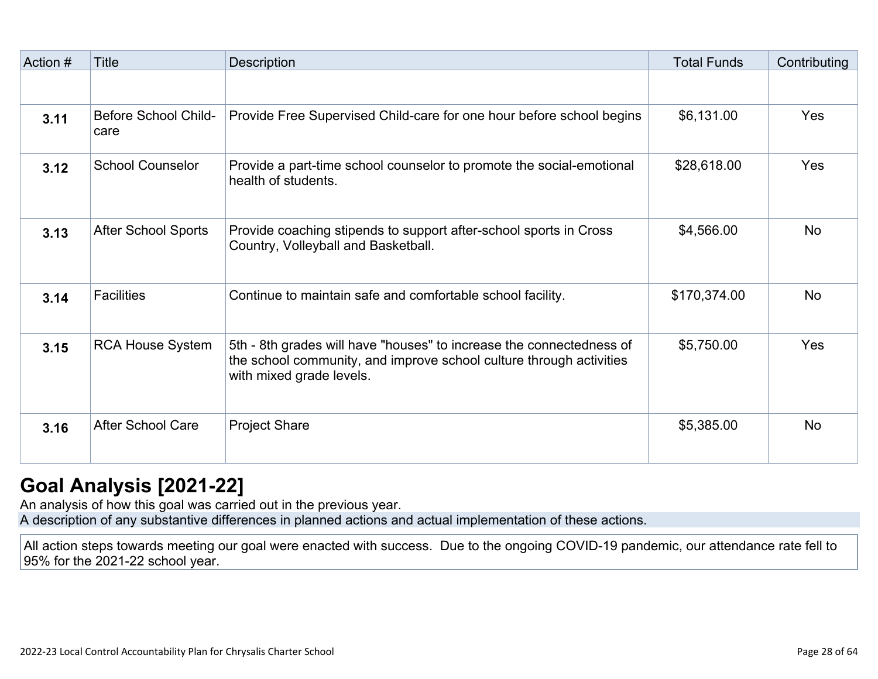| Action # | <b>Title</b>                        | Description                                                                                                                                                             | <b>Total Funds</b> | Contributing |
|----------|-------------------------------------|-------------------------------------------------------------------------------------------------------------------------------------------------------------------------|--------------------|--------------|
|          |                                     |                                                                                                                                                                         |                    |              |
| 3.11     | <b>Before School Child-</b><br>care | Provide Free Supervised Child-care for one hour before school begins                                                                                                    | \$6,131.00         | Yes          |
| 3.12     | <b>School Counselor</b>             | Provide a part-time school counselor to promote the social-emotional<br>health of students.                                                                             | \$28,618.00        | Yes          |
| 3.13     | <b>After School Sports</b>          | Provide coaching stipends to support after-school sports in Cross<br>Country, Volleyball and Basketball.                                                                | \$4,566.00         | <b>No</b>    |
| 3.14     | <b>Facilities</b>                   | Continue to maintain safe and comfortable school facility.                                                                                                              | \$170,374.00       | <b>No</b>    |
| 3.15     | <b>RCA House System</b>             | 5th - 8th grades will have "houses" to increase the connectedness of<br>the school community, and improve school culture through activities<br>with mixed grade levels. | \$5,750.00         | Yes          |
| 3.16     | <b>After School Care</b>            | <b>Project Share</b>                                                                                                                                                    | \$5,385.00         | <b>No</b>    |

## **[Goal Analysis \[2021-22\]](http://www.doc-tracking.com/screenshots/22LCAP/Instructions/22LCAPInstructions.htm#GoalAnalysis)**

An analysis of how this goal was carried out in the previous year. A description of any substantive differences in planned actions and actual implementation of these actions.

All action steps towards meeting our goal were enacted with success. Due to the ongoing COVID-19 pandemic, our attendance rate fell to 95% for the 2021-22 school year.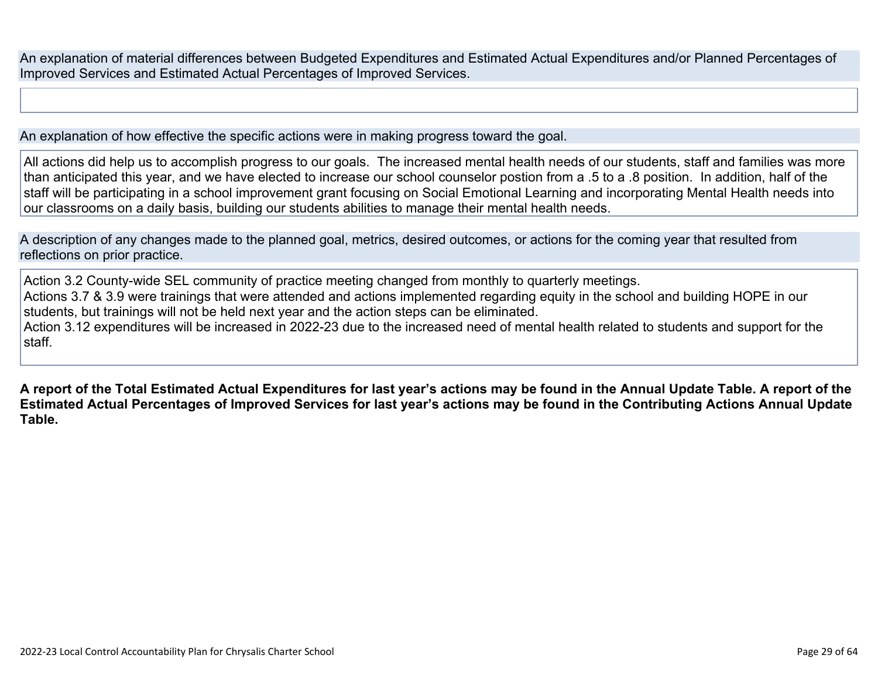An explanation of material differences between Budgeted Expenditures and Estimated Actual Expenditures and/or Planned Percentages of Improved Services and Estimated Actual Percentages of Improved Services.

An explanation of how effective the specific actions were in making progress toward the goal.

All actions did help us to accomplish progress to our goals. The increased mental health needs of our students, staff and families was more than anticipated this year, and we have elected to increase our school counselor postion from a .5 to a .8 position. In addition, half of the staff will be participating in a school improvement grant focusing on Social Emotional Learning and incorporating Mental Health needs into our classrooms on a daily basis, building our students abilities to manage their mental health needs.

A description of any changes made to the planned goal, metrics, desired outcomes, or actions for the coming year that resulted from reflections on prior practice.

Action 3.2 County-wide SEL community of practice meeting changed from monthly to quarterly meetings. Actions 3.7 & 3.9 were trainings that were attended and actions implemented regarding equity in the school and building HOPE in our students, but trainings will not be held next year and the action steps can be eliminated. Action 3.12 expenditures will be increased in 2022-23 due to the increased need of mental health related to students and support for the staff.

**A report of the Total Estimated Actual Expenditures for last year's actions may be found in the Annual Update Table. A report of the Estimated Actual Percentages of Improved Services for last year's actions may be found in the Contributing Actions Annual Update Table.**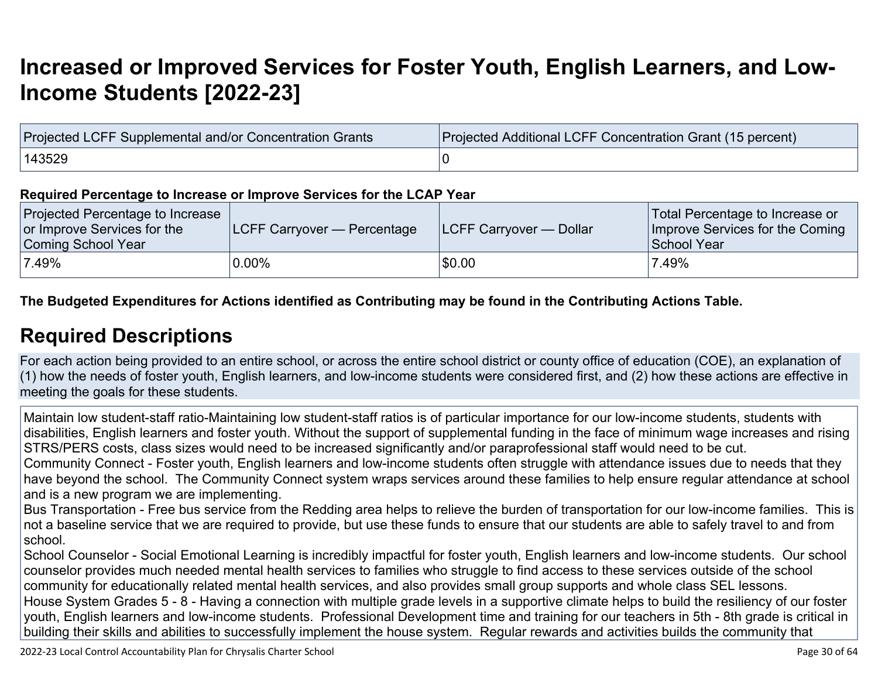# **[Increased or Improved Services for Foster Youth, English Learners, and Low-](http://www.doc-tracking.com/screenshots/22LCAP/Instructions/22LCAPInstructions.htm#IncreasedImprovedServices)[Income Students \[2022-23\]](http://www.doc-tracking.com/screenshots/22LCAP/Instructions/22LCAPInstructions.htm#IncreasedImprovedServices)**

| Projected LCFF Supplemental and/or Concentration Grants | Projected Additional LCFF Concentration Grant (15 percent) |  |  |  |  |
|---------------------------------------------------------|------------------------------------------------------------|--|--|--|--|
| 143529                                                  |                                                            |  |  |  |  |

#### **Required Percentage to Increase or Improve Services for the LCAP Year**

| Projected Percentage to Increase<br>or Improve Services for the<br>Coming School Year | LCFF Carryover — Percentage | <b>LCFF Carryover — Dollar</b> | Total Percentage to Increase or<br>Improve Services for the Coming<br>School Year |
|---------------------------------------------------------------------------------------|-----------------------------|--------------------------------|-----------------------------------------------------------------------------------|
| 7.49%                                                                                 | $0.00\%$                    | \$0.00                         | 7.49%                                                                             |

**The Budgeted Expenditures for Actions identified as Contributing may be found in the Contributing Actions Table.**

### **[Required Descriptions](http://www.doc-tracking.com/screenshots/22LCAP/Instructions/22LCAPInstructions.htm#RequiredDescriptions)**

For each action being provided to an entire school, or across the entire school district or county office of education (COE), an explanation of (1) how the needs of foster youth, English learners, and low-income students were considered first, and (2) how these actions are effective in meeting the goals for these students.

Maintain low student-staff ratio-Maintaining low student-staff ratios is of particular importance for our low-income students, students with disabilities, English learners and foster youth. Without the support of supplemental funding in the face of minimum wage increases and rising STRS/PERS costs, class sizes would need to be increased significantly and/or paraprofessional staff would need to be cut.

Community Connect - Foster youth, English learners and low-income students often struggle with attendance issues due to needs that they have beyond the school. The Community Connect system wraps services around these families to help ensure regular attendance at school and is a new program we are implementing.

Bus Transportation - Free bus service from the Redding area helps to relieve the burden of transportation for our low-income families. This is not a baseline service that we are required to provide, but use these funds to ensure that our students are able to safely travel to and from school.

School Counselor - Social Emotional Learning is incredibly impactful for foster youth, English learners and low-income students. Our school counselor provides much needed mental health services to families who struggle to find access to these services outside of the school community for educationally related mental health services, and also provides small group supports and whole class SEL lessons. House System Grades 5 - 8 - Having a connection with multiple grade levels in a supportive climate helps to build the resiliency of our foster youth, English learners and low-income students. Professional Development time and training for our teachers in 5th - 8th grade is critical in building their skills and abilities to successfully implement the house system. Regular rewards and activities builds the community that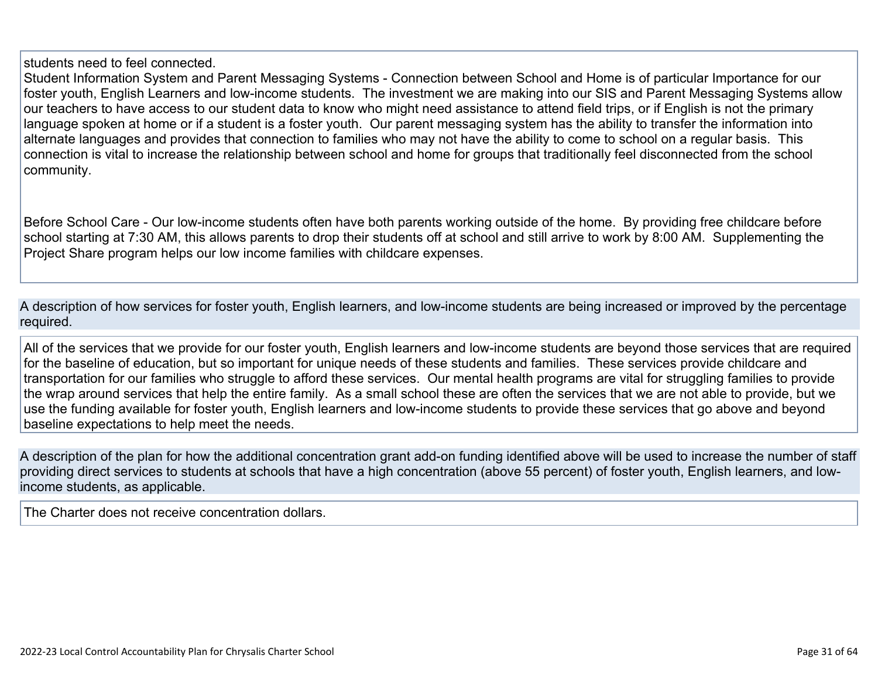students need to feel connected.

Student Information System and Parent Messaging Systems - Connection between School and Home is of particular Importance for our foster youth, English Learners and low-income students. The investment we are making into our SIS and Parent Messaging Systems allow our teachers to have access to our student data to know who might need assistance to attend field trips, or if English is not the primary language spoken at home or if a student is a foster youth. Our parent messaging system has the ability to transfer the information into alternate languages and provides that connection to families who may not have the ability to come to school on a regular basis. This connection is vital to increase the relationship between school and home for groups that traditionally feel disconnected from the school community.

Before School Care - Our low-income students often have both parents working outside of the home. By providing free childcare before school starting at 7:30 AM, this allows parents to drop their students off at school and still arrive to work by 8:00 AM. Supplementing the Project Share program helps our low income families with childcare expenses.

A description of how services for foster youth, English learners, and low-income students are being increased or improved by the percentage required.

All of the services that we provide for our foster youth, English learners and low-income students are beyond those services that are required for the baseline of education, but so important for unique needs of these students and families. These services provide childcare and transportation for our families who struggle to afford these services. Our mental health programs are vital for struggling families to provide the wrap around services that help the entire family. As a small school these are often the services that we are not able to provide, but we use the funding available for foster youth, English learners and low-income students to provide these services that go above and beyond baseline expectations to help meet the needs.

A description of the plan for how the additional concentration grant add-on funding identified above will be used to increase the number of staff providing direct services to students at schools that have a high concentration (above 55 percent) of foster youth, English learners, and lowincome students, as applicable.

The Charter does not receive concentration dollars.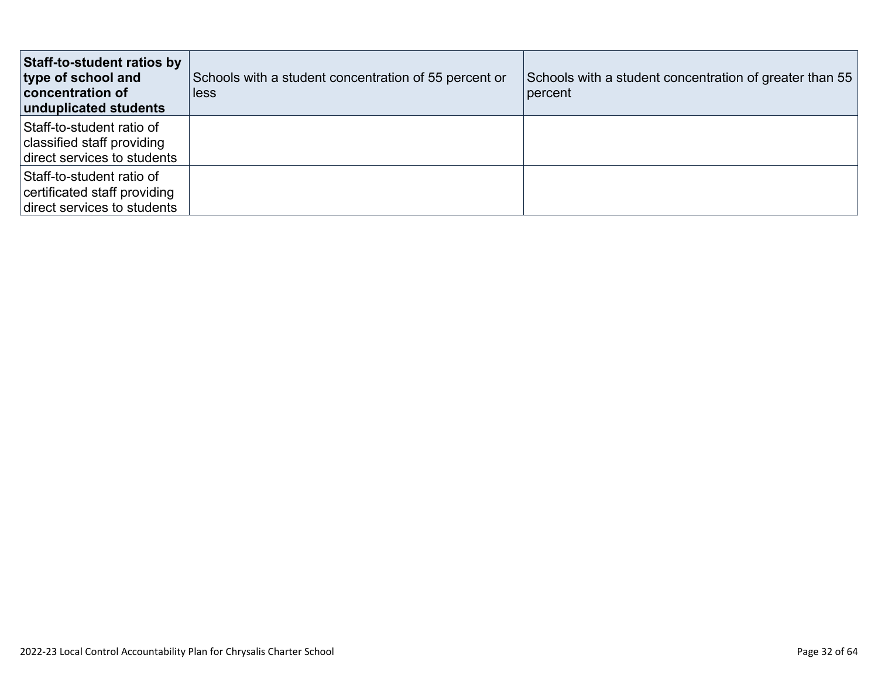| Staff-to-student ratios by<br>type of school and<br>concentration of<br>unduplicated students | Schools with a student concentration of 55 percent or<br>less | Schools with a student concentration of greater than 55<br>percent |
|-----------------------------------------------------------------------------------------------|---------------------------------------------------------------|--------------------------------------------------------------------|
| Staff-to-student ratio of<br>classified staff providing<br>direct services to students        |                                                               |                                                                    |
| Staff-to-student ratio of<br>certificated staff providing<br>direct services to students      |                                                               |                                                                    |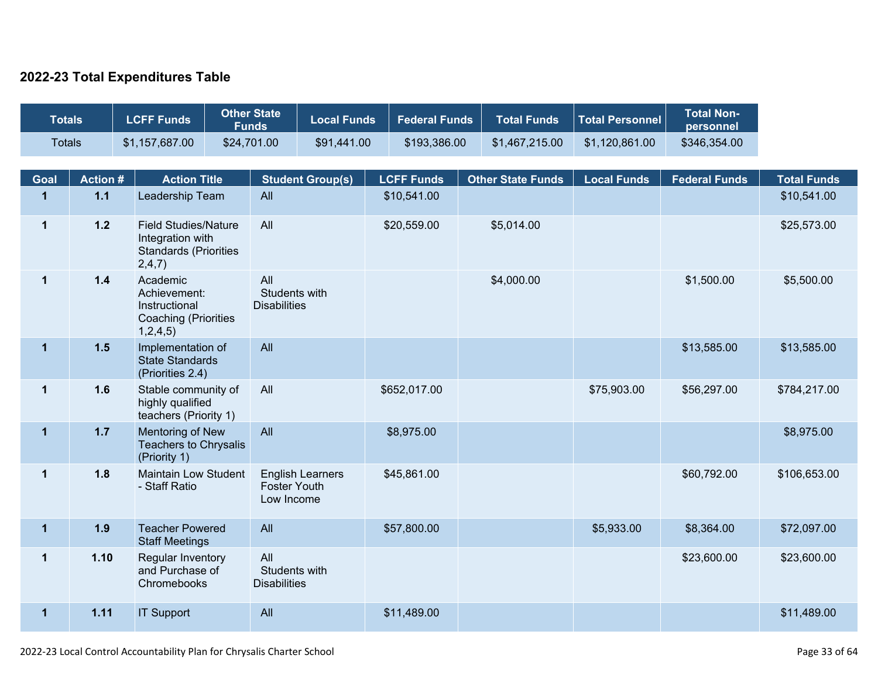### **2022-23 Total Expenditures Table**

| <b>Other State</b><br><b>LCFF Funds</b><br><b>Totals</b><br><b>Funds</b> |                | <b>Local Funds</b>                                                                        |                                             | <b>Federal Funds</b>                                         | <b>Total Funds</b> | <b>Total Personnel</b> | <b>Total Non-</b><br>personnel |                    |                      |                    |
|--------------------------------------------------------------------------|----------------|-------------------------------------------------------------------------------------------|---------------------------------------------|--------------------------------------------------------------|--------------------|------------------------|--------------------------------|--------------------|----------------------|--------------------|
| <b>Totals</b>                                                            |                | \$1,157,687.00                                                                            | \$24,701.00                                 | \$91,441.00                                                  |                    | \$193,386.00           | \$1,467,215.00                 | \$1,120,861.00     | \$346,354.00         |                    |
| Goal                                                                     | <b>Action#</b> | <b>Action Title</b>                                                                       |                                             | <b>Student Group(s)</b>                                      |                    | <b>LCFF Funds</b>      | <b>Other State Funds</b>       | <b>Local Funds</b> | <b>Federal Funds</b> | <b>Total Funds</b> |
| $\mathbf{1}$                                                             | $1.1$          | Leadership Team                                                                           | All                                         |                                                              |                    | \$10,541.00            |                                |                    |                      | \$10,541.00        |
| $\mathbf 1$                                                              | $1.2$          | <b>Field Studies/Nature</b><br>Integration with<br><b>Standards (Priorities</b><br>2,4,7) | All                                         |                                                              |                    | \$20,559.00            | \$5,014.00                     |                    |                      | \$25,573.00        |
| $\mathbf 1$                                                              | $1.4$          | Academic<br>Achievement:<br>Instructional<br><b>Coaching (Priorities</b><br>1,2,4,5)      | All<br>Students with<br><b>Disabilities</b> |                                                              |                    |                        | \$4,000.00                     |                    | \$1,500.00           | \$5,500.00         |
| $\mathbf 1$                                                              | 1.5            | Implementation of<br><b>State Standards</b><br>(Priorities 2.4)                           | All                                         |                                                              |                    |                        |                                |                    | \$13,585.00          | \$13,585.00        |
| $\mathbf 1$                                                              | 1.6            | Stable community of<br>highly qualified<br>teachers (Priority 1)                          | All                                         |                                                              |                    | \$652,017.00           |                                | \$75,903.00        | \$56,297.00          | \$784,217.00       |
| $\mathbf 1$                                                              | $1.7$          | <b>Mentoring of New</b><br><b>Teachers to Chrysalis</b><br>(Priority 1)                   | All                                         |                                                              |                    | \$8,975.00             |                                |                    |                      | \$8,975.00         |
| $\mathbf 1$                                                              | 1.8            | <b>Maintain Low Student</b><br>- Staff Ratio                                              |                                             | <b>English Learners</b><br><b>Foster Youth</b><br>Low Income |                    | \$45,861.00            |                                |                    | \$60,792.00          | \$106,653.00       |
| $\mathbf 1$                                                              | 1.9            | <b>Teacher Powered</b><br><b>Staff Meetings</b>                                           | All                                         |                                                              |                    | \$57,800.00            |                                | \$5,933.00         | \$8,364.00           | \$72,097.00        |
| 1                                                                        | 1.10           | Regular Inventory<br>and Purchase of<br>Chromebooks                                       | All                                         | Students with<br><b>Disabilities</b>                         |                    |                        |                                |                    | \$23,600.00          | \$23,600.00        |
| $\mathbf{1}$                                                             | 1.11           | <b>IT Support</b>                                                                         | All                                         |                                                              |                    | \$11,489.00            |                                |                    |                      | \$11,489.00        |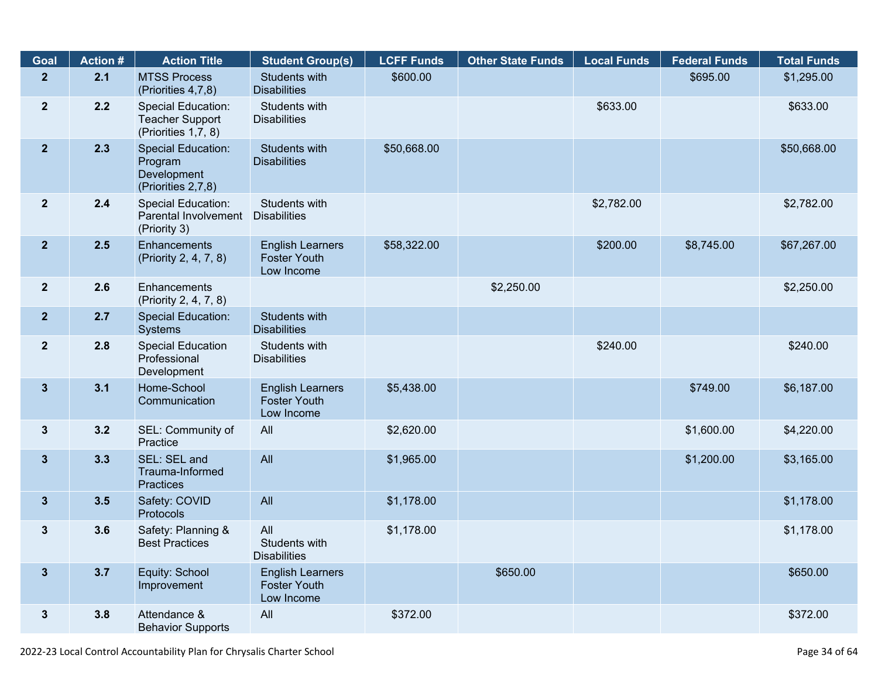| Goal                    | <b>Action #</b> | <b>Action Title</b>                                                       | <b>Student Group(s)</b>                                      | <b>LCFF Funds</b> | <b>Other State Funds</b> | <b>Local Funds</b> | <b>Federal Funds</b> | <b>Total Funds</b> |
|-------------------------|-----------------|---------------------------------------------------------------------------|--------------------------------------------------------------|-------------------|--------------------------|--------------------|----------------------|--------------------|
| $\overline{2}$          | 2.1             | <b>MTSS Process</b><br>(Priorities 4,7,8)                                 | <b>Students with</b><br><b>Disabilities</b>                  | \$600.00          |                          |                    | \$695.00             | \$1,295.00         |
| $\overline{\mathbf{2}}$ | 2.2             | Special Education:<br><b>Teacher Support</b><br>(Priorities 1,7, 8)       | Students with<br><b>Disabilities</b>                         |                   |                          | \$633.00           |                      | \$633.00           |
| 2 <sup>2</sup>          | 2.3             | <b>Special Education:</b><br>Program<br>Development<br>(Priorities 2,7,8) | <b>Students with</b><br><b>Disabilities</b>                  | \$50,668.00       |                          |                    |                      | \$50,668.00        |
| $\mathbf{2}$            | 2.4             | <b>Special Education:</b><br>Parental Involvement<br>(Priority 3)         | Students with<br><b>Disabilities</b>                         |                   |                          | \$2,782.00         |                      | \$2,782.00         |
| $\overline{2}$          | 2.5             | Enhancements<br>(Priority 2, 4, 7, 8)                                     | <b>English Learners</b><br><b>Foster Youth</b><br>Low Income | \$58,322.00       |                          | \$200.00           | \$8,745.00           | \$67,267.00        |
| $\overline{2}$          | 2.6             | Enhancements<br>(Priority 2, 4, 7, 8)                                     |                                                              |                   | \$2,250.00               |                    |                      | \$2,250.00         |
| $\overline{2}$          | 2.7             | <b>Special Education:</b><br>Systems                                      | Students with<br><b>Disabilities</b>                         |                   |                          |                    |                      |                    |
| $\overline{2}$          | 2.8             | <b>Special Education</b><br>Professional<br>Development                   | Students with<br><b>Disabilities</b>                         |                   |                          | \$240.00           |                      | \$240.00           |
| 3 <sup>5</sup>          | 3.1             | Home-School<br>Communication                                              | <b>English Learners</b><br><b>Foster Youth</b><br>Low Income | \$5,438.00        |                          |                    | \$749.00             | \$6,187.00         |
| $3\phantom{a}$          | 3.2             | SEL: Community of<br>Practice                                             | All                                                          | \$2,620.00        |                          |                    | \$1,600.00           | \$4,220.00         |
| $3\phantom{a}$          | 3.3             | SEL: SEL and<br>Trauma-Informed<br><b>Practices</b>                       | All                                                          | \$1,965.00        |                          |                    | \$1,200.00           | \$3,165.00         |
| 3 <sup>5</sup>          | 3.5             | Safety: COVID<br>Protocols                                                | All                                                          | \$1,178.00        |                          |                    |                      | \$1,178.00         |
| 3                       | 3.6             | Safety: Planning &<br><b>Best Practices</b>                               | All<br>Students with<br><b>Disabilities</b>                  | \$1,178.00        |                          |                    |                      | \$1,178.00         |
| $\mathbf{3}$            | 3.7             | Equity: School<br>Improvement                                             | <b>English Learners</b><br><b>Foster Youth</b><br>Low Income |                   | \$650.00                 |                    |                      | \$650.00           |
| 3 <sup>1</sup>          | 3.8             | Attendance &<br><b>Behavior Supports</b>                                  | All                                                          | \$372.00          |                          |                    |                      | \$372.00           |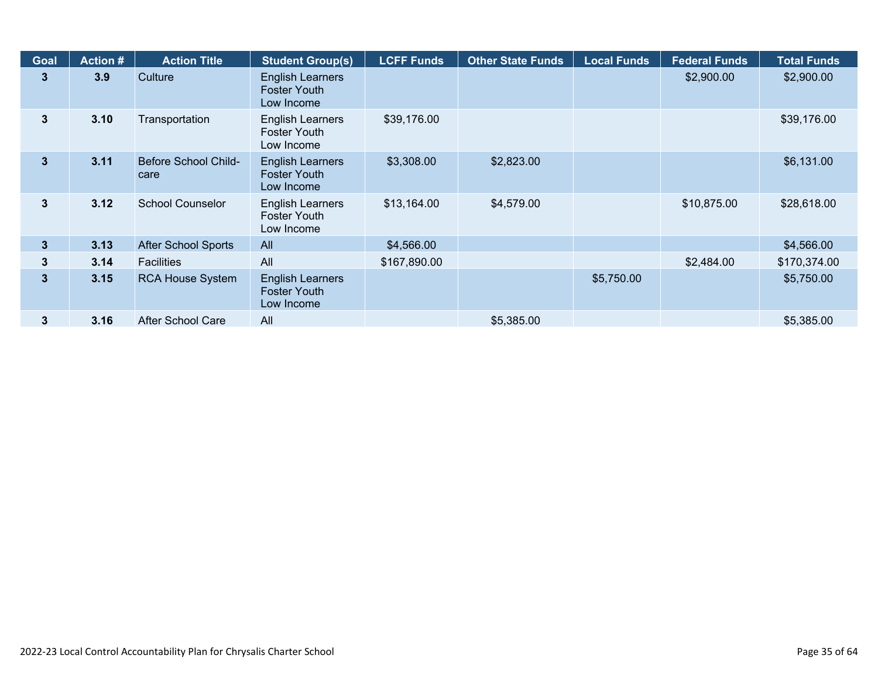| Goal           | <b>Action #</b> | <b>Action Title</b>                 | <b>Student Group(s)</b>                                      | <b>LCFF Funds</b> | <b>Other State Funds</b> | <b>Local Funds</b> | <b>Federal Funds</b> | <b>Total Funds</b> |
|----------------|-----------------|-------------------------------------|--------------------------------------------------------------|-------------------|--------------------------|--------------------|----------------------|--------------------|
| 3              | 3.9             | Culture                             | <b>English Learners</b><br><b>Foster Youth</b><br>Low Income |                   |                          |                    | \$2,900.00           | \$2,900.00         |
| $3\phantom{a}$ | 3.10            | Transportation                      | <b>English Learners</b><br><b>Foster Youth</b><br>Low Income | \$39,176.00       |                          |                    |                      | \$39,176.00        |
| $\mathbf{3}$   | 3.11            | <b>Before School Child-</b><br>care | <b>English Learners</b><br><b>Foster Youth</b><br>Low Income | \$3,308.00        | \$2,823.00               |                    |                      | \$6,131.00         |
| 3              | 3.12            | <b>School Counselor</b>             | <b>English Learners</b><br><b>Foster Youth</b><br>Low Income | \$13,164.00       | \$4,579.00               |                    | \$10,875.00          | \$28,618.00        |
| $3\phantom{a}$ | 3.13            | <b>After School Sports</b>          | All                                                          | \$4,566.00        |                          |                    |                      | \$4,566.00         |
| 3              | 3.14            | <b>Facilities</b>                   | All                                                          | \$167,890.00      |                          |                    | \$2,484.00           | \$170,374.00       |
| $\overline{3}$ | 3.15            | <b>RCA House System</b>             | <b>English Learners</b><br><b>Foster Youth</b><br>Low Income |                   |                          | \$5,750.00         |                      | \$5,750.00         |
| 3              | 3.16            | After School Care                   | All                                                          |                   | \$5,385.00               |                    |                      | \$5,385.00         |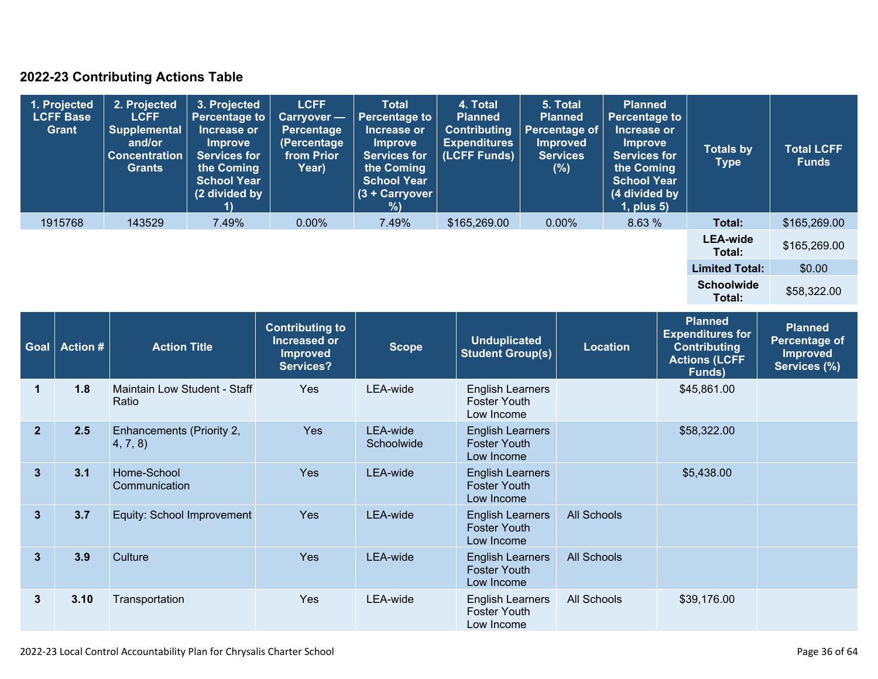### **2022-23 Contributing Actions Table**

| 1. Projected<br><b>LCFF Base</b><br><b>Grant</b> | 2. Projected<br><b>LCFF</b><br><b>Supplemental</b><br>and/or<br><b>Concentration</b><br><b>Grants</b> | 3. Projected<br><b>Percentage to</b><br>Increase or<br><b>Improve</b><br><b>Services for</b><br>the Coming<br><b>School Year</b><br>(2 divided by | <b>LCFF</b><br>Carryover -<br>Percentage<br>(Percentage<br>from Prior<br>Year) | <b>Total</b><br><b>Percentage to</b><br>Increase or<br><b>Improve</b><br><b>Services for</b><br>the Coming<br><b>School Year</b><br>$(3 +$ Carryover<br>% | 4. Total<br><b>Planned</b><br><b>Contributing</b><br><b>Expenditures</b><br>(LCFF Funds) | 5. Total<br><b>Planned</b><br><b>Percentage of</b><br><b>Improved</b><br><b>Services</b><br>(%) | <b>Planned</b><br><b>Percentage to</b><br>Increase or<br><b>Improve</b><br><b>Services for</b><br>the Coming<br><b>School Year</b><br>(4 divided by<br>$1$ , plus $5$ ) | <b>Totals by</b><br><b>Type</b> | <b>Total LCFF</b><br><b>Funds</b> |
|--------------------------------------------------|-------------------------------------------------------------------------------------------------------|---------------------------------------------------------------------------------------------------------------------------------------------------|--------------------------------------------------------------------------------|-----------------------------------------------------------------------------------------------------------------------------------------------------------|------------------------------------------------------------------------------------------|-------------------------------------------------------------------------------------------------|-------------------------------------------------------------------------------------------------------------------------------------------------------------------------|---------------------------------|-----------------------------------|
| 1915768                                          | 143529                                                                                                | 7.49%                                                                                                                                             | $0.00\%$                                                                       | 7.49%                                                                                                                                                     | \$165,269.00                                                                             | $0.00\%$                                                                                        | 8.63 %                                                                                                                                                                  | Total:                          | \$165,269.00                      |
|                                                  |                                                                                                       |                                                                                                                                                   |                                                                                |                                                                                                                                                           |                                                                                          |                                                                                                 |                                                                                                                                                                         | <b>LEA-wide</b><br>Total:       | \$165,269.00                      |
|                                                  |                                                                                                       |                                                                                                                                                   |                                                                                |                                                                                                                                                           |                                                                                          |                                                                                                 |                                                                                                                                                                         | <b>Limited Total:</b>           | \$0.00                            |
|                                                  |                                                                                                       |                                                                                                                                                   |                                                                                |                                                                                                                                                           |                                                                                          |                                                                                                 |                                                                                                                                                                         | <b>Schoolwide</b><br>Total:     | \$58,322.00                       |

| Goal           | <b>Action #</b> | <b>Action Title</b>                   | <b>Contributing to</b><br>Increased or<br><b>Improved</b><br>Services? | <b>Scope</b>           | <b>Unduplicated</b><br><b>Student Group(s)</b>               | <b>Location</b>    | <b>Planned</b><br><b>Expenditures for</b><br><b>Contributing</b><br><b>Actions (LCFF</b><br>Funds) | <b>Planned</b><br><b>Percentage of</b><br><b>Improved</b><br>Services (%) |
|----------------|-----------------|---------------------------------------|------------------------------------------------------------------------|------------------------|--------------------------------------------------------------|--------------------|----------------------------------------------------------------------------------------------------|---------------------------------------------------------------------------|
| 1              | 1.8             | Maintain Low Student - Staff<br>Ratio | Yes                                                                    | LEA-wide               | <b>English Learners</b><br><b>Foster Youth</b><br>Low Income |                    | \$45,861.00                                                                                        |                                                                           |
| $\overline{2}$ | 2.5             | Enhancements (Priority 2,<br>4, 7, 8) | <b>Yes</b>                                                             | LEA-wide<br>Schoolwide | <b>English Learners</b><br><b>Foster Youth</b><br>Low Income |                    | \$58,322.00                                                                                        |                                                                           |
| $\mathbf{3}$   | 3.1             | Home-School<br>Communication          | <b>Yes</b>                                                             | LEA-wide               | <b>English Learners</b><br><b>Foster Youth</b><br>Low Income |                    | \$5,438.00                                                                                         |                                                                           |
| $\mathbf{3}$   | 3.7             | Equity: School Improvement            | <b>Yes</b>                                                             | LEA-wide               | <b>English Learners</b><br><b>Foster Youth</b><br>Low Income | <b>All Schools</b> |                                                                                                    |                                                                           |
| $\mathbf{3}$   | 3.9             | Culture                               | <b>Yes</b>                                                             | LEA-wide               | <b>English Learners</b><br><b>Foster Youth</b><br>Low Income | <b>All Schools</b> |                                                                                                    |                                                                           |
| 3              | 3.10            | Transportation                        | Yes                                                                    | LEA-wide               | <b>English Learners</b><br><b>Foster Youth</b><br>Low Income | All Schools        | \$39,176.00                                                                                        |                                                                           |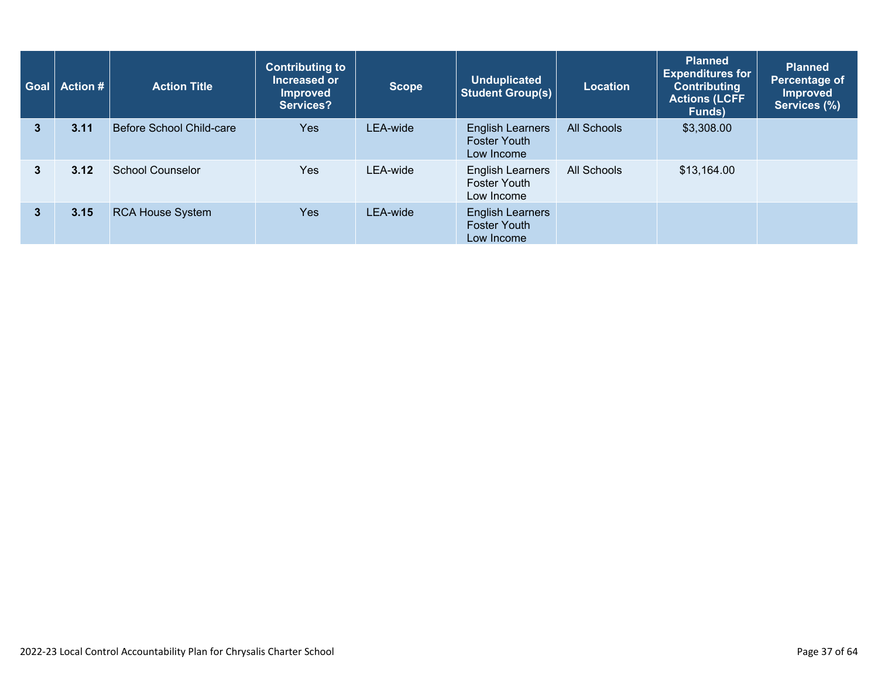| Goal         | <b>Action #</b> | <b>Action Title</b>      | <b>Contributing to</b><br>Increased or<br><b>Improved</b><br>Services? | <b>Scope</b> | <b>Unduplicated</b><br><b>Student Group(s)</b>               | <b>Location</b>    | <b>Planned</b><br><b>Expenditures for</b><br><b>Contributing</b><br><b>Actions (LCFF</b><br>Funds) | <b>Planned</b><br>Percentage of<br><b>Improved</b><br>Services (%) |
|--------------|-----------------|--------------------------|------------------------------------------------------------------------|--------------|--------------------------------------------------------------|--------------------|----------------------------------------------------------------------------------------------------|--------------------------------------------------------------------|
| 3            | 3.11            | Before School Child-care | <b>Yes</b>                                                             | LEA-wide     | <b>English Learners</b><br><b>Foster Youth</b><br>Low Income | <b>All Schools</b> | \$3,308.00                                                                                         |                                                                    |
| 3            | 3.12            | <b>School Counselor</b>  | Yes                                                                    | LEA-wide     | <b>English Learners</b><br><b>Foster Youth</b><br>Low Income | All Schools        | \$13,164.00                                                                                        |                                                                    |
| $\mathbf{3}$ | 3.15            | <b>RCA House System</b>  | <b>Yes</b>                                                             | LEA-wide     | <b>English Learners</b><br><b>Foster Youth</b><br>Low Income |                    |                                                                                                    |                                                                    |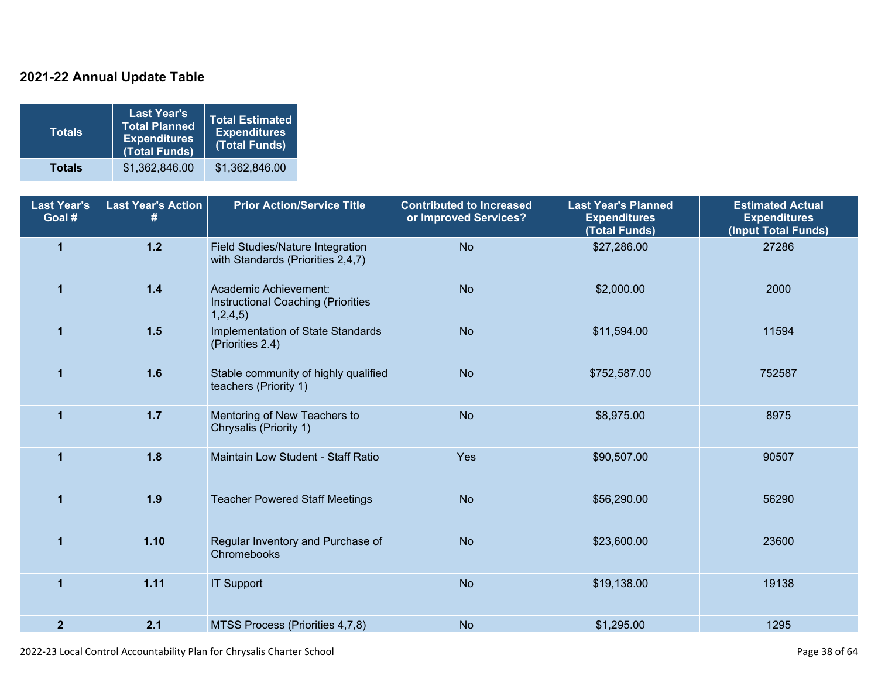### **2021-22 Annual Update Table**

| <b>Totals</b> | <b>Last Year's</b><br><b>Total Planned</b><br><b>Expenditures</b><br>(Total Funds) | Total Estimated<br><b>Expenditures</b><br>(Total Funds) |
|---------------|------------------------------------------------------------------------------------|---------------------------------------------------------|
| <b>Totals</b> | \$1,362,846.00                                                                     | \$1,362,846.00                                          |

| <b>Last Year's</b><br>Goal # | <b>Last Year's Action</b> | <b>Prior Action/Service Title</b>                                       | <b>Contributed to Increased</b><br>or Improved Services? |              | <b>Estimated Actual</b><br><b>Expenditures</b><br>(Input Total Funds) |  |
|------------------------------|---------------------------|-------------------------------------------------------------------------|----------------------------------------------------------|--------------|-----------------------------------------------------------------------|--|
| $\overline{\mathbf{1}}$      | $1.2$                     | Field Studies/Nature Integration<br>with Standards (Priorities 2,4,7)   | <b>No</b>                                                | \$27,286.00  | 27286                                                                 |  |
| $\mathbf{1}$                 | $1.4$                     | Academic Achievement:<br>Instructional Coaching (Priorities<br>1,2,4,5) | <b>No</b>                                                | \$2,000.00   | 2000                                                                  |  |
| 1                            | 1.5                       | Implementation of State Standards<br>(Priorities 2.4)                   | <b>No</b>                                                | \$11,594.00  | 11594                                                                 |  |
| $\mathbf{1}$                 | 1.6                       | Stable community of highly qualified<br>teachers (Priority 1)           | <b>No</b>                                                | \$752,587.00 | 752587                                                                |  |
| $\mathbf{1}$                 | $1.7$                     | Mentoring of New Teachers to<br>Chrysalis (Priority 1)                  | <b>No</b>                                                | \$8,975.00   | 8975                                                                  |  |
| $\overline{1}$               | 1.8                       | Maintain Low Student - Staff Ratio                                      | Yes                                                      | \$90,507.00  | 90507                                                                 |  |
| 1                            | 1.9                       | <b>Teacher Powered Staff Meetings</b>                                   | <b>No</b>                                                | \$56,290.00  | 56290                                                                 |  |
| 1                            | 1.10                      | Regular Inventory and Purchase of<br>Chromebooks                        | <b>No</b>                                                | \$23,600.00  | 23600                                                                 |  |
| $\blacktriangleleft$         | 1.11                      | <b>IT Support</b>                                                       | <b>No</b>                                                | \$19,138.00  | 19138                                                                 |  |
| $\mathbf{2}$                 | 2.1                       | MTSS Process (Priorities 4,7,8)                                         | <b>No</b>                                                | \$1,295.00   | 1295                                                                  |  |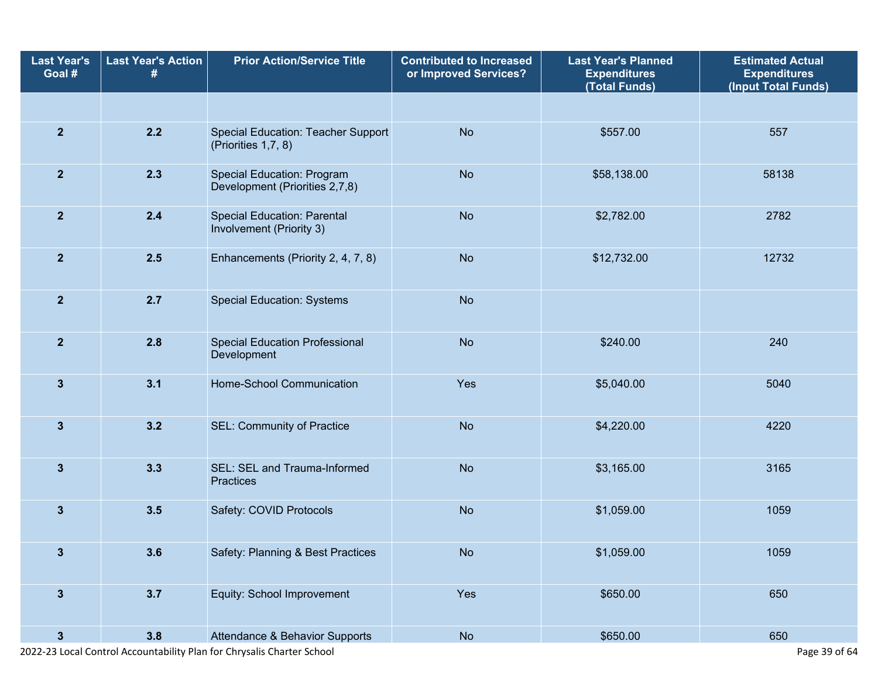| <b>Last Year's</b><br>Goal # | <b>Last Year's Action</b><br># | <b>Prior Action/Service Title</b>                                   | <b>Contributed to Increased</b><br>or Improved Services? | <b>Last Year's Planned</b><br><b>Expenditures</b><br>(Total Funds) | <b>Estimated Actual</b><br><b>Expenditures</b><br>(Input Total Funds) |
|------------------------------|--------------------------------|---------------------------------------------------------------------|----------------------------------------------------------|--------------------------------------------------------------------|-----------------------------------------------------------------------|
|                              |                                |                                                                     |                                                          |                                                                    |                                                                       |
| $\overline{2}$               | 2.2                            | Special Education: Teacher Support<br>(Priorities 1,7, 8)           | <b>No</b>                                                | \$557.00                                                           | 557                                                                   |
| $\overline{2}$               | 2.3                            | <b>Special Education: Program</b><br>Development (Priorities 2,7,8) | <b>No</b>                                                | \$58,138.00                                                        | 58138                                                                 |
| $\overline{2}$               | $2.4$                          | <b>Special Education: Parental</b><br>Involvement (Priority 3)      | <b>No</b>                                                | \$2,782.00                                                         | 2782                                                                  |
| $\overline{2}$               | 2.5                            | Enhancements (Priority 2, 4, 7, 8)                                  | <b>No</b>                                                | \$12,732.00                                                        | 12732                                                                 |
| $\overline{2}$               | 2.7                            | <b>Special Education: Systems</b>                                   | <b>No</b>                                                |                                                                    |                                                                       |
| $\overline{2}$               | 2.8                            | <b>Special Education Professional</b><br>Development                | <b>No</b>                                                | \$240.00                                                           | 240                                                                   |
| $\mathbf{3}$                 | 3.1                            | Home-School Communication                                           | Yes                                                      | \$5,040.00                                                         | 5040                                                                  |
| $\mathbf{3}$                 | 3.2                            | SEL: Community of Practice                                          | <b>No</b>                                                | \$4,220.00                                                         | 4220                                                                  |
| $\mathbf{3}$                 | 3.3                            | SEL: SEL and Trauma-Informed<br>Practices                           | <b>No</b>                                                | \$3,165.00                                                         | 3165                                                                  |
| $\mathbf{3}$                 | 3.5                            | Safety: COVID Protocols                                             | <b>No</b>                                                | \$1,059.00                                                         | 1059                                                                  |
| 3                            | 3.6                            | Safety: Planning & Best Practices                                   | No                                                       | \$1,059.00                                                         | 1059                                                                  |
| $\mathbf{3}$                 | 3.7                            | Equity: School Improvement                                          | Yes                                                      | \$650.00                                                           | 650                                                                   |
| $\mathbf{3}$                 | 3.8                            | Attendance & Behavior Supports                                      | No                                                       | \$650.00                                                           | 650                                                                   |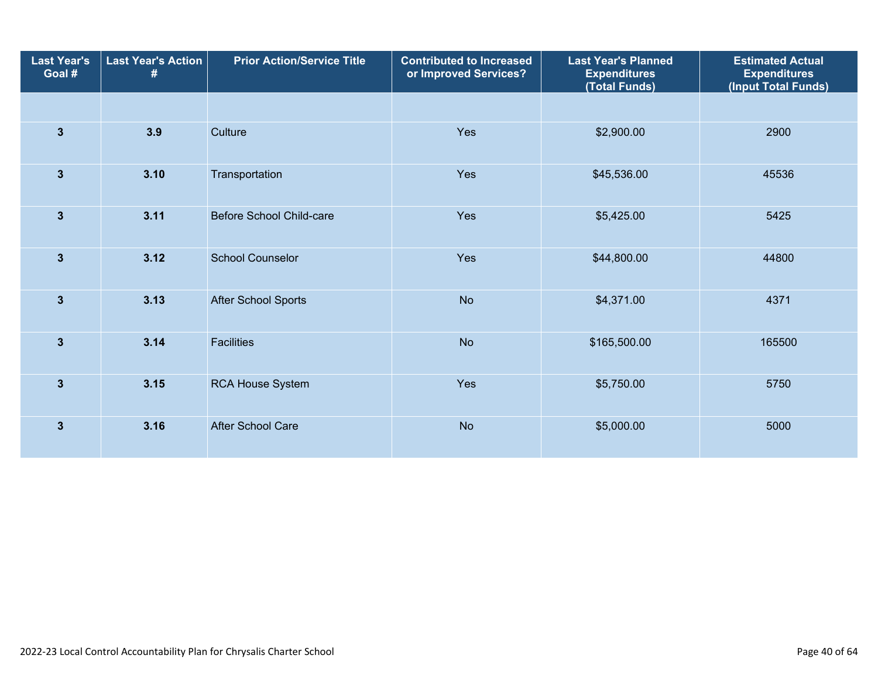| <b>Last Year's</b><br>Goal # | <b>Last Year's Action</b><br># | <b>Prior Action/Service Title</b> | <b>Contributed to Increased</b><br>or Improved Services? |              | <b>Estimated Actual</b><br><b>Expenditures</b><br>(Input Total Funds) |  |
|------------------------------|--------------------------------|-----------------------------------|----------------------------------------------------------|--------------|-----------------------------------------------------------------------|--|
|                              |                                |                                   |                                                          |              |                                                                       |  |
| $\overline{3}$               | 3.9                            | Culture                           | Yes                                                      | \$2,900.00   | 2900                                                                  |  |
| $\mathbf{3}$                 | 3.10                           | Transportation                    | Yes                                                      | \$45,536.00  | 45536                                                                 |  |
| $\mathbf{3}$                 | 3.11                           | <b>Before School Child-care</b>   | Yes                                                      | \$5,425.00   | 5425                                                                  |  |
| $\overline{3}$               | 3.12                           | <b>School Counselor</b>           | Yes                                                      | \$44,800.00  | 44800                                                                 |  |
| $\mathbf{3}$                 | 3.13                           | <b>After School Sports</b>        | <b>No</b>                                                | \$4,371.00   | 4371                                                                  |  |
| $\mathbf{3}$                 | 3.14                           | <b>Facilities</b>                 | <b>No</b>                                                | \$165,500.00 | 165500                                                                |  |
| $\overline{\mathbf{3}}$      | 3.15                           | <b>RCA House System</b>           | Yes                                                      | \$5,750.00   | 5750                                                                  |  |
| $\overline{\mathbf{3}}$      | 3.16                           | After School Care                 | <b>No</b>                                                | \$5,000.00   | 5000                                                                  |  |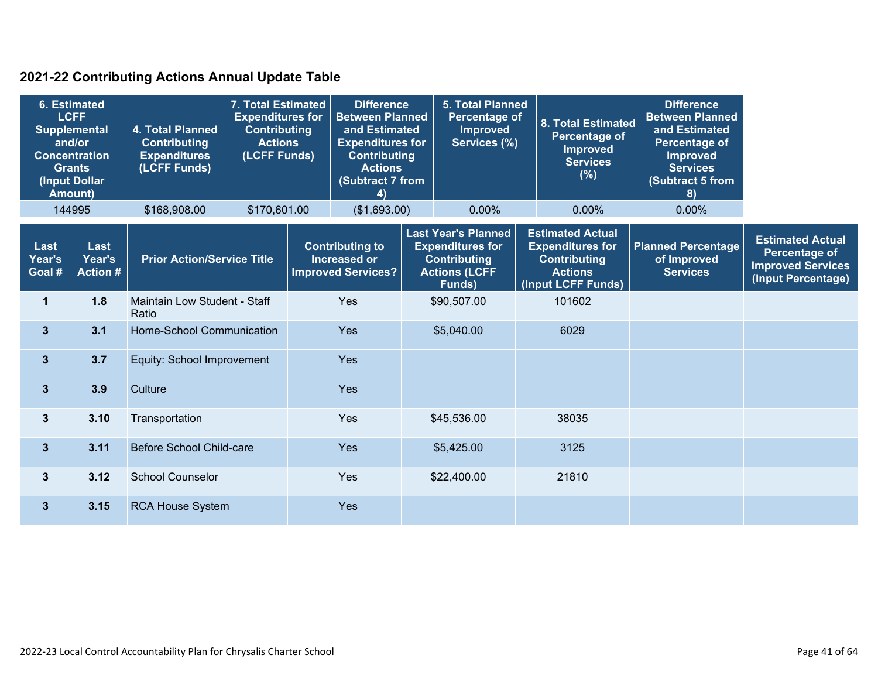### **2021-22 Contributing Actions Annual Update Table**

| <b>6. Estimated</b><br><b>LCFF</b><br>4. Total Planned<br><b>Supplemental</b><br>and/or<br><b>Contributing</b><br><b>Concentration</b><br><b>Expenditures</b><br>(LCFF Funds)<br><b>Grants</b><br>(Input Dollar<br><b>Amount)</b><br>144995<br>\$168,908.00 |                                   | 7. Total Estimated<br><b>Expenditures for</b><br><b>Contributing</b><br><b>Actions</b><br>(LCFF Funds) | <b>Difference</b><br><b>Between Planned</b><br>and Estimated<br><b>Expenditures for</b><br><b>Contributing</b><br><b>Actions</b><br>(Subtract 7 from<br>4)<br>\$170,601.00<br>(\$1,693.00) |     |                                                                            | <b>5. Total Planned</b><br>Percentage of<br><b>Improved</b><br>Services (%)<br>$0.00\%$ |                                                                                                                | <b>8. Total Estimated</b><br>Percentage of<br><b>Improved</b><br><b>Services</b><br>(%)<br>$0.00\%$ | <b>Difference</b><br><b>Between Planned</b><br>and Estimated<br>Percentage of<br><b>Improved</b><br><b>Services</b><br><b>Subtract 5 from</b><br>8)<br>$0.00\%$ |                                                             |                                                                                                   |
|-------------------------------------------------------------------------------------------------------------------------------------------------------------------------------------------------------------------------------------------------------------|-----------------------------------|--------------------------------------------------------------------------------------------------------|--------------------------------------------------------------------------------------------------------------------------------------------------------------------------------------------|-----|----------------------------------------------------------------------------|-----------------------------------------------------------------------------------------|----------------------------------------------------------------------------------------------------------------|-----------------------------------------------------------------------------------------------------|-----------------------------------------------------------------------------------------------------------------------------------------------------------------|-------------------------------------------------------------|---------------------------------------------------------------------------------------------------|
|                                                                                                                                                                                                                                                             |                                   |                                                                                                        |                                                                                                                                                                                            |     |                                                                            |                                                                                         |                                                                                                                |                                                                                                     |                                                                                                                                                                 |                                                             |                                                                                                   |
| Last<br>Year's<br>Goal #                                                                                                                                                                                                                                    | Last<br>Year's<br><b>Action #</b> | <b>Prior Action/Service Title</b>                                                                      |                                                                                                                                                                                            |     | <b>Contributing to</b><br><b>Increased or</b><br><b>Improved Services?</b> |                                                                                         | <b>Last Year's Planned</b><br><b>Expenditures for</b><br><b>Contributing</b><br><b>Actions (LCFF</b><br>Funds) |                                                                                                     | <b>Estimated Actual</b><br><b>Expenditures for</b><br><b>Contributing</b><br><b>Actions</b><br>(Input LCFF Funds)                                               | <b>Planned Percentage</b><br>of Improved<br><b>Services</b> | <b>Estimated Actual</b><br><b>Percentage of</b><br><b>Improved Services</b><br>(Input Percentage) |
| $\mathbf 1$                                                                                                                                                                                                                                                 | 1.8                               | Ratio                                                                                                  | Maintain Low Student - Staff                                                                                                                                                               |     | Yes                                                                        |                                                                                         | \$90,507.00                                                                                                    |                                                                                                     | 101602                                                                                                                                                          |                                                             |                                                                                                   |
| $\mathbf{3}$                                                                                                                                                                                                                                                | 3.1                               | Home-School Communication                                                                              |                                                                                                                                                                                            | Yes |                                                                            |                                                                                         | \$5,040.00                                                                                                     |                                                                                                     | 6029                                                                                                                                                            |                                                             |                                                                                                   |
| $\mathbf{3}$                                                                                                                                                                                                                                                | 3.7                               | Equity: School Improvement                                                                             |                                                                                                                                                                                            |     | Yes                                                                        |                                                                                         |                                                                                                                |                                                                                                     |                                                                                                                                                                 |                                                             |                                                                                                   |
| $3\phantom{a}$                                                                                                                                                                                                                                              | 3.9                               | Culture                                                                                                |                                                                                                                                                                                            |     | Yes                                                                        |                                                                                         |                                                                                                                |                                                                                                     |                                                                                                                                                                 |                                                             |                                                                                                   |
| $\mathbf{3}$                                                                                                                                                                                                                                                | 3.10                              | Transportation                                                                                         |                                                                                                                                                                                            |     | Yes                                                                        |                                                                                         | \$45,536.00                                                                                                    |                                                                                                     | 38035                                                                                                                                                           |                                                             |                                                                                                   |
| $\mathbf{3}$                                                                                                                                                                                                                                                | 3.11                              | Before School Child-care                                                                               |                                                                                                                                                                                            |     | Yes                                                                        |                                                                                         | \$5,425.00                                                                                                     |                                                                                                     | 3125                                                                                                                                                            |                                                             |                                                                                                   |
| 3                                                                                                                                                                                                                                                           | 3.12                              | <b>School Counselor</b>                                                                                |                                                                                                                                                                                            |     | Yes                                                                        |                                                                                         | \$22,400.00                                                                                                    |                                                                                                     | 21810                                                                                                                                                           |                                                             |                                                                                                   |
| $3\phantom{a}$                                                                                                                                                                                                                                              | 3.15                              | <b>RCA House System</b>                                                                                |                                                                                                                                                                                            |     | Yes                                                                        |                                                                                         |                                                                                                                |                                                                                                     |                                                                                                                                                                 |                                                             |                                                                                                   |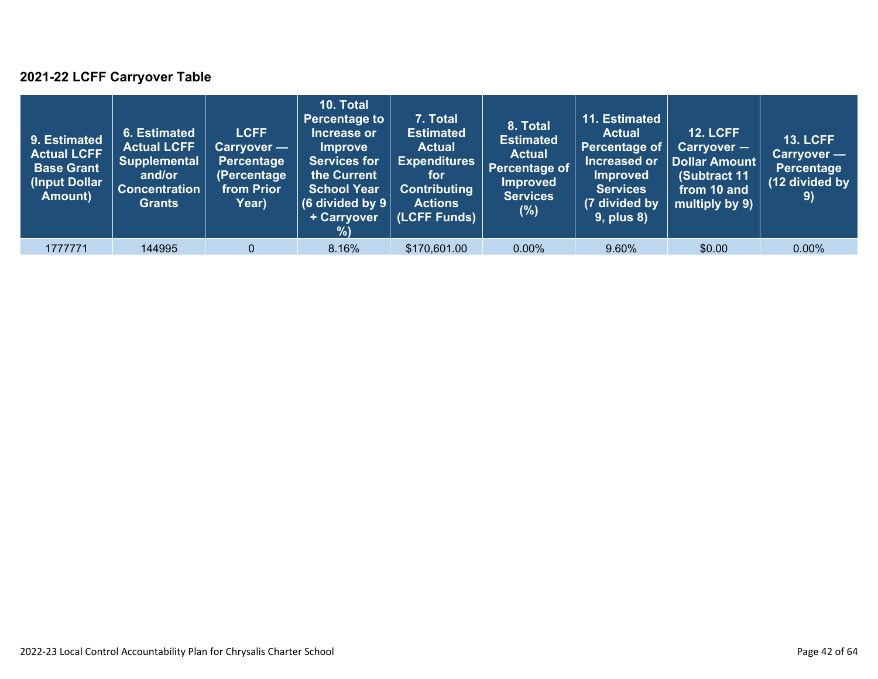### **2021-22 LCFF Carryover Table**

| 9. Estimated<br>Actual LCFF<br><b>Base Grant</b><br>(Input Dollar<br>Amount) | 6. Estimated<br><b>Actual LCFF</b><br><b>Supplemental</b><br>and/or<br><b>Concentration</b><br><b>Grants</b> | <b>LCFF</b><br><b>Carryover</b> —<br>Percentage<br>(Percentage<br>from Prior<br>Year) | 10. Total<br><b>Percentage to</b><br>Increase or<br><b>Improve</b><br><b>Services for</b><br>the Current<br><b>School Year</b><br>(6 divided by $9$ $ $<br>+ Carryover<br>% | 7. Total<br><b>Estimated</b><br><b>Actual</b><br><b>Expenditures</b><br>for<br><b>Contributing</b><br><b>Actions</b><br>(LCFF Funds) | 8. Total<br><b>Estimated</b><br><b>Actual</b><br>Percentage of<br><b>Improved</b><br><b>Services</b><br>(%) | 11. Estimated<br><b>Actual</b><br>Percentage of<br>Increased or<br><b>Improved</b><br><b>Services</b><br>(7 divided by<br><b>9, plus 8)</b> | <b>12. LCFF</b><br>$Carryover -$<br><b>Dollar Amount</b><br>(Subtract 11<br>from 10 and<br>multiply by 9) | <b>13. LCFF</b><br>Carryover -<br><b>Percentage</b><br>(12 divided by<br>9) |
|------------------------------------------------------------------------------|--------------------------------------------------------------------------------------------------------------|---------------------------------------------------------------------------------------|-----------------------------------------------------------------------------------------------------------------------------------------------------------------------------|--------------------------------------------------------------------------------------------------------------------------------------|-------------------------------------------------------------------------------------------------------------|---------------------------------------------------------------------------------------------------------------------------------------------|-----------------------------------------------------------------------------------------------------------|-----------------------------------------------------------------------------|
| 1777771                                                                      | 144995                                                                                                       | $\Omega$                                                                              | 8.16%                                                                                                                                                                       | \$170,601.00                                                                                                                         | $0.00\%$                                                                                                    | 9.60%                                                                                                                                       | \$0.00                                                                                                    | $0.00\%$                                                                    |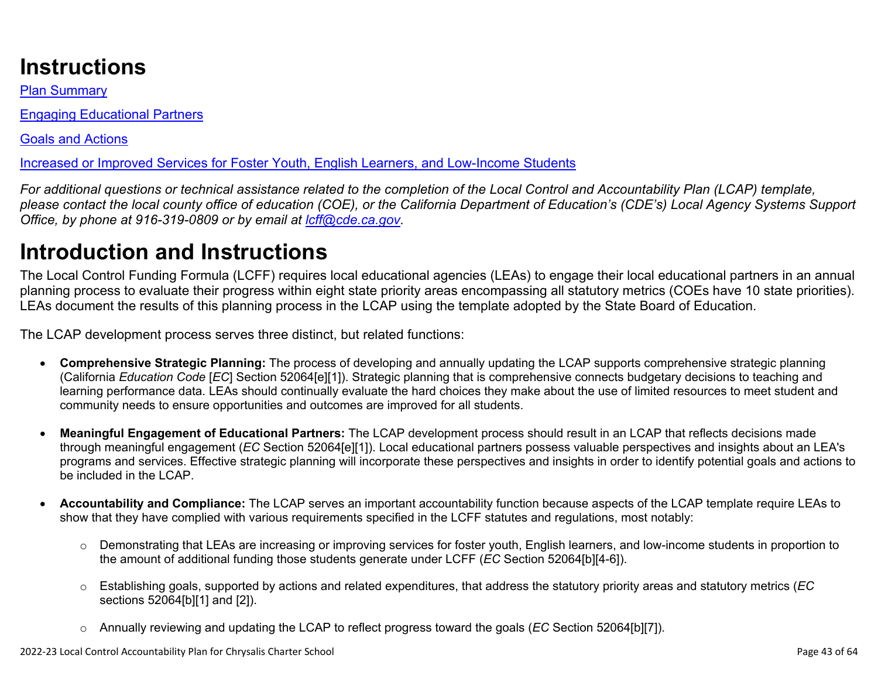# **Instructions**

Plan Summary

Engaging Educational Partners

Goals and Actions

Increased or Improved Services for Foster Youth, English Learners, and Low-Income Students

*For additional questions or technical assistance related to the completion of the Local Control and Accountability Plan (LCAP) template, please contact the local county office of education (COE), or the California Department of Education's (CDE's) Local Agency Systems Support Office, by phone at 916-319-0809 or by email at [lcff@cde.ca.gov](mailto:lcff@cde.ca.gov).*

# **Introduction and Instructions**

The Local Control Funding Formula (LCFF) requires local educational agencies (LEAs) to engage their local educational partners in an annual planning process to evaluate their progress within eight state priority areas encompassing all statutory metrics (COEs have 10 state priorities). LEAs document the results of this planning process in the LCAP using the template adopted by the State Board of Education.

The LCAP development process serves three distinct, but related functions:

- **Comprehensive Strategic Planning:** The process of developing and annually updating the LCAP supports comprehensive strategic planning (California *Education Code* [*EC*] Section 52064[e][1]). Strategic planning that is comprehensive connects budgetary decisions to teaching and learning performance data. LEAs should continually evaluate the hard choices they make about the use of limited resources to meet student and community needs to ensure opportunities and outcomes are improved for all students.
- **Meaningful Engagement of Educational Partners:** The LCAP development process should result in an LCAP that reflects decisions made through meaningful engagement (*EC* Section 52064[e][1]). Local educational partners possess valuable perspectives and insights about an LEA's programs and services. Effective strategic planning will incorporate these perspectives and insights in order to identify potential goals and actions to be included in the LCAP.
- **Accountability and Compliance:** The LCAP serves an important accountability function because aspects of the LCAP template require LEAs to show that they have complied with various requirements specified in the LCFF statutes and regulations, most notably:
	- o Demonstrating that LEAs are increasing or improving services for foster youth, English learners, and low-income students in proportion to the amount of additional funding those students generate under LCFF (*EC* Section 52064[b][4-6]).
	- o Establishing goals, supported by actions and related expenditures, that address the statutory priority areas and statutory metrics (*EC* sections 52064[b][1] and [2]).
	- o Annually reviewing and updating the LCAP to reflect progress toward the goals (*EC* Section 52064[b][7]).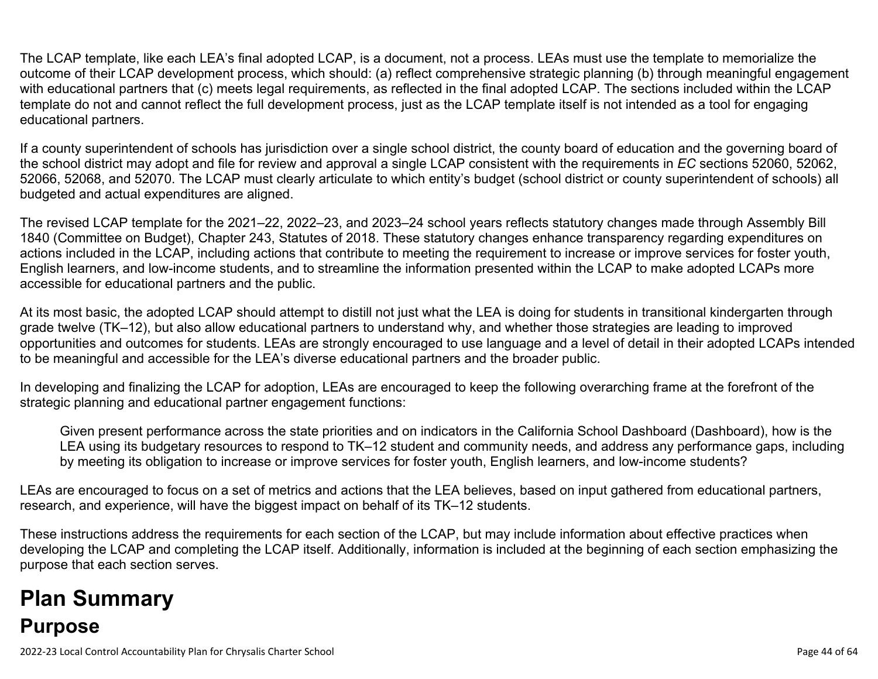The LCAP template, like each LEA's final adopted LCAP, is a document, not a process. LEAs must use the template to memorialize the outcome of their LCAP development process, which should: (a) reflect comprehensive strategic planning (b) through meaningful engagement with educational partners that (c) meets legal requirements, as reflected in the final adopted LCAP. The sections included within the LCAP template do not and cannot reflect the full development process, just as the LCAP template itself is not intended as a tool for engaging educational partners.

If a county superintendent of schools has jurisdiction over a single school district, the county board of education and the governing board of the school district may adopt and file for review and approval a single LCAP consistent with the requirements in *EC* sections 52060, 52062, 52066, 52068, and 52070. The LCAP must clearly articulate to which entity's budget (school district or county superintendent of schools) all budgeted and actual expenditures are aligned.

The revised LCAP template for the 2021–22, 2022–23, and 2023–24 school years reflects statutory changes made through Assembly Bill 1840 (Committee on Budget), Chapter 243, Statutes of 2018. These statutory changes enhance transparency regarding expenditures on actions included in the LCAP, including actions that contribute to meeting the requirement to increase or improve services for foster youth, English learners, and low-income students, and to streamline the information presented within the LCAP to make adopted LCAPs more accessible for educational partners and the public.

At its most basic, the adopted LCAP should attempt to distill not just what the LEA is doing for students in transitional kindergarten through grade twelve (TK–12), but also allow educational partners to understand why, and whether those strategies are leading to improved opportunities and outcomes for students. LEAs are strongly encouraged to use language and a level of detail in their adopted LCAPs intended to be meaningful and accessible for the LEA's diverse educational partners and the broader public.

In developing and finalizing the LCAP for adoption, LEAs are encouraged to keep the following overarching frame at the forefront of the strategic planning and educational partner engagement functions:

Given present performance across the state priorities and on indicators in the California School Dashboard (Dashboard), how is the LEA using its budgetary resources to respond to TK–12 student and community needs, and address any performance gaps, including by meeting its obligation to increase or improve services for foster youth, English learners, and low-income students?

LEAs are encouraged to focus on a set of metrics and actions that the LEA believes, based on input gathered from educational partners, research, and experience, will have the biggest impact on behalf of its TK–12 students.

These instructions address the requirements for each section of the LCAP, but may include information about effective practices when developing the LCAP and completing the LCAP itself. Additionally, information is included at the beginning of each section emphasizing the purpose that each section serves.

# **Plan Summary Purpose**

2022-23 Local Control Accountability Plan for Chrysalis Charter School Page 44 of 64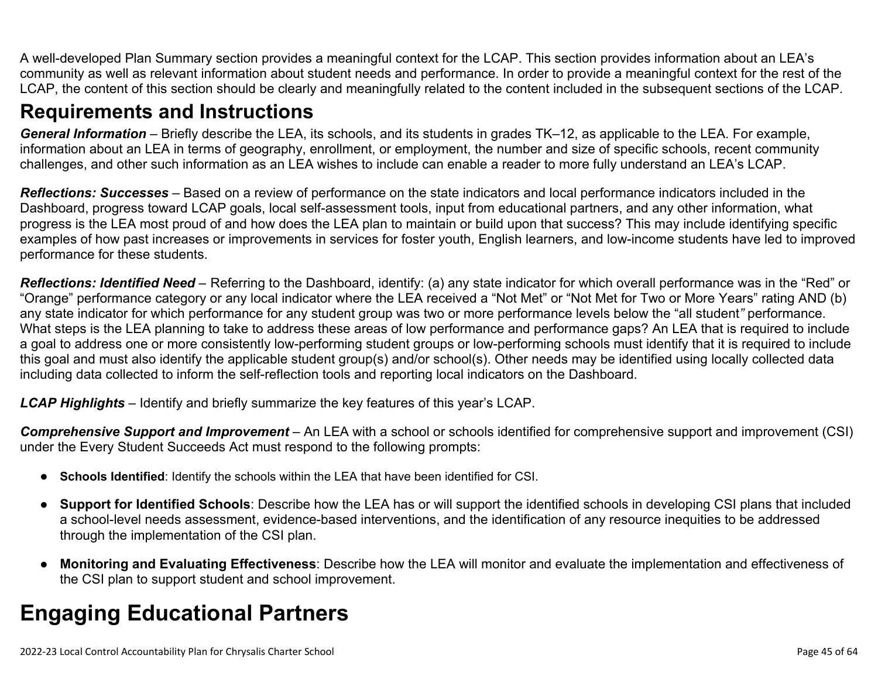A well-developed Plan Summary section provides a meaningful context for the LCAP. This section provides information about an LEA's community as well as relevant information about student needs and performance. In order to provide a meaningful context for the rest of the LCAP, the content of this section should be clearly and meaningfully related to the content included in the subsequent sections of the LCAP.

## **Requirements and Instructions**

*General Information* – Briefly describe the LEA, its schools, and its students in grades TK–12, as applicable to the LEA. For example, information about an LEA in terms of geography, enrollment, or employment, the number and size of specific schools, recent community challenges, and other such information as an LEA wishes to include can enable a reader to more fully understand an LEA's LCAP.

*Reflections: Successes* – Based on a review of performance on the state indicators and local performance indicators included in the Dashboard, progress toward LCAP goals, local self-assessment tools, input from educational partners, and any other information, what progress is the LEA most proud of and how does the LEA plan to maintain or build upon that success? This may include identifying specific examples of how past increases or improvements in services for foster youth, English learners, and low-income students have led to improved performance for these students.

*Reflections: Identified Need* – Referring to the Dashboard, identify: (a) any state indicator for which overall performance was in the "Red" or "Orange" performance category or any local indicator where the LEA received a "Not Met" or "Not Met for Two or More Years" rating AND (b) any state indicator for which performance for any student group was two or more performance levels below the "all student*"* performance. What steps is the LEA planning to take to address these areas of low performance and performance gaps? An LEA that is required to include a goal to address one or more consistently low-performing student groups or low-performing schools must identify that it is required to include this goal and must also identify the applicable student group(s) and/or school(s). Other needs may be identified using locally collected data including data collected to inform the self-reflection tools and reporting local indicators on the Dashboard.

*LCAP Highlights* – Identify and briefly summarize the key features of this year's LCAP.

*Comprehensive Support and Improvement* – An LEA with a school or schools identified for comprehensive support and improvement (CSI) under the Every Student Succeeds Act must respond to the following prompts:

- **Schools Identified**: Identify the schools within the LEA that have been identified for CSI.
- **Support for Identified Schools**: Describe how the LEA has or will support the identified schools in developing CSI plans that included a school-level needs assessment, evidence-based interventions, and the identification of any resource inequities to be addressed through the implementation of the CSI plan.
- **Monitoring and Evaluating Effectiveness**: Describe how the LEA will monitor and evaluate the implementation and effectiveness of the CSI plan to support student and school improvement.

# **Engaging Educational Partners**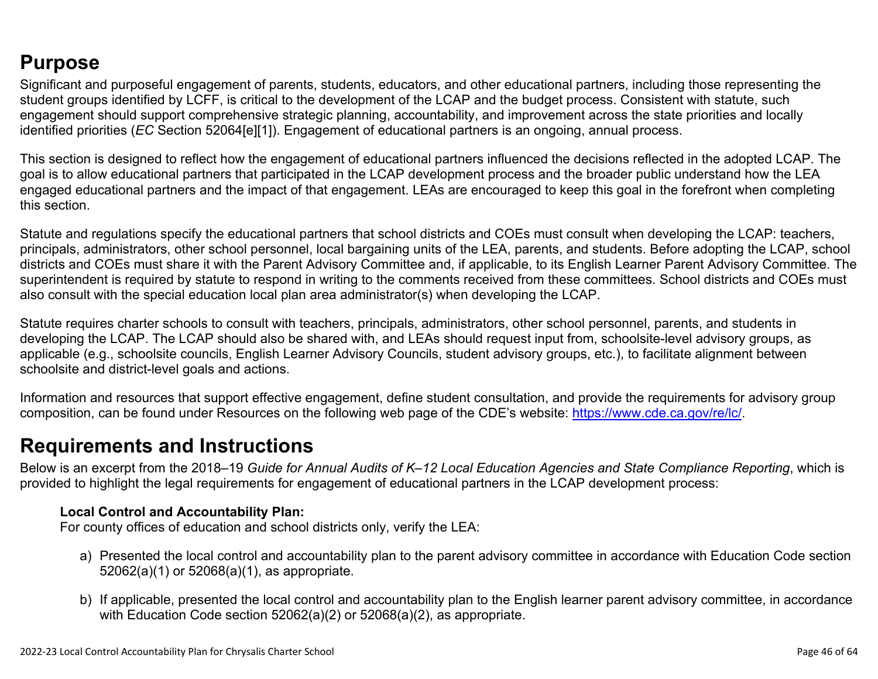## **Purpose**

Significant and purposeful engagement of parents, students, educators, and other educational partners, including those representing the student groups identified by LCFF, is critical to the development of the LCAP and the budget process. Consistent with statute, such engagement should support comprehensive strategic planning, accountability, and improvement across the state priorities and locally identified priorities (*EC* Section 52064[e][1]). Engagement of educational partners is an ongoing, annual process.

This section is designed to reflect how the engagement of educational partners influenced the decisions reflected in the adopted LCAP. The goal is to allow educational partners that participated in the LCAP development process and the broader public understand how the LEA engaged educational partners and the impact of that engagement. LEAs are encouraged to keep this goal in the forefront when completing this section.

Statute and regulations specify the educational partners that school districts and COEs must consult when developing the LCAP: teachers, principals, administrators, other school personnel, local bargaining units of the LEA, parents, and students. Before adopting the LCAP, school districts and COEs must share it with the Parent Advisory Committee and, if applicable, to its English Learner Parent Advisory Committee. The superintendent is required by statute to respond in writing to the comments received from these committees. School districts and COEs must also consult with the special education local plan area administrator(s) when developing the LCAP.

Statute requires charter schools to consult with teachers, principals, administrators, other school personnel, parents, and students in developing the LCAP. The LCAP should also be shared with, and LEAs should request input from, schoolsite-level advisory groups, as applicable (e.g., schoolsite councils, English Learner Advisory Councils, student advisory groups, etc.), to facilitate alignment between schoolsite and district-level goals and actions.

Information and resources that support effective engagement, define student consultation, and provide the requirements for advisory group composition, can be found under Resources on the following web page of the CDE's website: <https://www.cde.ca.gov/re/lc/>.

### **Requirements and Instructions**

Below is an excerpt from the 2018–19 *Guide for Annual Audits of K–12 Local Education Agencies and State Compliance Reporting*, which is provided to highlight the legal requirements for engagement of educational partners in the LCAP development process:

### **Local Control and Accountability Plan:**

For county offices of education and school districts only, verify the LEA:

- a) Presented the local control and accountability plan to the parent advisory committee in accordance with Education Code section 52062(a)(1) or 52068(a)(1), as appropriate.
- b) If applicable, presented the local control and accountability plan to the English learner parent advisory committee, in accordance with Education Code section 52062(a)(2) or 52068(a)(2), as appropriate.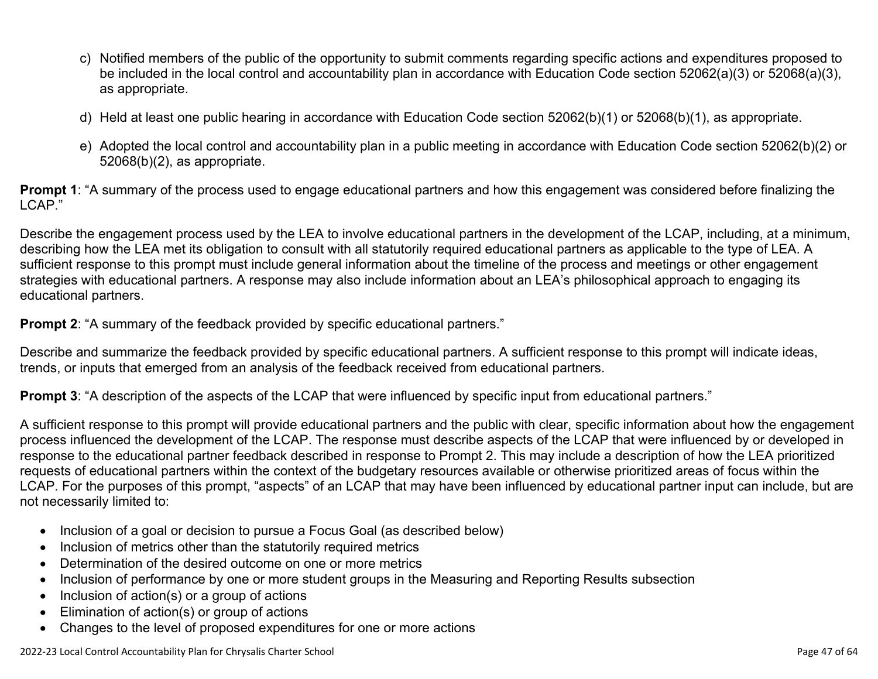- c) Notified members of the public of the opportunity to submit comments regarding specific actions and expenditures proposed to be included in the local control and accountability plan in accordance with Education Code section 52062(a)(3) or 52068(a)(3), as appropriate.
- d) Held at least one public hearing in accordance with Education Code section 52062(b)(1) or 52068(b)(1), as appropriate.
- e) Adopted the local control and accountability plan in a public meeting in accordance with Education Code section 52062(b)(2) or 52068(b)(2), as appropriate.

**Prompt 1**: "A summary of the process used to engage educational partners and how this engagement was considered before finalizing the LCAP."

Describe the engagement process used by the LEA to involve educational partners in the development of the LCAP, including, at a minimum, describing how the LEA met its obligation to consult with all statutorily required educational partners as applicable to the type of LEA. A sufficient response to this prompt must include general information about the timeline of the process and meetings or other engagement strategies with educational partners. A response may also include information about an LEA's philosophical approach to engaging its educational partners.

**Prompt 2:** "A summary of the feedback provided by specific educational partners."

Describe and summarize the feedback provided by specific educational partners. A sufficient response to this prompt will indicate ideas, trends, or inputs that emerged from an analysis of the feedback received from educational partners.

**Prompt 3**: "A description of the aspects of the LCAP that were influenced by specific input from educational partners."

A sufficient response to this prompt will provide educational partners and the public with clear, specific information about how the engagement process influenced the development of the LCAP. The response must describe aspects of the LCAP that were influenced by or developed in response to the educational partner feedback described in response to Prompt 2. This may include a description of how the LEA prioritized requests of educational partners within the context of the budgetary resources available or otherwise prioritized areas of focus within the LCAP. For the purposes of this prompt, "aspects" of an LCAP that may have been influenced by educational partner input can include, but are not necessarily limited to:

- Inclusion of a goal or decision to pursue a Focus Goal (as described below)
- Inclusion of metrics other than the statutorily required metrics
- Determination of the desired outcome on one or more metrics
- Inclusion of performance by one or more student groups in the Measuring and Reporting Results subsection
- Inclusion of action(s) or a group of actions
- Elimination of action(s) or group of actions
- Changes to the level of proposed expenditures for one or more actions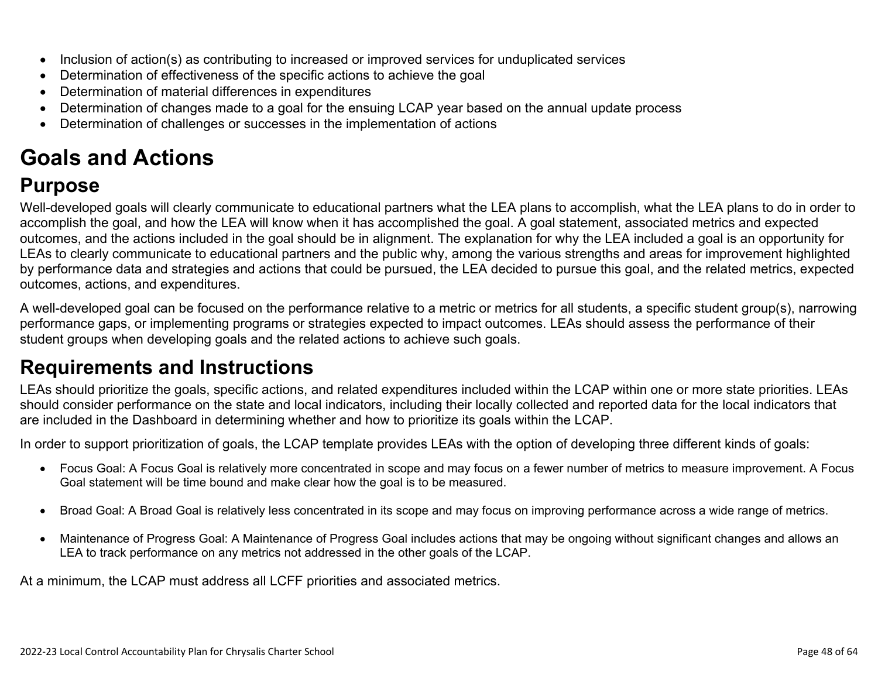- Inclusion of action(s) as contributing to increased or improved services for unduplicated services
- Determination of effectiveness of the specific actions to achieve the goal
- Determination of material differences in expenditures
- Determination of changes made to a goal for the ensuing LCAP year based on the annual update process
- Determination of challenges or successes in the implementation of actions

# **Goals and Actions**

## **Purpose**

Well-developed goals will clearly communicate to educational partners what the LEA plans to accomplish, what the LEA plans to do in order to accomplish the goal, and how the LEA will know when it has accomplished the goal. A goal statement, associated metrics and expected outcomes, and the actions included in the goal should be in alignment. The explanation for why the LEA included a goal is an opportunity for LEAs to clearly communicate to educational partners and the public why, among the various strengths and areas for improvement highlighted by performance data and strategies and actions that could be pursued, the LEA decided to pursue this goal, and the related metrics, expected outcomes, actions, and expenditures.

A well-developed goal can be focused on the performance relative to a metric or metrics for all students, a specific student group(s), narrowing performance gaps, or implementing programs or strategies expected to impact outcomes. LEAs should assess the performance of their student groups when developing goals and the related actions to achieve such goals.

## **Requirements and Instructions**

LEAs should prioritize the goals, specific actions, and related expenditures included within the LCAP within one or more state priorities. LEAs should consider performance on the state and local indicators, including their locally collected and reported data for the local indicators that are included in the Dashboard in determining whether and how to prioritize its goals within the LCAP.

In order to support prioritization of goals, the LCAP template provides LEAs with the option of developing three different kinds of goals:

- Focus Goal: A Focus Goal is relatively more concentrated in scope and may focus on a fewer number of metrics to measure improvement. A Focus Goal statement will be time bound and make clear how the goal is to be measured.
- Broad Goal: A Broad Goal is relatively less concentrated in its scope and may focus on improving performance across a wide range of metrics.
- Maintenance of Progress Goal: A Maintenance of Progress Goal includes actions that may be ongoing without significant changes and allows an LEA to track performance on any metrics not addressed in the other goals of the LCAP.

At a minimum, the LCAP must address all LCFF priorities and associated metrics.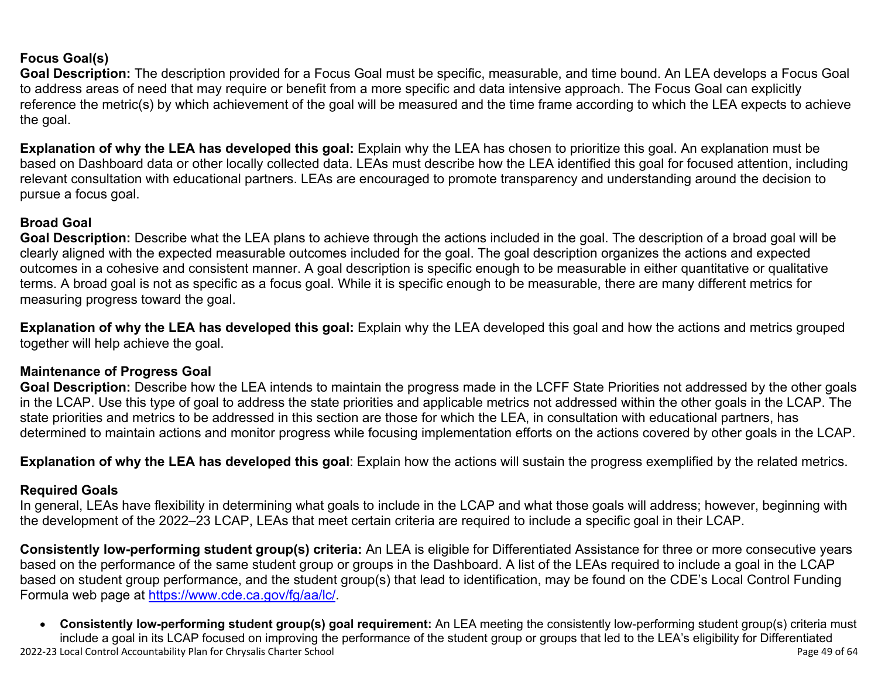### **Focus Goal(s)**

**Goal Description:** The description provided for a Focus Goal must be specific, measurable, and time bound. An LEA develops a Focus Goal to address areas of need that may require or benefit from a more specific and data intensive approach. The Focus Goal can explicitly reference the metric(s) by which achievement of the goal will be measured and the time frame according to which the LEA expects to achieve the goal.

**Explanation of why the LEA has developed this goal:** Explain why the LEA has chosen to prioritize this goal. An explanation must be based on Dashboard data or other locally collected data. LEAs must describe how the LEA identified this goal for focused attention, including relevant consultation with educational partners. LEAs are encouraged to promote transparency and understanding around the decision to pursue a focus goal.

### **Broad Goal**

Goal Description: Describe what the LEA plans to achieve through the actions included in the goal. The description of a broad goal will be clearly aligned with the expected measurable outcomes included for the goal. The goal description organizes the actions and expected outcomes in a cohesive and consistent manner. A goal description is specific enough to be measurable in either quantitative or qualitative terms. A broad goal is not as specific as a focus goal. While it is specific enough to be measurable, there are many different metrics for measuring progress toward the goal.

**Explanation of why the LEA has developed this goal:** Explain why the LEA developed this goal and how the actions and metrics grouped together will help achieve the goal.

#### **Maintenance of Progress Goal**

**Goal Description:** Describe how the LEA intends to maintain the progress made in the LCFF State Priorities not addressed by the other goals in the LCAP. Use this type of goal to address the state priorities and applicable metrics not addressed within the other goals in the LCAP. The state priorities and metrics to be addressed in this section are those for which the LEA, in consultation with educational partners, has determined to maintain actions and monitor progress while focusing implementation efforts on the actions covered by other goals in the LCAP.

**Explanation of why the LEA has developed this goal**: Explain how the actions will sustain the progress exemplified by the related metrics.

#### **Required Goals**

In general, LEAs have flexibility in determining what goals to include in the LCAP and what those goals will address; however, beginning with the development of the 2022–23 LCAP, LEAs that meet certain criteria are required to include a specific goal in their LCAP.

**Consistently low-performing student group(s) criteria:** An LEA is eligible for Differentiated Assistance for three or more consecutive years based on the performance of the same student group or groups in the Dashboard. A list of the LEAs required to include a goal in the LCAP based on student group performance, and the student group(s) that lead to identification, may be found on the CDE's Local Control Funding Formula web page at [https://www.cde.ca.gov/fg/aa/lc/.](https://www.cde.ca.gov/fg/aa/lc/)

2022-23 Local Control Accountability Plan for Chrysalis Charter School Page 49 of 64 • **Consistently low-performing student group(s) goal requirement:** An LEA meeting the consistently low-performing student group(s) criteria must include a goal in its LCAP focused on improving the performance of the student group or groups that led to the LEA's eligibility for Differentiated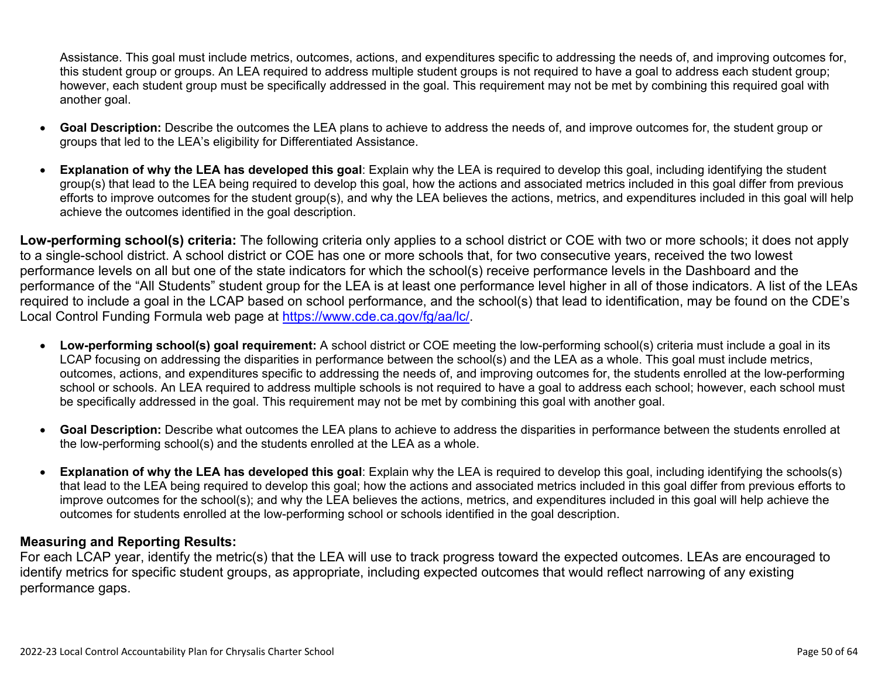Assistance. This goal must include metrics, outcomes, actions, and expenditures specific to addressing the needs of, and improving outcomes for, this student group or groups. An LEA required to address multiple student groups is not required to have a goal to address each student group; however, each student group must be specifically addressed in the goal. This requirement may not be met by combining this required goal with another goal.

- **Goal Description:** Describe the outcomes the LEA plans to achieve to address the needs of, and improve outcomes for, the student group or groups that led to the LEA's eligibility for Differentiated Assistance.
- **Explanation of why the LEA has developed this goal**: Explain why the LEA is required to develop this goal, including identifying the student group(s) that lead to the LEA being required to develop this goal, how the actions and associated metrics included in this goal differ from previous efforts to improve outcomes for the student group(s), and why the LEA believes the actions, metrics, and expenditures included in this goal will help achieve the outcomes identified in the goal description.

**Low-performing school(s) criteria:** The following criteria only applies to a school district or COE with two or more schools; it does not apply to a single-school district. A school district or COE has one or more schools that, for two consecutive years, received the two lowest performance levels on all but one of the state indicators for which the school(s) receive performance levels in the Dashboard and the performance of the "All Students" student group for the LEA is at least one performance level higher in all of those indicators. A list of the LEAs required to include a goal in the LCAP based on school performance, and the school(s) that lead to identification, may be found on the CDE's Local Control Funding Formula web page at [https://www.cde.ca.gov/fg/aa/lc/.](https://www.cde.ca.gov/fg/aa/lc/)

- **Low-performing school(s) goal requirement:** A school district or COE meeting the low-performing school(s) criteria must include a goal in its LCAP focusing on addressing the disparities in performance between the school(s) and the LEA as a whole. This goal must include metrics, outcomes, actions, and expenditures specific to addressing the needs of, and improving outcomes for, the students enrolled at the low-performing school or schools. An LEA required to address multiple schools is not required to have a goal to address each school; however, each school must be specifically addressed in the goal. This requirement may not be met by combining this goal with another goal.
- **Goal Description:** Describe what outcomes the LEA plans to achieve to address the disparities in performance between the students enrolled at the low-performing school(s) and the students enrolled at the LEA as a whole.
- **Explanation of why the LEA has developed this goal**: Explain why the LEA is required to develop this goal, including identifying the schools(s) that lead to the LEA being required to develop this goal; how the actions and associated metrics included in this goal differ from previous efforts to improve outcomes for the school(s); and why the LEA believes the actions, metrics, and expenditures included in this goal will help achieve the outcomes for students enrolled at the low-performing school or schools identified in the goal description.

### **Measuring and Reporting Results:**

For each LCAP year, identify the metric(s) that the LEA will use to track progress toward the expected outcomes. LEAs are encouraged to identify metrics for specific student groups, as appropriate, including expected outcomes that would reflect narrowing of any existing performance gaps.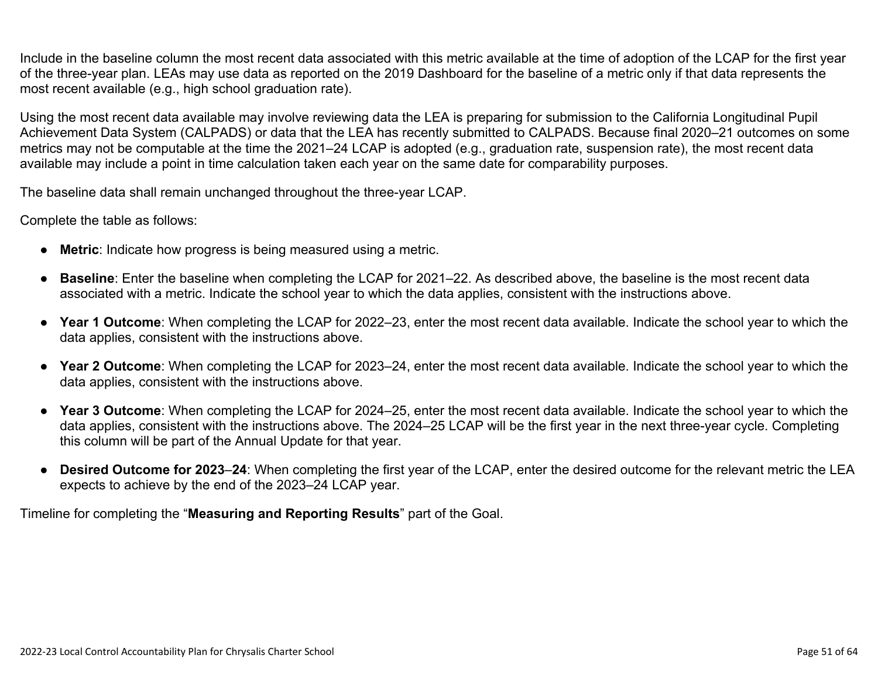Include in the baseline column the most recent data associated with this metric available at the time of adoption of the LCAP for the first year of the three-year plan. LEAs may use data as reported on the 2019 Dashboard for the baseline of a metric only if that data represents the most recent available (e.g., high school graduation rate).

Using the most recent data available may involve reviewing data the LEA is preparing for submission to the California Longitudinal Pupil Achievement Data System (CALPADS) or data that the LEA has recently submitted to CALPADS. Because final 2020–21 outcomes on some metrics may not be computable at the time the 2021–24 LCAP is adopted (e.g., graduation rate, suspension rate), the most recent data available may include a point in time calculation taken each year on the same date for comparability purposes.

The baseline data shall remain unchanged throughout the three-year LCAP.

Complete the table as follows:

- **Metric**: Indicate how progress is being measured using a metric.
- **Baseline**: Enter the baseline when completing the LCAP for 2021–22. As described above, the baseline is the most recent data associated with a metric. Indicate the school year to which the data applies, consistent with the instructions above.
- **Year 1 Outcome**: When completing the LCAP for 2022–23, enter the most recent data available. Indicate the school year to which the data applies, consistent with the instructions above.
- **Year 2 Outcome**: When completing the LCAP for 2023–24, enter the most recent data available. Indicate the school year to which the data applies, consistent with the instructions above.
- **Year 3 Outcome**: When completing the LCAP for 2024–25, enter the most recent data available. Indicate the school year to which the data applies, consistent with the instructions above. The 2024–25 LCAP will be the first year in the next three-year cycle. Completing this column will be part of the Annual Update for that year.
- **Desired Outcome for 2023**–**24**: When completing the first year of the LCAP, enter the desired outcome for the relevant metric the LEA expects to achieve by the end of the 2023–24 LCAP year.

Timeline for completing the "**Measuring and Reporting Results**" part of the Goal.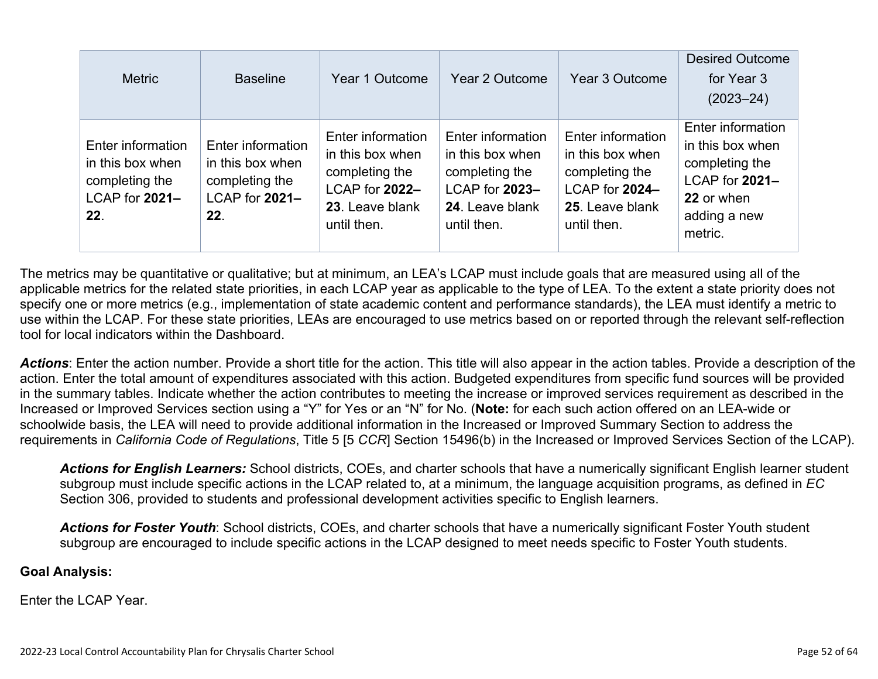| <b>Metric</b>                                                                    | <b>Baseline</b>                                                                  | Year 1 Outcome                                                                                              | Year 2 Outcome                                                                                              | Year 3 Outcome                                                                                              | <b>Desired Outcome</b><br>for Year 3<br>$(2023 - 24)$                                                              |
|----------------------------------------------------------------------------------|----------------------------------------------------------------------------------|-------------------------------------------------------------------------------------------------------------|-------------------------------------------------------------------------------------------------------------|-------------------------------------------------------------------------------------------------------------|--------------------------------------------------------------------------------------------------------------------|
| Enter information<br>in this box when<br>completing the<br>LCAP for 2021-<br>22. | Enter information<br>in this box when<br>completing the<br>LCAP for 2021-<br>22. | Enter information<br>in this box when<br>completing the<br>LCAP for 2022-<br>23. Leave blank<br>until then. | Enter information<br>in this box when<br>completing the<br>LCAP for 2023-<br>24. Leave blank<br>until then. | Enter information<br>in this box when<br>completing the<br>LCAP for 2024-<br>25. Leave blank<br>until then. | Enter information<br>in this box when<br>completing the<br>LCAP for 2021-<br>22 or when<br>adding a new<br>metric. |

The metrics may be quantitative or qualitative; but at minimum, an LEA's LCAP must include goals that are measured using all of the applicable metrics for the related state priorities, in each LCAP year as applicable to the type of LEA. To the extent a state priority does not specify one or more metrics (e.g., implementation of state academic content and performance standards), the LEA must identify a metric to use within the LCAP. For these state priorities, LEAs are encouraged to use metrics based on or reported through the relevant self-reflection tool for local indicators within the Dashboard.

*Actions*: Enter the action number. Provide a short title for the action. This title will also appear in the action tables. Provide a description of the action. Enter the total amount of expenditures associated with this action. Budgeted expenditures from specific fund sources will be provided in the summary tables. Indicate whether the action contributes to meeting the increase or improved services requirement as described in the Increased or Improved Services section using a "Y" for Yes or an "N" for No. (**Note:** for each such action offered on an LEA-wide or schoolwide basis, the LEA will need to provide additional information in the Increased or Improved Summary Section to address the requirements in *California Code of Regulations*, Title 5 [5 *CCR*] Section 15496(b) in the Increased or Improved Services Section of the LCAP).

*Actions for English Learners:* School districts, COEs, and charter schools that have a numerically significant English learner student subgroup must include specific actions in the LCAP related to, at a minimum, the language acquisition programs, as defined in *EC* Section 306, provided to students and professional development activities specific to English learners.

*Actions for Foster Youth*: School districts, COEs, and charter schools that have a numerically significant Foster Youth student subgroup are encouraged to include specific actions in the LCAP designed to meet needs specific to Foster Youth students.

#### **Goal Analysis:**

Enter the LCAP Year.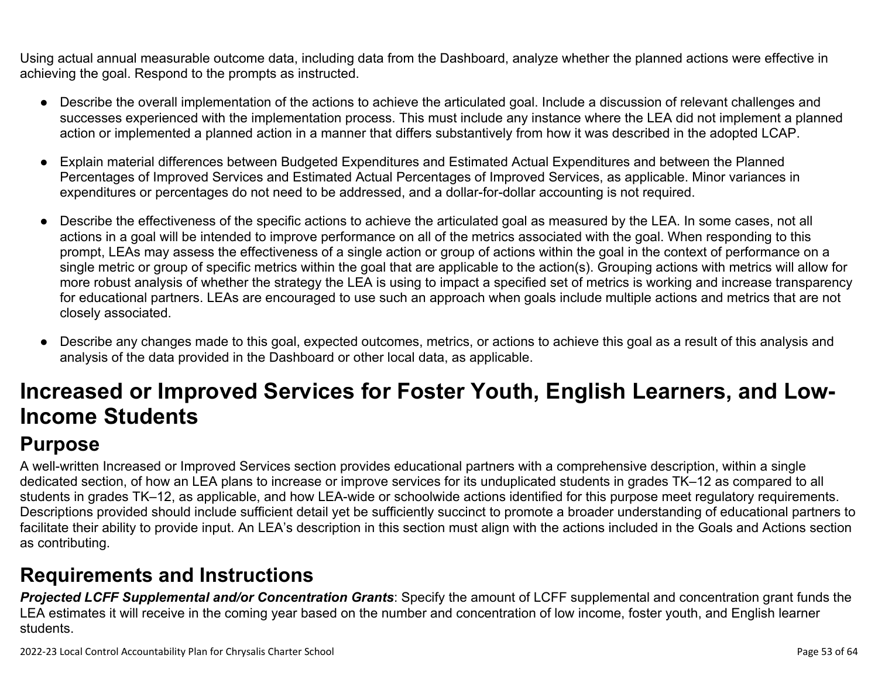Using actual annual measurable outcome data, including data from the Dashboard, analyze whether the planned actions were effective in achieving the goal. Respond to the prompts as instructed.

- Describe the overall implementation of the actions to achieve the articulated goal. Include a discussion of relevant challenges and successes experienced with the implementation process. This must include any instance where the LEA did not implement a planned action or implemented a planned action in a manner that differs substantively from how it was described in the adopted LCAP.
- Explain material differences between Budgeted Expenditures and Estimated Actual Expenditures and between the Planned Percentages of Improved Services and Estimated Actual Percentages of Improved Services, as applicable. Minor variances in expenditures or percentages do not need to be addressed, and a dollar-for-dollar accounting is not required.
- Describe the effectiveness of the specific actions to achieve the articulated goal as measured by the LEA. In some cases, not all actions in a goal will be intended to improve performance on all of the metrics associated with the goal. When responding to this prompt, LEAs may assess the effectiveness of a single action or group of actions within the goal in the context of performance on a single metric or group of specific metrics within the goal that are applicable to the action(s). Grouping actions with metrics will allow for more robust analysis of whether the strategy the LEA is using to impact a specified set of metrics is working and increase transparency for educational partners. LEAs are encouraged to use such an approach when goals include multiple actions and metrics that are not closely associated.
- Describe any changes made to this goal, expected outcomes, metrics, or actions to achieve this goal as a result of this analysis and analysis of the data provided in the Dashboard or other local data, as applicable.

# **Increased or Improved Services for Foster Youth, English Learners, and Low-Income Students**

## **Purpose**

A well-written Increased or Improved Services section provides educational partners with a comprehensive description, within a single dedicated section, of how an LEA plans to increase or improve services for its unduplicated students in grades TK–12 as compared to all students in grades TK–12, as applicable, and how LEA-wide or schoolwide actions identified for this purpose meet regulatory requirements. Descriptions provided should include sufficient detail yet be sufficiently succinct to promote a broader understanding of educational partners to facilitate their ability to provide input. An LEA's description in this section must align with the actions included in the Goals and Actions section as contributing.

## **Requirements and Instructions**

*Projected LCFF Supplemental and/or Concentration Grants*: Specify the amount of LCFF supplemental and concentration grant funds the LEA estimates it will receive in the coming year based on the number and concentration of low income, foster youth, and English learner students.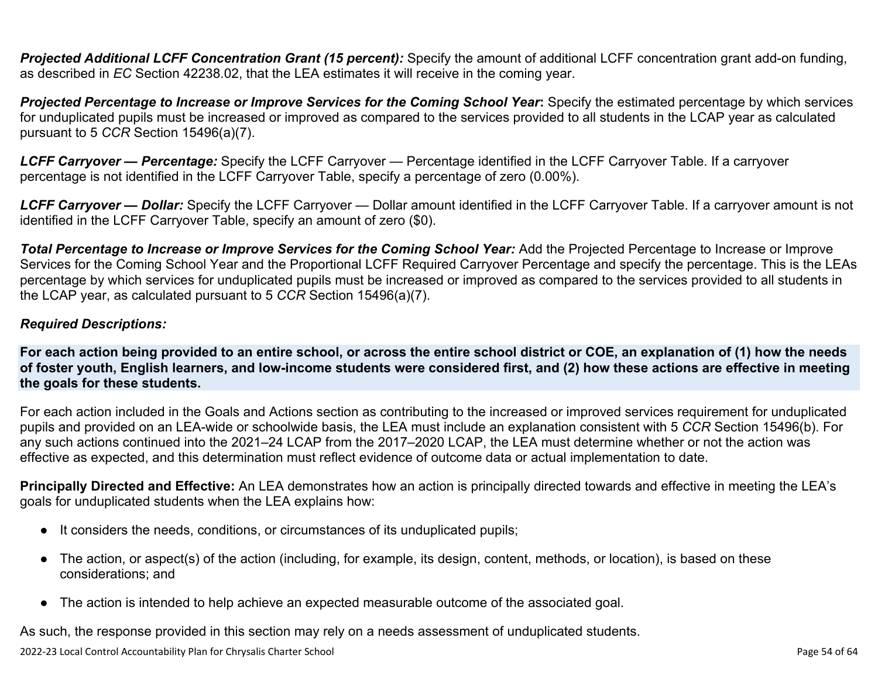**Projected Additional LCFF Concentration Grant (15 percent):** Specify the amount of additional LCFF concentration grant add-on funding, as described in *EC* Section 42238.02, that the LEA estimates it will receive in the coming year.

*Projected Percentage to Increase or Improve Services for the Coming School Year***:** Specify the estimated percentage by which services for unduplicated pupils must be increased or improved as compared to the services provided to all students in the LCAP year as calculated pursuant to 5 *CCR* Section 15496(a)(7).

*LCFF Carryover — Percentage:* Specify the LCFF Carryover — Percentage identified in the LCFF Carryover Table. If a carryover percentage is not identified in the LCFF Carryover Table, specify a percentage of zero (0.00%).

*LCFF Carryover — Dollar:* Specify the LCFF Carryover — Dollar amount identified in the LCFF Carryover Table. If a carryover amount is not identified in the LCFF Carryover Table, specify an amount of zero (\$0).

**Total Percentage to Increase or Improve Services for the Coming School Year:** Add the Projected Percentage to Increase or Improve Services for the Coming School Year and the Proportional LCFF Required Carryover Percentage and specify the percentage. This is the LEAs percentage by which services for unduplicated pupils must be increased or improved as compared to the services provided to all students in the LCAP year, as calculated pursuant to 5 *CCR* Section 15496(a)(7).

### *Required Descriptions:*

**For each action being provided to an entire school, or across the entire school district or COE, an explanation of (1) how the needs of foster youth, English learners, and low-income students were considered first, and (2) how these actions are effective in meeting the goals for these students.**

For each action included in the Goals and Actions section as contributing to the increased or improved services requirement for unduplicated pupils and provided on an LEA-wide or schoolwide basis, the LEA must include an explanation consistent with 5 *CCR* Section 15496(b). For any such actions continued into the 2021–24 LCAP from the 2017–2020 LCAP, the LEA must determine whether or not the action was effective as expected, and this determination must reflect evidence of outcome data or actual implementation to date.

**Principally Directed and Effective:** An LEA demonstrates how an action is principally directed towards and effective in meeting the LEA's goals for unduplicated students when the LEA explains how:

- It considers the needs, conditions, or circumstances of its unduplicated pupils;
- The action, or aspect(s) of the action (including, for example, its design, content, methods, or location), is based on these considerations; and
- The action is intended to help achieve an expected measurable outcome of the associated goal.

As such, the response provided in this section may rely on a needs assessment of unduplicated students.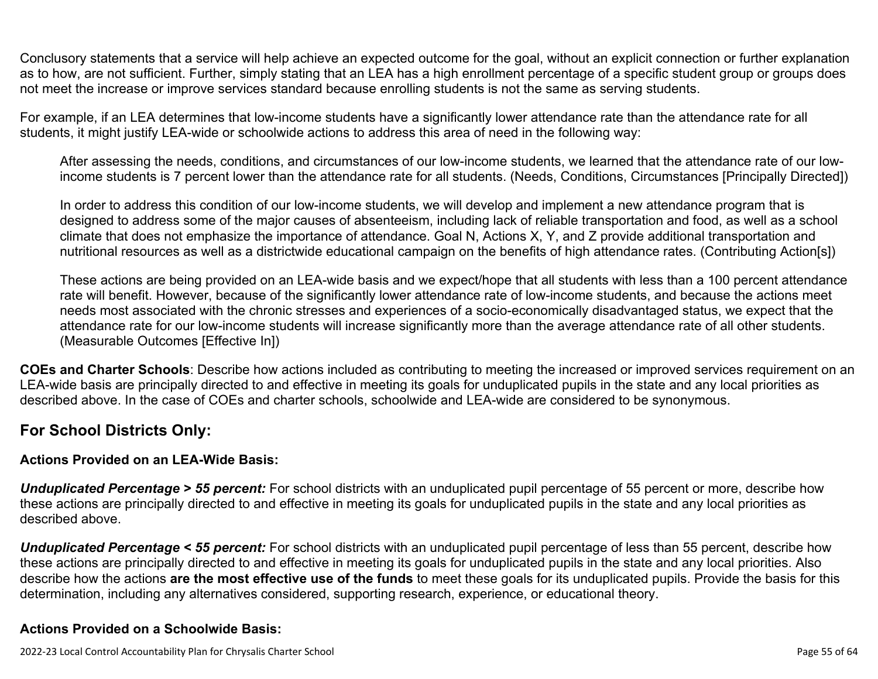Conclusory statements that a service will help achieve an expected outcome for the goal, without an explicit connection or further explanation as to how, are not sufficient. Further, simply stating that an LEA has a high enrollment percentage of a specific student group or groups does not meet the increase or improve services standard because enrolling students is not the same as serving students.

For example, if an LEA determines that low-income students have a significantly lower attendance rate than the attendance rate for all students, it might justify LEA-wide or schoolwide actions to address this area of need in the following way:

After assessing the needs, conditions, and circumstances of our low-income students, we learned that the attendance rate of our lowincome students is 7 percent lower than the attendance rate for all students. (Needs, Conditions, Circumstances [Principally Directed])

In order to address this condition of our low-income students, we will develop and implement a new attendance program that is designed to address some of the major causes of absenteeism, including lack of reliable transportation and food, as well as a school climate that does not emphasize the importance of attendance. Goal N, Actions X, Y, and Z provide additional transportation and nutritional resources as well as a districtwide educational campaign on the benefits of high attendance rates. (Contributing Action[s])

These actions are being provided on an LEA-wide basis and we expect/hope that all students with less than a 100 percent attendance rate will benefit. However, because of the significantly lower attendance rate of low-income students, and because the actions meet needs most associated with the chronic stresses and experiences of a socio-economically disadvantaged status, we expect that the attendance rate for our low-income students will increase significantly more than the average attendance rate of all other students. (Measurable Outcomes [Effective In])

**COEs and Charter Schools**: Describe how actions included as contributing to meeting the increased or improved services requirement on an LEA-wide basis are principally directed to and effective in meeting its goals for unduplicated pupils in the state and any local priorities as described above. In the case of COEs and charter schools, schoolwide and LEA-wide are considered to be synonymous.

### **For School Districts Only:**

### **Actions Provided on an LEA-Wide Basis:**

*Unduplicated Percentage > 55 percent:* For school districts with an unduplicated pupil percentage of 55 percent or more, describe how these actions are principally directed to and effective in meeting its goals for unduplicated pupils in the state and any local priorities as described above.

*Unduplicated Percentage < 55 percent:* For school districts with an unduplicated pupil percentage of less than 55 percent, describe how these actions are principally directed to and effective in meeting its goals for unduplicated pupils in the state and any local priorities. Also describe how the actions **are the most effective use of the funds** to meet these goals for its unduplicated pupils. Provide the basis for this determination, including any alternatives considered, supporting research, experience, or educational theory.

### **Actions Provided on a Schoolwide Basis:**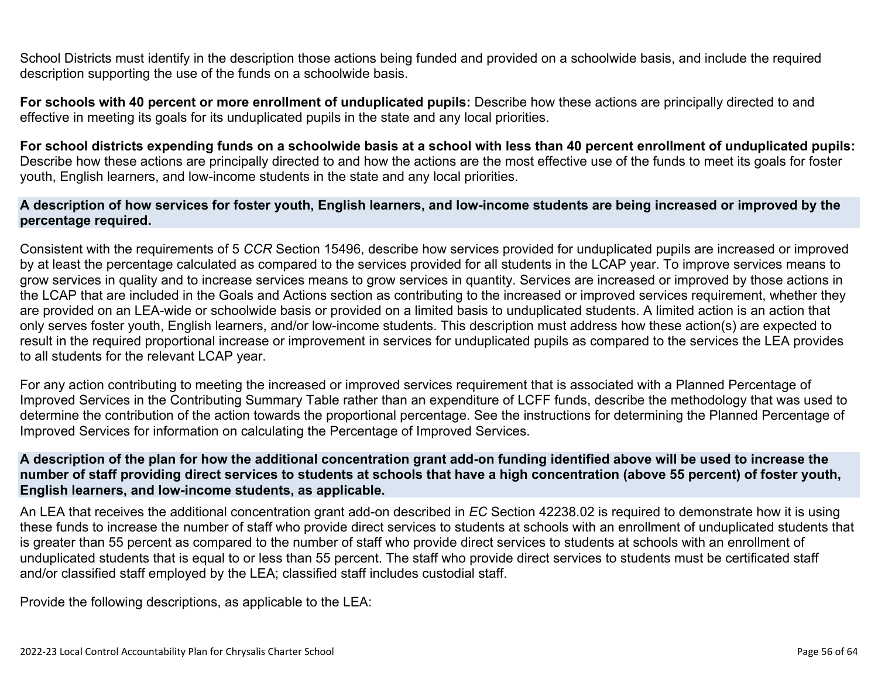School Districts must identify in the description those actions being funded and provided on a schoolwide basis, and include the required description supporting the use of the funds on a schoolwide basis.

**For schools with 40 percent or more enrollment of unduplicated pupils:** Describe how these actions are principally directed to and effective in meeting its goals for its unduplicated pupils in the state and any local priorities.

**For school districts expending funds on a schoolwide basis at a school with less than 40 percent enrollment of unduplicated pupils:** Describe how these actions are principally directed to and how the actions are the most effective use of the funds to meet its goals for foster youth, English learners, and low-income students in the state and any local priorities.

#### **A description of how services for foster youth, English learners, and low-income students are being increased or improved by the percentage required.**

Consistent with the requirements of 5 *CCR* Section 15496, describe how services provided for unduplicated pupils are increased or improved by at least the percentage calculated as compared to the services provided for all students in the LCAP year. To improve services means to grow services in quality and to increase services means to grow services in quantity. Services are increased or improved by those actions in the LCAP that are included in the Goals and Actions section as contributing to the increased or improved services requirement, whether they are provided on an LEA-wide or schoolwide basis or provided on a limited basis to unduplicated students. A limited action is an action that only serves foster youth, English learners, and/or low-income students. This description must address how these action(s) are expected to result in the required proportional increase or improvement in services for unduplicated pupils as compared to the services the LEA provides to all students for the relevant LCAP year.

For any action contributing to meeting the increased or improved services requirement that is associated with a Planned Percentage of Improved Services in the Contributing Summary Table rather than an expenditure of LCFF funds, describe the methodology that was used to determine the contribution of the action towards the proportional percentage. See the instructions for determining the Planned Percentage of Improved Services for information on calculating the Percentage of Improved Services.

#### **A description of the plan for how the additional concentration grant add-on funding identified above will be used to increase the number of staff providing direct services to students at schools that have a high concentration (above 55 percent) of foster youth, English learners, and low-income students, as applicable.**

An LEA that receives the additional concentration grant add-on described in *EC* Section 42238.02 is required to demonstrate how it is using these funds to increase the number of staff who provide direct services to students at schools with an enrollment of unduplicated students that is greater than 55 percent as compared to the number of staff who provide direct services to students at schools with an enrollment of unduplicated students that is equal to or less than 55 percent. The staff who provide direct services to students must be certificated staff and/or classified staff employed by the LEA; classified staff includes custodial staff.

Provide the following descriptions, as applicable to the LEA: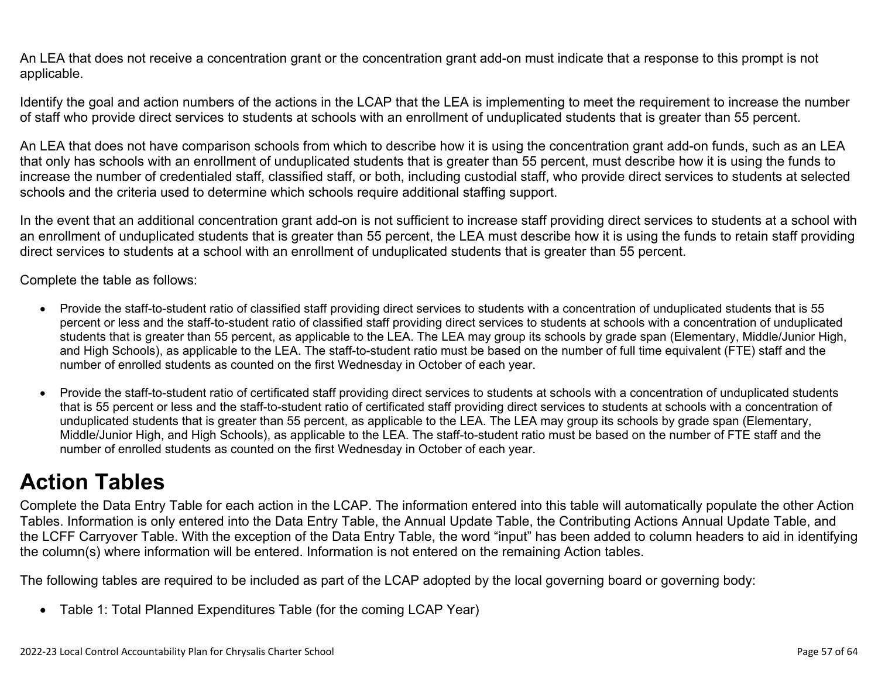An LEA that does not receive a concentration grant or the concentration grant add-on must indicate that a response to this prompt is not applicable.

Identify the goal and action numbers of the actions in the LCAP that the LEA is implementing to meet the requirement to increase the number of staff who provide direct services to students at schools with an enrollment of unduplicated students that is greater than 55 percent.

An LEA that does not have comparison schools from which to describe how it is using the concentration grant add-on funds, such as an LEA that only has schools with an enrollment of unduplicated students that is greater than 55 percent, must describe how it is using the funds to increase the number of credentialed staff, classified staff, or both, including custodial staff, who provide direct services to students at selected schools and the criteria used to determine which schools require additional staffing support.

In the event that an additional concentration grant add-on is not sufficient to increase staff providing direct services to students at a school with an enrollment of unduplicated students that is greater than 55 percent, the LEA must describe how it is using the funds to retain staff providing direct services to students at a school with an enrollment of unduplicated students that is greater than 55 percent.

Complete the table as follows:

- Provide the staff-to-student ratio of classified staff providing direct services to students with a concentration of unduplicated students that is 55 percent or less and the staff-to-student ratio of classified staff providing direct services to students at schools with a concentration of unduplicated students that is greater than 55 percent, as applicable to the LEA. The LEA may group its schools by grade span (Elementary, Middle/Junior High, and High Schools), as applicable to the LEA. The staff-to-student ratio must be based on the number of full time equivalent (FTE) staff and the number of enrolled students as counted on the first Wednesday in October of each year.
- Provide the staff-to-student ratio of certificated staff providing direct services to students at schools with a concentration of unduplicated students that is 55 percent or less and the staff-to-student ratio of certificated staff providing direct services to students at schools with a concentration of unduplicated students that is greater than 55 percent, as applicable to the LEA. The LEA may group its schools by grade span (Elementary, Middle/Junior High, and High Schools), as applicable to the LEA. The staff-to-student ratio must be based on the number of FTE staff and the number of enrolled students as counted on the first Wednesday in October of each year.

# **Action Tables**

Complete the Data Entry Table for each action in the LCAP. The information entered into this table will automatically populate the other Action Tables. Information is only entered into the Data Entry Table, the Annual Update Table, the Contributing Actions Annual Update Table, and the LCFF Carryover Table. With the exception of the Data Entry Table, the word "input" has been added to column headers to aid in identifying the column(s) where information will be entered. Information is not entered on the remaining Action tables.

The following tables are required to be included as part of the LCAP adopted by the local governing board or governing body:

• Table 1: Total Planned Expenditures Table (for the coming LCAP Year)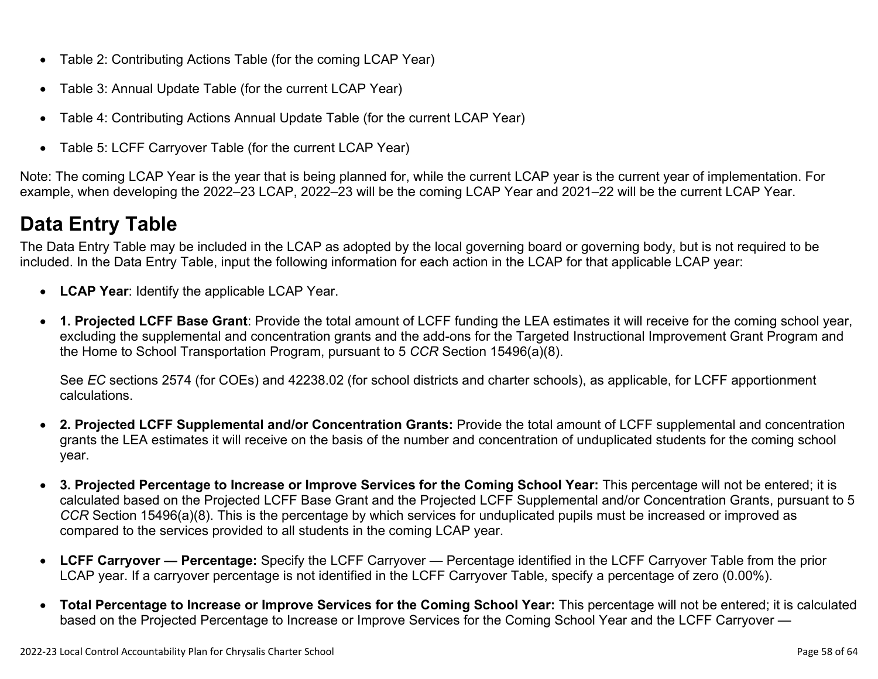- Table 2: Contributing Actions Table (for the coming LCAP Year)
- Table 3: Annual Update Table (for the current LCAP Year)
- Table 4: Contributing Actions Annual Update Table (for the current LCAP Year)
- Table 5: LCFF Carryover Table (for the current LCAP Year)

Note: The coming LCAP Year is the year that is being planned for, while the current LCAP year is the current year of implementation. For example, when developing the 2022–23 LCAP, 2022–23 will be the coming LCAP Year and 2021–22 will be the current LCAP Year.

## **Data Entry Table**

The Data Entry Table may be included in the LCAP as adopted by the local governing board or governing body, but is not required to be included. In the Data Entry Table, input the following information for each action in the LCAP for that applicable LCAP year:

- **LCAP Year**: Identify the applicable LCAP Year.
- **1. Projected LCFF Base Grant**: Provide the total amount of LCFF funding the LEA estimates it will receive for the coming school year, excluding the supplemental and concentration grants and the add-ons for the Targeted Instructional Improvement Grant Program and the Home to School Transportation Program, pursuant to 5 *CCR* Section 15496(a)(8).

See *EC* sections 2574 (for COEs) and 42238.02 (for school districts and charter schools), as applicable, for LCFF apportionment calculations.

- **2. Projected LCFF Supplemental and/or Concentration Grants:** Provide the total amount of LCFF supplemental and concentration grants the LEA estimates it will receive on the basis of the number and concentration of unduplicated students for the coming school year.
- **3. Projected Percentage to Increase or Improve Services for the Coming School Year:** This percentage will not be entered; it is calculated based on the Projected LCFF Base Grant and the Projected LCFF Supplemental and/or Concentration Grants, pursuant to 5 *CCR* Section 15496(a)(8). This is the percentage by which services for unduplicated pupils must be increased or improved as compared to the services provided to all students in the coming LCAP year.
- **LCFF Carryover Percentage:** Specify the LCFF Carryover Percentage identified in the LCFF Carryover Table from the prior LCAP year. If a carryover percentage is not identified in the LCFF Carryover Table, specify a percentage of zero (0.00%).
- **Total Percentage to Increase or Improve Services for the Coming School Year:** This percentage will not be entered; it is calculated based on the Projected Percentage to Increase or Improve Services for the Coming School Year and the LCFF Carryover —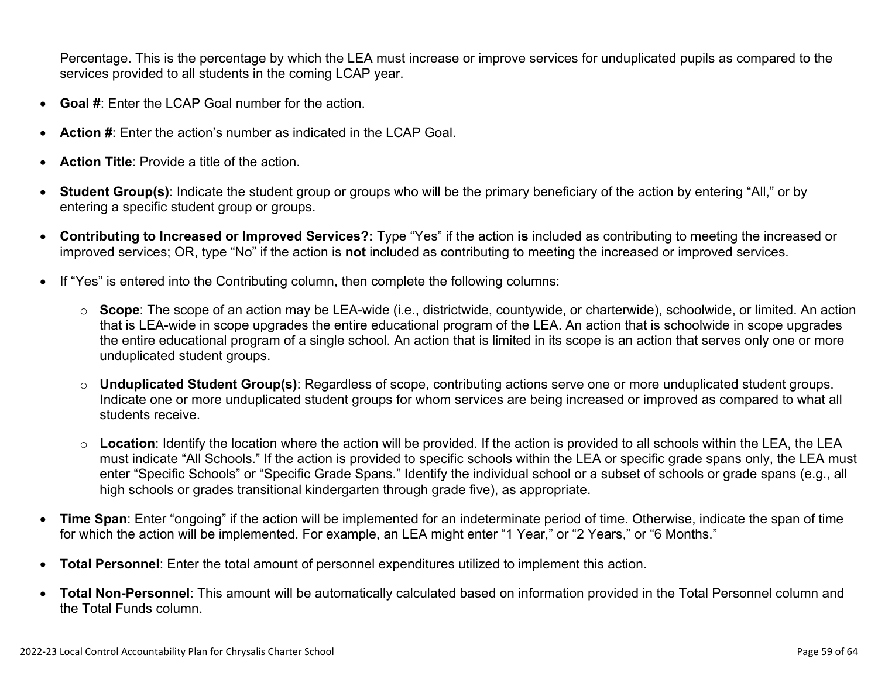Percentage. This is the percentage by which the LEA must increase or improve services for unduplicated pupils as compared to the services provided to all students in the coming LCAP year.

- **Goal #**: Enter the LCAP Goal number for the action.
- **Action #**: Enter the action's number as indicated in the LCAP Goal.
- **Action Title**: Provide a title of the action.
- **Student Group(s)**: Indicate the student group or groups who will be the primary beneficiary of the action by entering "All," or by entering a specific student group or groups.
- **Contributing to Increased or Improved Services?:** Type "Yes" if the action **is** included as contributing to meeting the increased or improved services; OR, type "No" if the action is **not** included as contributing to meeting the increased or improved services.
- If "Yes" is entered into the Contributing column, then complete the following columns:
	- o **Scope**: The scope of an action may be LEA-wide (i.e., districtwide, countywide, or charterwide), schoolwide, or limited. An action that is LEA-wide in scope upgrades the entire educational program of the LEA. An action that is schoolwide in scope upgrades the entire educational program of a single school. An action that is limited in its scope is an action that serves only one or more unduplicated student groups.
	- o **Unduplicated Student Group(s)**: Regardless of scope, contributing actions serve one or more unduplicated student groups. Indicate one or more unduplicated student groups for whom services are being increased or improved as compared to what all students receive.
	- o **Location**: Identify the location where the action will be provided. If the action is provided to all schools within the LEA, the LEA must indicate "All Schools." If the action is provided to specific schools within the LEA or specific grade spans only, the LEA must enter "Specific Schools" or "Specific Grade Spans." Identify the individual school or a subset of schools or grade spans (e.g., all high schools or grades transitional kindergarten through grade five), as appropriate.
- **Time Span**: Enter "ongoing" if the action will be implemented for an indeterminate period of time. Otherwise, indicate the span of time for which the action will be implemented. For example, an LEA might enter "1 Year," or "2 Years," or "6 Months."
- **Total Personnel**: Enter the total amount of personnel expenditures utilized to implement this action.
- **Total Non-Personnel**: This amount will be automatically calculated based on information provided in the Total Personnel column and the Total Funds column.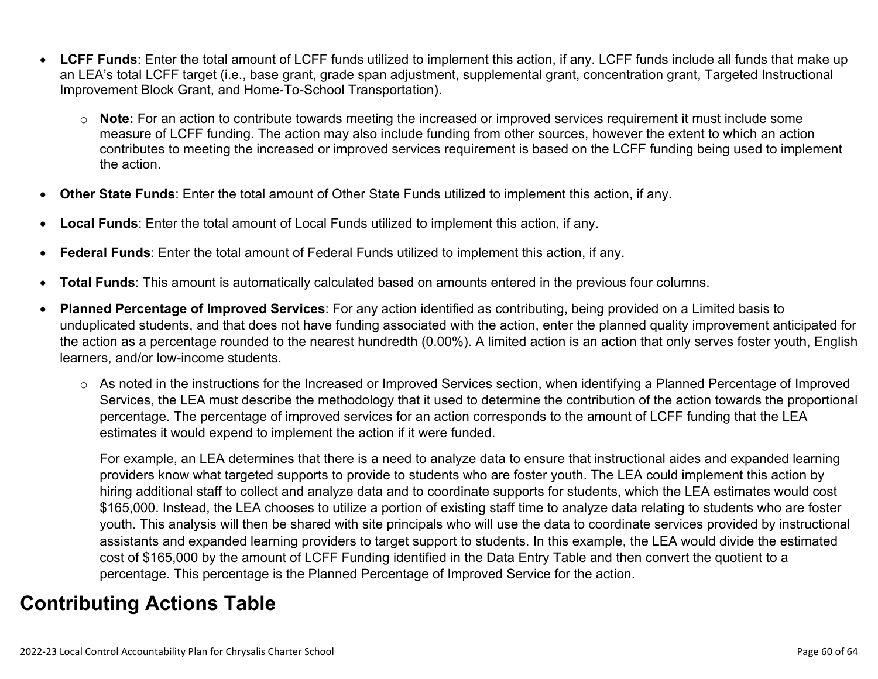- **LCFF Funds**: Enter the total amount of LCFF funds utilized to implement this action, if any. LCFF funds include all funds that make up an LEA's total LCFF target (i.e., base grant, grade span adjustment, supplemental grant, concentration grant, Targeted Instructional Improvement Block Grant, and Home-To-School Transportation).
	- o **Note:** For an action to contribute towards meeting the increased or improved services requirement it must include some measure of LCFF funding. The action may also include funding from other sources, however the extent to which an action contributes to meeting the increased or improved services requirement is based on the LCFF funding being used to implement the action.
- **Other State Funds**: Enter the total amount of Other State Funds utilized to implement this action, if any.
- **Local Funds**: Enter the total amount of Local Funds utilized to implement this action, if any.
- **Federal Funds**: Enter the total amount of Federal Funds utilized to implement this action, if any.
- **Total Funds**: This amount is automatically calculated based on amounts entered in the previous four columns.
- **Planned Percentage of Improved Services**: For any action identified as contributing, being provided on a Limited basis to unduplicated students, and that does not have funding associated with the action, enter the planned quality improvement anticipated for the action as a percentage rounded to the nearest hundredth (0.00%). A limited action is an action that only serves foster youth, English learners, and/or low-income students.
	- o As noted in the instructions for the Increased or Improved Services section, when identifying a Planned Percentage of Improved Services, the LEA must describe the methodology that it used to determine the contribution of the action towards the proportional percentage. The percentage of improved services for an action corresponds to the amount of LCFF funding that the LEA estimates it would expend to implement the action if it were funded.

For example, an LEA determines that there is a need to analyze data to ensure that instructional aides and expanded learning providers know what targeted supports to provide to students who are foster youth. The LEA could implement this action by hiring additional staff to collect and analyze data and to coordinate supports for students, which the LEA estimates would cost \$165,000. Instead, the LEA chooses to utilize a portion of existing staff time to analyze data relating to students who are foster youth. This analysis will then be shared with site principals who will use the data to coordinate services provided by instructional assistants and expanded learning providers to target support to students. In this example, the LEA would divide the estimated cost of \$165,000 by the amount of LCFF Funding identified in the Data Entry Table and then convert the quotient to a percentage. This percentage is the Planned Percentage of Improved Service for the action.

## **Contributing Actions Table**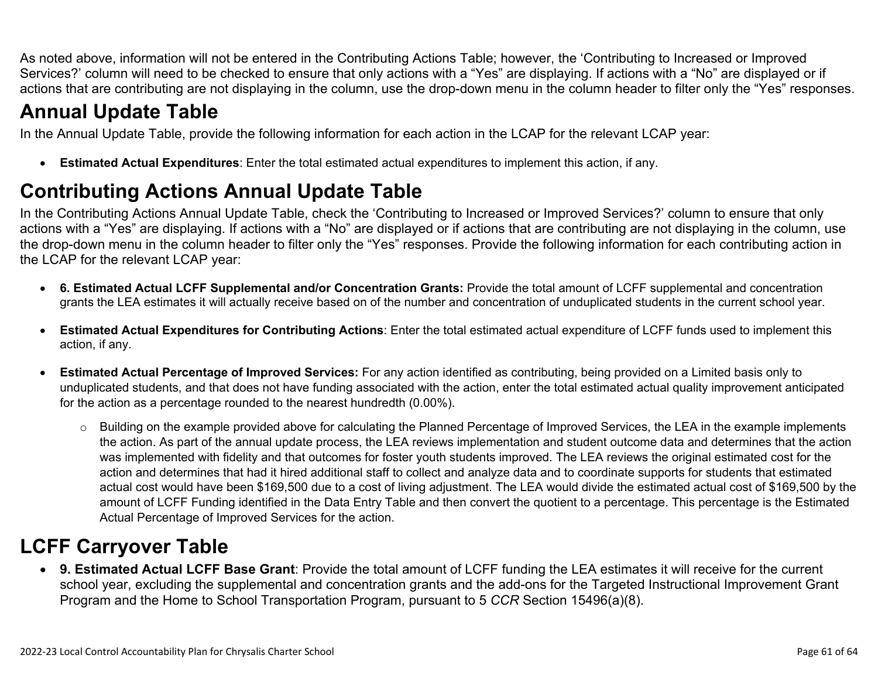As noted above, information will not be entered in the Contributing Actions Table; however, the 'Contributing to Increased or Improved Services?' column will need to be checked to ensure that only actions with a "Yes" are displaying. If actions with a "No" are displayed or if actions that are contributing are not displaying in the column, use the drop-down menu in the column header to filter only the "Yes" responses.

## **Annual Update Table**

In the Annual Update Table, provide the following information for each action in the LCAP for the relevant LCAP year:

• **Estimated Actual Expenditures**: Enter the total estimated actual expenditures to implement this action, if any.

## **Contributing Actions Annual Update Table**

In the Contributing Actions Annual Update Table, check the 'Contributing to Increased or Improved Services?' column to ensure that only actions with a "Yes" are displaying. If actions with a "No" are displayed or if actions that are contributing are not displaying in the column, use the drop-down menu in the column header to filter only the "Yes" responses. Provide the following information for each contributing action in the LCAP for the relevant LCAP year:

- **6. Estimated Actual LCFF Supplemental and/or Concentration Grants:** Provide the total amount of LCFF supplemental and concentration grants the LEA estimates it will actually receive based on of the number and concentration of unduplicated students in the current school year.
- **Estimated Actual Expenditures for Contributing Actions**: Enter the total estimated actual expenditure of LCFF funds used to implement this action, if any.
- **Estimated Actual Percentage of Improved Services:** For any action identified as contributing, being provided on a Limited basis only to unduplicated students, and that does not have funding associated with the action, enter the total estimated actual quality improvement anticipated for the action as a percentage rounded to the nearest hundredth (0.00%).
	- o Building on the example provided above for calculating the Planned Percentage of Improved Services, the LEA in the example implements the action. As part of the annual update process, the LEA reviews implementation and student outcome data and determines that the action was implemented with fidelity and that outcomes for foster youth students improved. The LEA reviews the original estimated cost for the action and determines that had it hired additional staff to collect and analyze data and to coordinate supports for students that estimated actual cost would have been \$169,500 due to a cost of living adjustment. The LEA would divide the estimated actual cost of \$169,500 by the amount of LCFF Funding identified in the Data Entry Table and then convert the quotient to a percentage. This percentage is the Estimated Actual Percentage of Improved Services for the action.

## **LCFF Carryover Table**

• **9. Estimated Actual LCFF Base Grant**: Provide the total amount of LCFF funding the LEA estimates it will receive for the current school year, excluding the supplemental and concentration grants and the add-ons for the Targeted Instructional Improvement Grant Program and the Home to School Transportation Program, pursuant to 5 *CCR* Section 15496(a)(8).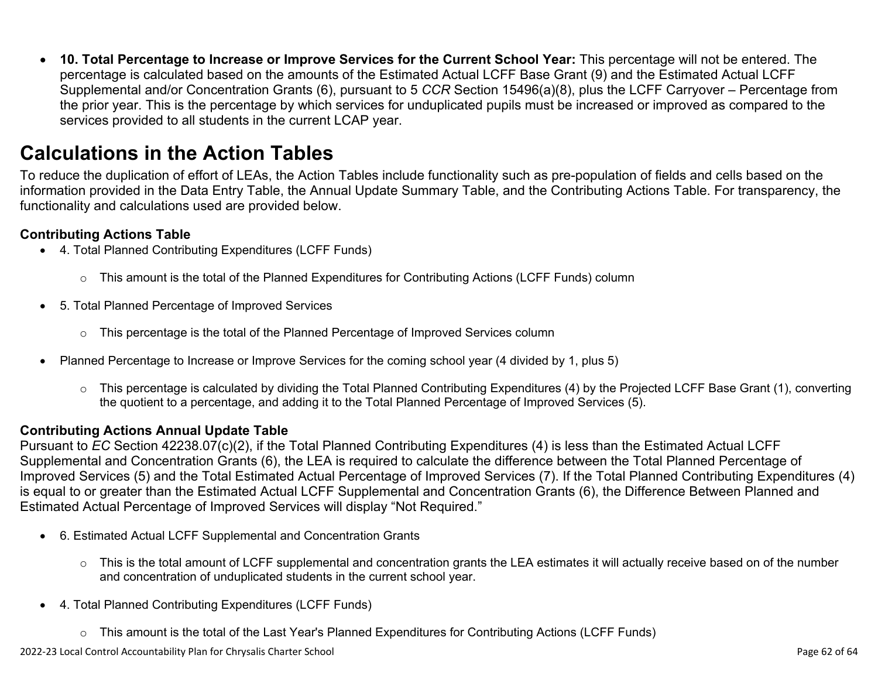• **10. Total Percentage to Increase or Improve Services for the Current School Year:** This percentage will not be entered. The percentage is calculated based on the amounts of the Estimated Actual LCFF Base Grant (9) and the Estimated Actual LCFF Supplemental and/or Concentration Grants (6), pursuant to 5 *CCR* Section 15496(a)(8), plus the LCFF Carryover – Percentage from the prior year. This is the percentage by which services for unduplicated pupils must be increased or improved as compared to the services provided to all students in the current LCAP year.

## **Calculations in the Action Tables**

To reduce the duplication of effort of LEAs, the Action Tables include functionality such as pre-population of fields and cells based on the information provided in the Data Entry Table, the Annual Update Summary Table, and the Contributing Actions Table. For transparency, the functionality and calculations used are provided below.

### **Contributing Actions Table**

- 4. Total Planned Contributing Expenditures (LCFF Funds)
	- $\circ$  This amount is the total of the Planned Expenditures for Contributing Actions (LCFF Funds) column
- 5. Total Planned Percentage of Improved Services
	- $\circ$  This percentage is the total of the Planned Percentage of Improved Services column
- Planned Percentage to Increase or Improve Services for the coming school year (4 divided by 1, plus 5)
	- o This percentage is calculated by dividing the Total Planned Contributing Expenditures (4) by the Projected LCFF Base Grant (1), converting the quotient to a percentage, and adding it to the Total Planned Percentage of Improved Services (5).

### **Contributing Actions Annual Update Table**

Pursuant to *EC* Section 42238.07(c)(2), if the Total Planned Contributing Expenditures (4) is less than the Estimated Actual LCFF Supplemental and Concentration Grants (6), the LEA is required to calculate the difference between the Total Planned Percentage of Improved Services (5) and the Total Estimated Actual Percentage of Improved Services (7). If the Total Planned Contributing Expenditures (4) is equal to or greater than the Estimated Actual LCFF Supplemental and Concentration Grants (6), the Difference Between Planned and Estimated Actual Percentage of Improved Services will display "Not Required."

- 6. Estimated Actual LCFF Supplemental and Concentration Grants
	- o This is the total amount of LCFF supplemental and concentration grants the LEA estimates it will actually receive based on of the number and concentration of unduplicated students in the current school year.
- 4. Total Planned Contributing Expenditures (LCFF Funds)
	- $\circ$  This amount is the total of the Last Year's Planned Expenditures for Contributing Actions (LCFF Funds)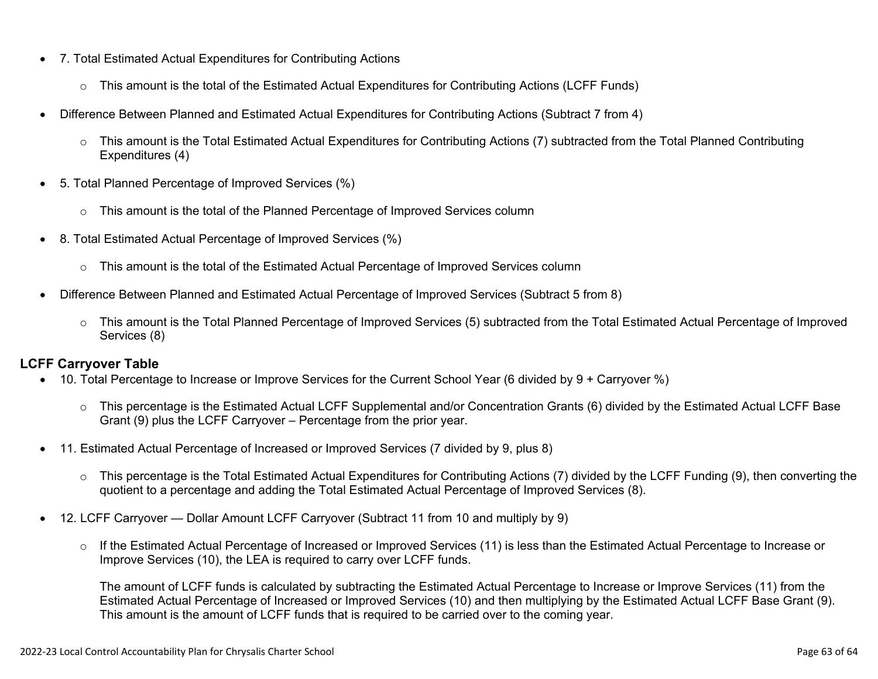- 7. Total Estimated Actual Expenditures for Contributing Actions
	- o This amount is the total of the Estimated Actual Expenditures for Contributing Actions (LCFF Funds)
- Difference Between Planned and Estimated Actual Expenditures for Contributing Actions (Subtract 7 from 4)
	- $\circ$  This amount is the Total Estimated Actual Expenditures for Contributing Actions (7) subtracted from the Total Planned Contributing Expenditures (4)
- 5. Total Planned Percentage of Improved Services (%)
	- o This amount is the total of the Planned Percentage of Improved Services column
- 8. Total Estimated Actual Percentage of Improved Services (%)
	- o This amount is the total of the Estimated Actual Percentage of Improved Services column
- Difference Between Planned and Estimated Actual Percentage of Improved Services (Subtract 5 from 8)
	- o This amount is the Total Planned Percentage of Improved Services (5) subtracted from the Total Estimated Actual Percentage of Improved Services (8)

### **LCFF Carryover Table**

- 10. Total Percentage to Increase or Improve Services for the Current School Year (6 divided by 9 + Carryover %)
	- $\circ$  This percentage is the Estimated Actual LCFF Supplemental and/or Concentration Grants (6) divided by the Estimated Actual LCFF Base Grant (9) plus the LCFF Carryover – Percentage from the prior year.
- 11. Estimated Actual Percentage of Increased or Improved Services (7 divided by 9, plus 8)
	- o This percentage is the Total Estimated Actual Expenditures for Contributing Actions (7) divided by the LCFF Funding (9), then converting the quotient to a percentage and adding the Total Estimated Actual Percentage of Improved Services (8).
- 12. LCFF Carryover Dollar Amount LCFF Carryover (Subtract 11 from 10 and multiply by 9)
	- $\circ$  If the Estimated Actual Percentage of Increased or Improved Services (11) is less than the Estimated Actual Percentage to Increase or Improve Services (10), the LEA is required to carry over LCFF funds.

The amount of LCFF funds is calculated by subtracting the Estimated Actual Percentage to Increase or Improve Services (11) from the Estimated Actual Percentage of Increased or Improved Services (10) and then multiplying by the Estimated Actual LCFF Base Grant (9). This amount is the amount of LCFF funds that is required to be carried over to the coming year.